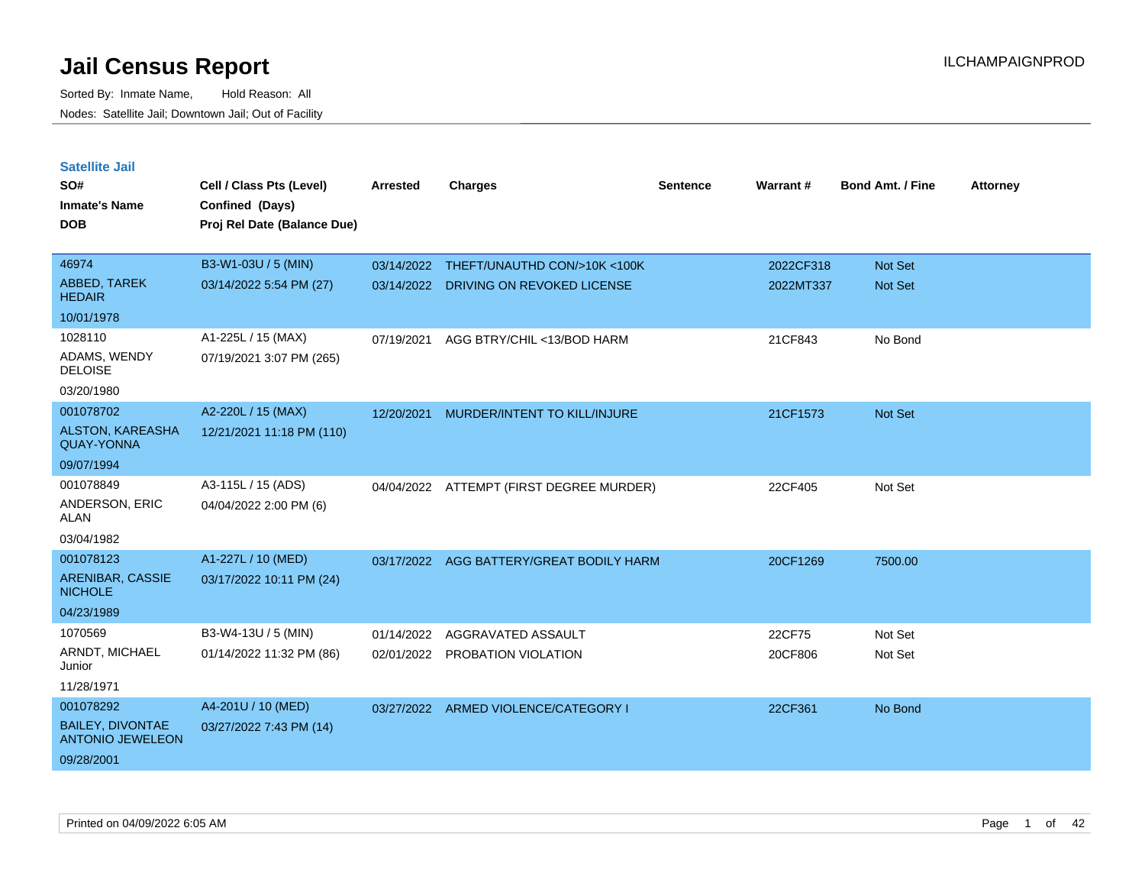| <b>Satellite Jail</b>                              |                             |            |                                          |          |           |                         |                 |
|----------------------------------------------------|-----------------------------|------------|------------------------------------------|----------|-----------|-------------------------|-----------------|
| SO#                                                | Cell / Class Pts (Level)    | Arrested   | <b>Charges</b>                           | Sentence | Warrant#  | <b>Bond Amt. / Fine</b> | <b>Attorney</b> |
| Inmate's Name                                      | Confined (Days)             |            |                                          |          |           |                         |                 |
| <b>DOB</b>                                         | Proj Rel Date (Balance Due) |            |                                          |          |           |                         |                 |
|                                                    |                             |            |                                          |          |           |                         |                 |
| 46974                                              | B3-W1-03U / 5 (MIN)         |            | 03/14/2022 THEFT/UNAUTHD CON/>10K <100K  |          | 2022CF318 | <b>Not Set</b>          |                 |
| <b>ABBED, TAREK</b><br><b>HEDAIR</b>               | 03/14/2022 5:54 PM (27)     | 03/14/2022 | DRIVING ON REVOKED LICENSE               |          | 2022MT337 | Not Set                 |                 |
| 10/01/1978                                         |                             |            |                                          |          |           |                         |                 |
| 1028110                                            | A1-225L / 15 (MAX)          | 07/19/2021 | AGG BTRY/CHIL <13/BOD HARM               |          | 21CF843   | No Bond                 |                 |
| ADAMS, WENDY<br><b>DELOISE</b>                     | 07/19/2021 3:07 PM (265)    |            |                                          |          |           |                         |                 |
| 03/20/1980                                         |                             |            |                                          |          |           |                         |                 |
| 001078702                                          | A2-220L / 15 (MAX)          | 12/20/2021 | MURDER/INTENT TO KILL/INJURE             |          | 21CF1573  | Not Set                 |                 |
| <b>ALSTON, KAREASHA</b><br><b>QUAY-YONNA</b>       | 12/21/2021 11:18 PM (110)   |            |                                          |          |           |                         |                 |
| 09/07/1994                                         |                             |            |                                          |          |           |                         |                 |
| 001078849                                          | A3-115L / 15 (ADS)          |            | 04/04/2022 ATTEMPT (FIRST DEGREE MURDER) |          | 22CF405   | Not Set                 |                 |
| ANDERSON, ERIC<br>ALAN                             | 04/04/2022 2:00 PM (6)      |            |                                          |          |           |                         |                 |
| 03/04/1982                                         |                             |            |                                          |          |           |                         |                 |
| 001078123                                          | A1-227L / 10 (MED)          | 03/17/2022 | AGG BATTERY/GREAT BODILY HARM            |          | 20CF1269  | 7500.00                 |                 |
| ARENIBAR, CASSIE<br><b>NICHOLE</b>                 | 03/17/2022 10:11 PM (24)    |            |                                          |          |           |                         |                 |
| 04/23/1989                                         |                             |            |                                          |          |           |                         |                 |
| 1070569                                            | B3-W4-13U / 5 (MIN)         | 01/14/2022 | AGGRAVATED ASSAULT                       |          | 22CF75    | Not Set                 |                 |
| ARNDT, MICHAEL<br>Junior                           | 01/14/2022 11:32 PM (86)    |            | 02/01/2022 PROBATION VIOLATION           |          | 20CF806   | Not Set                 |                 |
| 11/28/1971                                         |                             |            |                                          |          |           |                         |                 |
| 001078292                                          | A4-201U / 10 (MED)          |            | 03/27/2022 ARMED VIOLENCE/CATEGORY       |          | 22CF361   | No Bond                 |                 |
| <b>BAILEY, DIVONTAE</b><br><b>ANTONIO JEWELEON</b> | 03/27/2022 7:43 PM (14)     |            |                                          |          |           |                         |                 |
| 09/28/2001                                         |                             |            |                                          |          |           |                         |                 |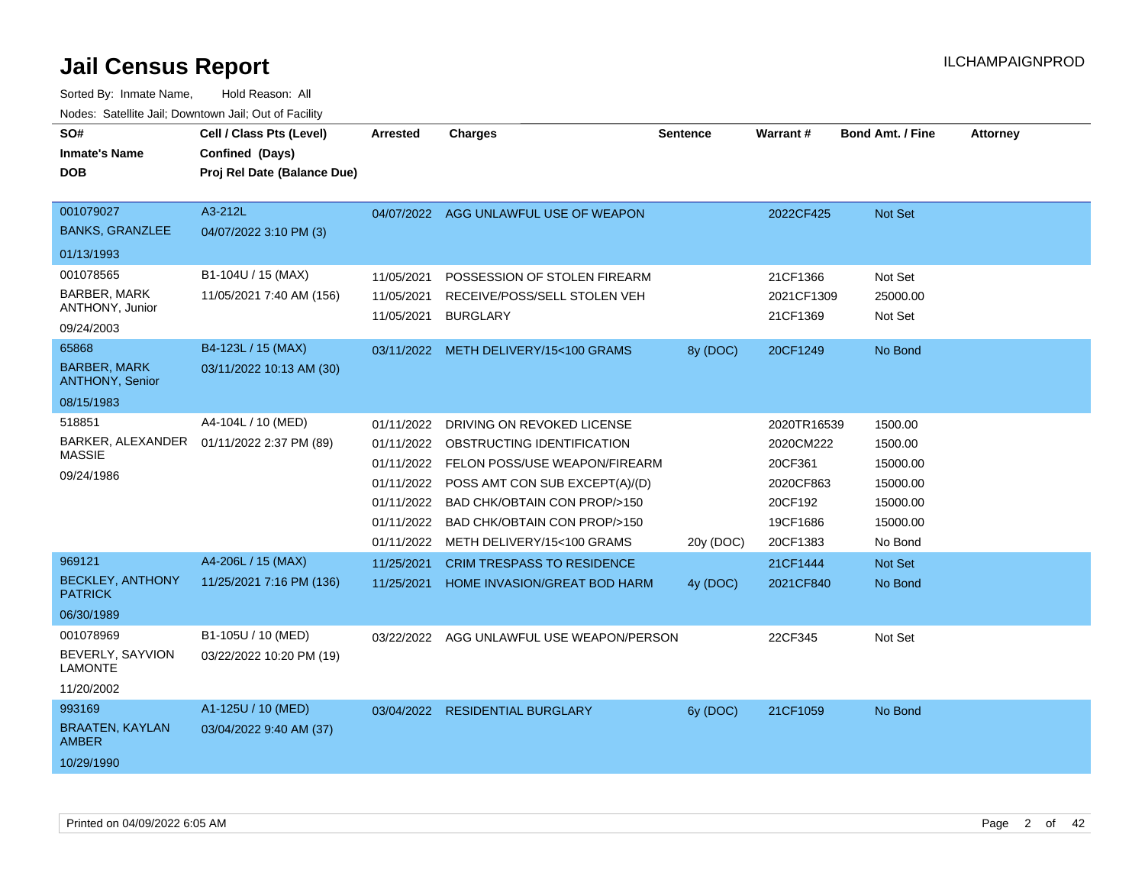| SO#<br><b>Inmate's Name</b><br><b>DOB</b>                            | Cell / Class Pts (Level)<br>Confined (Days)<br>Proj Rel Date (Balance Due) | <b>Arrested</b>                                                                  | <b>Charges</b>                                                                                                                                                                                                                                 | <b>Sentence</b> | <b>Warrant#</b>                                                                     | <b>Bond Amt. / Fine</b>                                                       | <b>Attorney</b> |
|----------------------------------------------------------------------|----------------------------------------------------------------------------|----------------------------------------------------------------------------------|------------------------------------------------------------------------------------------------------------------------------------------------------------------------------------------------------------------------------------------------|-----------------|-------------------------------------------------------------------------------------|-------------------------------------------------------------------------------|-----------------|
| 001079027<br><b>BANKS, GRANZLEE</b>                                  | A3-212L<br>04/07/2022 3:10 PM (3)                                          |                                                                                  | 04/07/2022 AGG UNLAWFUL USE OF WEAPON                                                                                                                                                                                                          |                 | 2022CF425                                                                           | Not Set                                                                       |                 |
| 01/13/1993                                                           |                                                                            |                                                                                  |                                                                                                                                                                                                                                                |                 |                                                                                     |                                                                               |                 |
| 001078565<br><b>BARBER, MARK</b><br>ANTHONY, Junior<br>09/24/2003    | B1-104U / 15 (MAX)<br>11/05/2021 7:40 AM (156)                             | 11/05/2021<br>11/05/2021<br>11/05/2021                                           | POSSESSION OF STOLEN FIREARM<br>RECEIVE/POSS/SELL STOLEN VEH<br><b>BURGLARY</b>                                                                                                                                                                |                 | 21CF1366<br>2021CF1309<br>21CF1369                                                  | Not Set<br>25000.00<br>Not Set                                                |                 |
| 65868<br><b>BARBER, MARK</b><br><b>ANTHONY, Senior</b><br>08/15/1983 | B4-123L / 15 (MAX)<br>03/11/2022 10:13 AM (30)                             | 03/11/2022                                                                       | METH DELIVERY/15<100 GRAMS                                                                                                                                                                                                                     | 8y (DOC)        | 20CF1249                                                                            | No Bond                                                                       |                 |
| 518851<br>BARKER, ALEXANDER<br><b>MASSIE</b><br>09/24/1986           | A4-104L / 10 (MED)<br>01/11/2022 2:37 PM (89)                              | 01/11/2022<br>01/11/2022<br>01/11/2022<br>01/11/2022<br>01/11/2022<br>01/11/2022 | DRIVING ON REVOKED LICENSE<br>OBSTRUCTING IDENTIFICATION<br>01/11/2022 FELON POSS/USE WEAPON/FIREARM<br>POSS AMT CON SUB EXCEPT(A)/(D)<br><b>BAD CHK/OBTAIN CON PROP/&gt;150</b><br>BAD CHK/OBTAIN CON PROP/>150<br>METH DELIVERY/15<100 GRAMS | 20y (DOC)       | 2020TR16539<br>2020CM222<br>20CF361<br>2020CF863<br>20CF192<br>19CF1686<br>20CF1383 | 1500.00<br>1500.00<br>15000.00<br>15000.00<br>15000.00<br>15000.00<br>No Bond |                 |
| 969121<br><b>BECKLEY, ANTHONY</b><br><b>PATRICK</b><br>06/30/1989    | A4-206L / 15 (MAX)<br>11/25/2021 7:16 PM (136)                             | 11/25/2021<br>11/25/2021                                                         | <b>CRIM TRESPASS TO RESIDENCE</b><br>HOME INVASION/GREAT BOD HARM                                                                                                                                                                              | 4y (DOC)        | 21CF1444<br>2021CF840                                                               | Not Set<br>No Bond                                                            |                 |
| 001078969<br>BEVERLY, SAYVION<br><b>LAMONTE</b><br>11/20/2002        | B1-105U / 10 (MED)<br>03/22/2022 10:20 PM (19)                             | 03/22/2022                                                                       | AGG UNLAWFUL USE WEAPON/PERSON                                                                                                                                                                                                                 |                 | 22CF345                                                                             | Not Set                                                                       |                 |
| 993169<br><b>BRAATEN, KAYLAN</b><br><b>AMBER</b><br>10/29/1990       | A1-125U / 10 (MED)<br>03/04/2022 9:40 AM (37)                              |                                                                                  | 03/04/2022 RESIDENTIAL BURGLARY                                                                                                                                                                                                                | 6y (DOC)        | 21CF1059                                                                            | No Bond                                                                       |                 |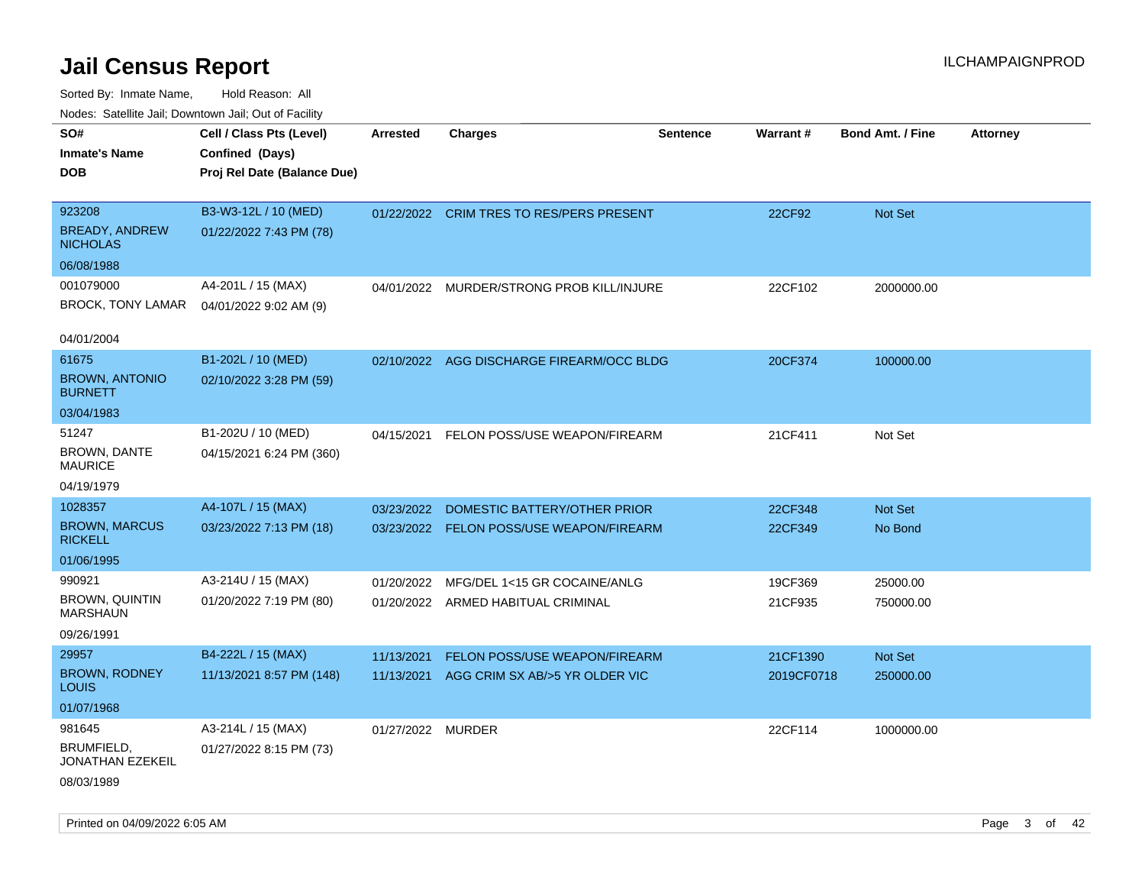| soupois catomic can, Dominomii can, Cat or Faomt<br>SO# | Cell / Class Pts (Level)    | <b>Arrested</b>   | <b>Charges</b>                            | <b>Sentence</b> | Warrant#   | <b>Bond Amt. / Fine</b> | <b>Attorney</b> |
|---------------------------------------------------------|-----------------------------|-------------------|-------------------------------------------|-----------------|------------|-------------------------|-----------------|
| <b>Inmate's Name</b>                                    | Confined (Days)             |                   |                                           |                 |            |                         |                 |
| <b>DOB</b>                                              | Proj Rel Date (Balance Due) |                   |                                           |                 |            |                         |                 |
|                                                         |                             |                   |                                           |                 |            |                         |                 |
| 923208                                                  | B3-W3-12L / 10 (MED)        |                   | 01/22/2022 CRIM TRES TO RES/PERS PRESENT  |                 | 22CF92     | Not Set                 |                 |
| <b>BREADY, ANDREW</b><br><b>NICHOLAS</b>                | 01/22/2022 7:43 PM (78)     |                   |                                           |                 |            |                         |                 |
| 06/08/1988                                              |                             |                   |                                           |                 |            |                         |                 |
| 001079000                                               | A4-201L / 15 (MAX)          | 04/01/2022        | MURDER/STRONG PROB KILL/INJURE            |                 | 22CF102    | 2000000.00              |                 |
| <b>BROCK, TONY LAMAR</b>                                | 04/01/2022 9:02 AM (9)      |                   |                                           |                 |            |                         |                 |
| 04/01/2004                                              |                             |                   |                                           |                 |            |                         |                 |
| 61675                                                   | B1-202L / 10 (MED)          |                   | 02/10/2022 AGG DISCHARGE FIREARM/OCC BLDG |                 | 20CF374    | 100000.00               |                 |
| <b>BROWN, ANTONIO</b><br><b>BURNETT</b>                 | 02/10/2022 3:28 PM (59)     |                   |                                           |                 |            |                         |                 |
| 03/04/1983                                              |                             |                   |                                           |                 |            |                         |                 |
| 51247                                                   | B1-202U / 10 (MED)          | 04/15/2021        | FELON POSS/USE WEAPON/FIREARM             |                 | 21CF411    | Not Set                 |                 |
| BROWN, DANTE<br><b>MAURICE</b>                          | 04/15/2021 6:24 PM (360)    |                   |                                           |                 |            |                         |                 |
| 04/19/1979                                              |                             |                   |                                           |                 |            |                         |                 |
| 1028357                                                 | A4-107L / 15 (MAX)          | 03/23/2022        | DOMESTIC BATTERY/OTHER PRIOR              |                 | 22CF348    | Not Set                 |                 |
| <b>BROWN, MARCUS</b><br><b>RICKELL</b>                  | 03/23/2022 7:13 PM (18)     |                   | 03/23/2022 FELON POSS/USE WEAPON/FIREARM  |                 | 22CF349    | No Bond                 |                 |
| 01/06/1995                                              |                             |                   |                                           |                 |            |                         |                 |
| 990921                                                  | A3-214U / 15 (MAX)          | 01/20/2022        | MFG/DEL 1<15 GR COCAINE/ANLG              |                 | 19CF369    | 25000.00                |                 |
| <b>BROWN, QUINTIN</b><br><b>MARSHAUN</b>                | 01/20/2022 7:19 PM (80)     |                   | 01/20/2022 ARMED HABITUAL CRIMINAL        |                 | 21CF935    | 750000.00               |                 |
| 09/26/1991                                              |                             |                   |                                           |                 |            |                         |                 |
| 29957                                                   | B4-222L / 15 (MAX)          | 11/13/2021        | FELON POSS/USE WEAPON/FIREARM             |                 | 21CF1390   | Not Set                 |                 |
| <b>BROWN, RODNEY</b><br>LOUIS                           | 11/13/2021 8:57 PM (148)    |                   | 11/13/2021 AGG CRIM SX AB/>5 YR OLDER VIC |                 | 2019CF0718 | 250000.00               |                 |
| 01/07/1968                                              |                             |                   |                                           |                 |            |                         |                 |
| 981645                                                  | A3-214L / 15 (MAX)          | 01/27/2022 MURDER |                                           |                 | 22CF114    | 1000000.00              |                 |
| BRUMFIELD,<br>JONATHAN EZEKEIL                          | 01/27/2022 8:15 PM (73)     |                   |                                           |                 |            |                         |                 |
| 08/03/1989                                              |                             |                   |                                           |                 |            |                         |                 |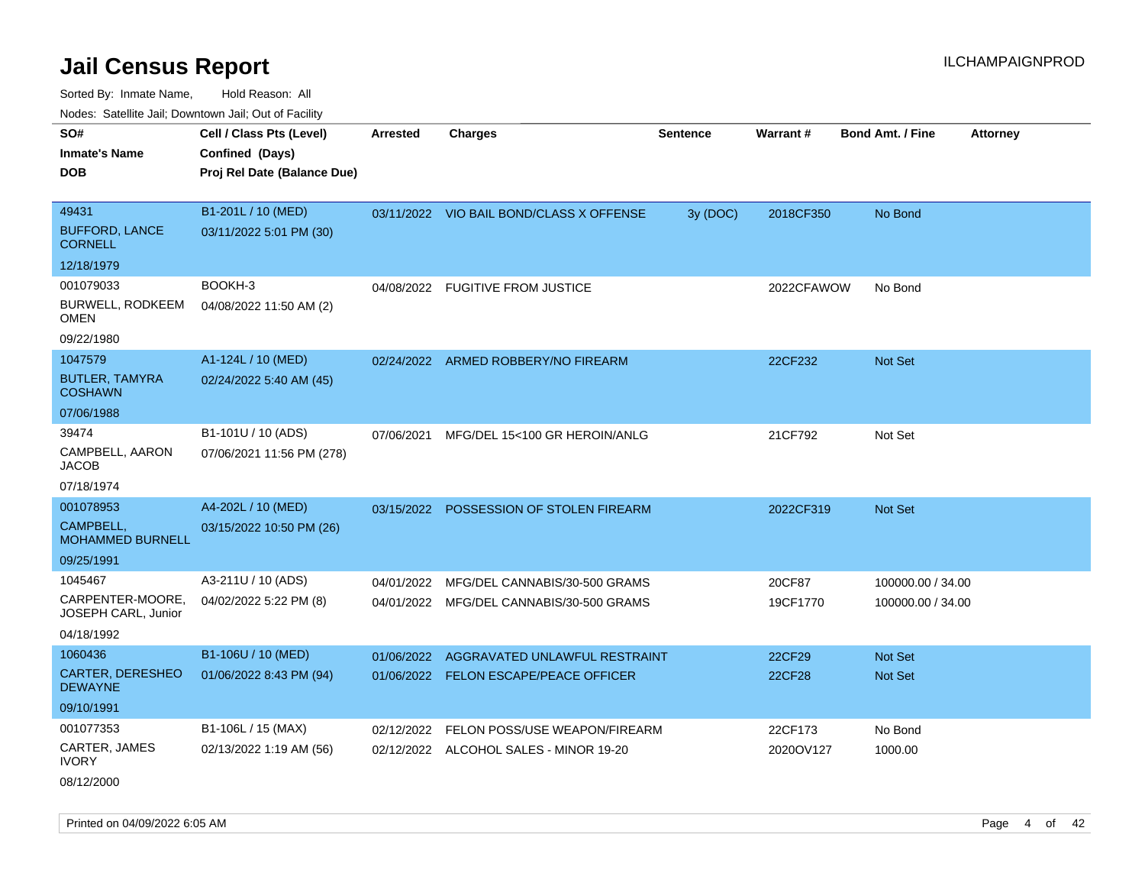Sorted By: Inmate Name, Hold Reason: All Nodes: Satellite Jail; Downtown Jail; Out of Facility

| Nodes. Satellite Jali, Downtown Jali, Out of Facility |                             |                 |                                          |          |                 |                                            |  |
|-------------------------------------------------------|-----------------------------|-----------------|------------------------------------------|----------|-----------------|--------------------------------------------|--|
| SO#                                                   | Cell / Class Pts (Level)    | <b>Arrested</b> | <b>Charges</b>                           | Sentence | <b>Warrant#</b> | <b>Bond Amt. / Fine</b><br><b>Attorney</b> |  |
| <b>Inmate's Name</b>                                  | Confined (Days)             |                 |                                          |          |                 |                                            |  |
| <b>DOB</b>                                            | Proj Rel Date (Balance Due) |                 |                                          |          |                 |                                            |  |
|                                                       |                             |                 |                                          |          |                 |                                            |  |
| 49431                                                 | B1-201L / 10 (MED)          |                 | 03/11/2022 VIO BAIL BOND/CLASS X OFFENSE | 3y (DOC) | 2018CF350       | No Bond                                    |  |
| <b>BUFFORD, LANCE</b><br><b>CORNELL</b>               | 03/11/2022 5:01 PM (30)     |                 |                                          |          |                 |                                            |  |
| 12/18/1979                                            |                             |                 |                                          |          |                 |                                            |  |
| 001079033                                             | BOOKH-3                     | 04/08/2022      | <b>FUGITIVE FROM JUSTICE</b>             |          | 2022CFAWOW      | No Bond                                    |  |
| <b>BURWELL, RODKEEM</b><br>OMEN                       | 04/08/2022 11:50 AM (2)     |                 |                                          |          |                 |                                            |  |
| 09/22/1980                                            |                             |                 |                                          |          |                 |                                            |  |
| 1047579                                               | A1-124L / 10 (MED)          |                 | 02/24/2022 ARMED ROBBERY/NO FIREARM      |          | 22CF232         | <b>Not Set</b>                             |  |
| <b>BUTLER, TAMYRA</b><br><b>COSHAWN</b>               | 02/24/2022 5:40 AM (45)     |                 |                                          |          |                 |                                            |  |
| 07/06/1988                                            |                             |                 |                                          |          |                 |                                            |  |
| 39474                                                 | B1-101U / 10 (ADS)          | 07/06/2021      | MFG/DEL 15<100 GR HEROIN/ANLG            |          | 21CF792         | Not Set                                    |  |
| CAMPBELL, AARON<br>JACOB                              | 07/06/2021 11:56 PM (278)   |                 |                                          |          |                 |                                            |  |
| 07/18/1974                                            |                             |                 |                                          |          |                 |                                            |  |
| 001078953                                             | A4-202L / 10 (MED)          | 03/15/2022      | POSSESSION OF STOLEN FIREARM             |          | 2022CF319       | <b>Not Set</b>                             |  |
| CAMPBELL,<br><b>MOHAMMED BURNELL</b>                  | 03/15/2022 10:50 PM (26)    |                 |                                          |          |                 |                                            |  |
| 09/25/1991                                            |                             |                 |                                          |          |                 |                                            |  |
| 1045467                                               | A3-211U / 10 (ADS)          | 04/01/2022      | MFG/DEL CANNABIS/30-500 GRAMS            |          | 20CF87          | 100000.00 / 34.00                          |  |
| CARPENTER-MOORE,<br>JOSEPH CARL, Junior               | 04/02/2022 5:22 PM (8)      | 04/01/2022      | MFG/DEL CANNABIS/30-500 GRAMS            |          | 19CF1770        | 100000.00 / 34.00                          |  |
| 04/18/1992                                            |                             |                 |                                          |          |                 |                                            |  |
| 1060436                                               | B1-106U / 10 (MED)          | 01/06/2022      | AGGRAVATED UNLAWFUL RESTRAINT            |          | 22CF29          | <b>Not Set</b>                             |  |
| CARTER, DERESHEO<br><b>DEWAYNE</b>                    | 01/06/2022 8:43 PM (94)     | 01/06/2022      | <b>FELON ESCAPE/PEACE OFFICER</b>        |          | 22CF28          | <b>Not Set</b>                             |  |
| 09/10/1991                                            |                             |                 |                                          |          |                 |                                            |  |
| 001077353                                             | B1-106L / 15 (MAX)          | 02/12/2022      | FELON POSS/USE WEAPON/FIREARM            |          | 22CF173         | No Bond                                    |  |
| CARTER, JAMES<br><b>IVORY</b>                         | 02/13/2022 1:19 AM (56)     |                 | 02/12/2022 ALCOHOL SALES - MINOR 19-20   |          | 2020OV127       | 1000.00                                    |  |

08/12/2000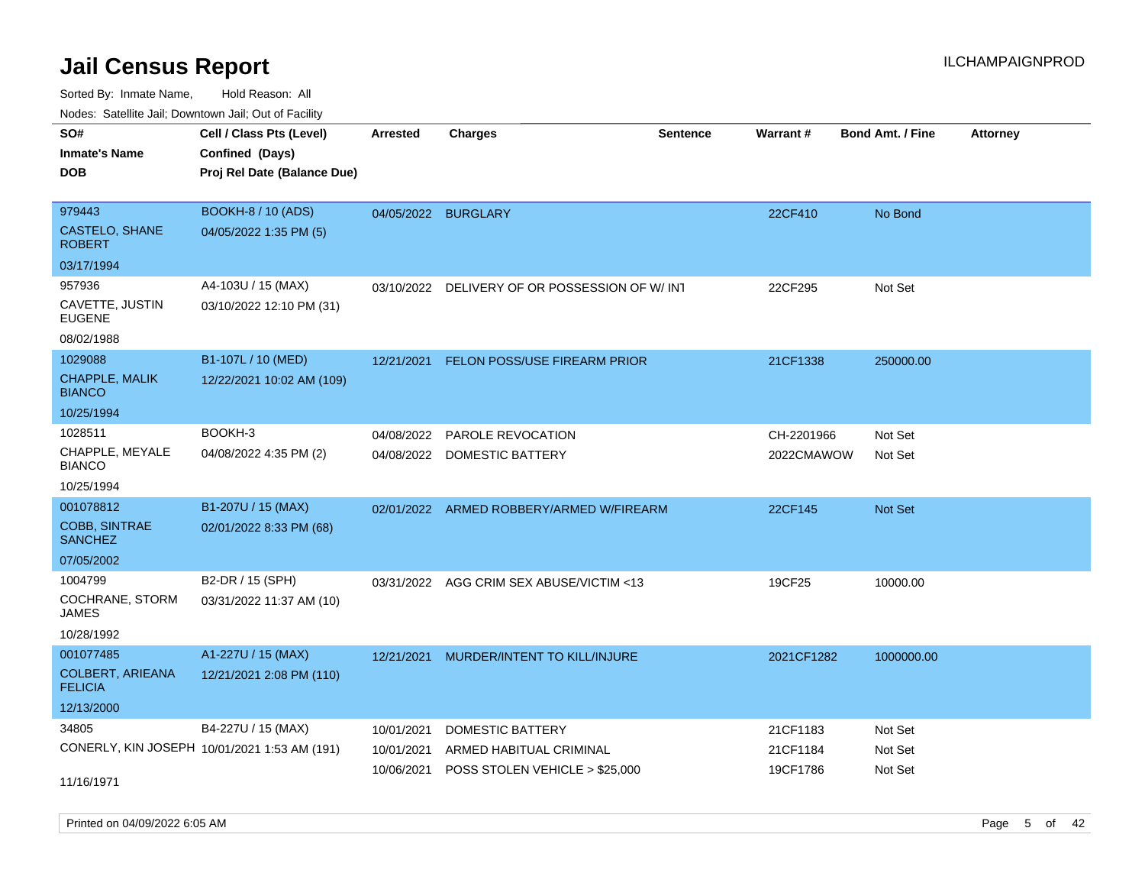| roaco. Catolino cali, Domntonn cali, Out of Facility |                                              |                     |                                          |                 |            |                         |                 |
|------------------------------------------------------|----------------------------------------------|---------------------|------------------------------------------|-----------------|------------|-------------------------|-----------------|
| SO#                                                  | Cell / Class Pts (Level)                     | Arrested            | <b>Charges</b>                           | <b>Sentence</b> | Warrant#   | <b>Bond Amt. / Fine</b> | <b>Attorney</b> |
| <b>Inmate's Name</b>                                 | Confined (Days)                              |                     |                                          |                 |            |                         |                 |
| <b>DOB</b>                                           | Proj Rel Date (Balance Due)                  |                     |                                          |                 |            |                         |                 |
|                                                      |                                              |                     |                                          |                 |            |                         |                 |
| 979443                                               | <b>BOOKH-8 / 10 (ADS)</b>                    | 04/05/2022 BURGLARY |                                          |                 | 22CF410    | No Bond                 |                 |
| CASTELO, SHANE<br><b>ROBERT</b>                      | 04/05/2022 1:35 PM (5)                       |                     |                                          |                 |            |                         |                 |
| 03/17/1994                                           |                                              |                     |                                          |                 |            |                         |                 |
| 957936                                               | A4-103U / 15 (MAX)                           | 03/10/2022          | DELIVERY OF OR POSSESSION OF W/INT       |                 | 22CF295    | Not Set                 |                 |
| CAVETTE, JUSTIN<br><b>EUGENE</b>                     | 03/10/2022 12:10 PM (31)                     |                     |                                          |                 |            |                         |                 |
| 08/02/1988                                           |                                              |                     |                                          |                 |            |                         |                 |
| 1029088                                              | B1-107L / 10 (MED)                           | 12/21/2021          | FELON POSS/USE FIREARM PRIOR             |                 | 21CF1338   | 250000.00               |                 |
| CHAPPLE, MALIK<br><b>BIANCO</b>                      | 12/22/2021 10:02 AM (109)                    |                     |                                          |                 |            |                         |                 |
| 10/25/1994                                           |                                              |                     |                                          |                 |            |                         |                 |
| 1028511                                              | BOOKH-3                                      | 04/08/2022          | PAROLE REVOCATION                        |                 | CH-2201966 | Not Set                 |                 |
| CHAPPLE, MEYALE<br><b>BIANCO</b>                     | 04/08/2022 4:35 PM (2)                       | 04/08/2022          | DOMESTIC BATTERY                         |                 | 2022CMAWOW | Not Set                 |                 |
| 10/25/1994                                           |                                              |                     |                                          |                 |            |                         |                 |
| 001078812                                            | B1-207U / 15 (MAX)                           |                     | 02/01/2022 ARMED ROBBERY/ARMED W/FIREARM |                 | 22CF145    | Not Set                 |                 |
| COBB, SINTRAE<br><b>SANCHEZ</b>                      | 02/01/2022 8:33 PM (68)                      |                     |                                          |                 |            |                         |                 |
| 07/05/2002                                           |                                              |                     |                                          |                 |            |                         |                 |
| 1004799                                              | B2-DR / 15 (SPH)                             |                     | 03/31/2022 AGG CRIM SEX ABUSE/VICTIM <13 |                 | 19CF25     | 10000.00                |                 |
| COCHRANE, STORM<br>JAMES                             | 03/31/2022 11:37 AM (10)                     |                     |                                          |                 |            |                         |                 |
| 10/28/1992                                           |                                              |                     |                                          |                 |            |                         |                 |
| 001077485                                            | A1-227U / 15 (MAX)                           | 12/21/2021          | MURDER/INTENT TO KILL/INJURE             |                 | 2021CF1282 | 1000000.00              |                 |
| <b>COLBERT, ARIEANA</b><br><b>FELICIA</b>            | 12/21/2021 2:08 PM (110)                     |                     |                                          |                 |            |                         |                 |
| 12/13/2000                                           |                                              |                     |                                          |                 |            |                         |                 |
| 34805                                                | B4-227U / 15 (MAX)                           | 10/01/2021          | DOMESTIC BATTERY                         |                 | 21CF1183   | Not Set                 |                 |
|                                                      | CONERLY, KIN JOSEPH 10/01/2021 1:53 AM (191) | 10/01/2021          | ARMED HABITUAL CRIMINAL                  |                 | 21CF1184   | Not Set                 |                 |
|                                                      |                                              | 10/06/2021          | POSS STOLEN VEHICLE > \$25,000           |                 | 19CF1786   | Not Set                 |                 |
| 11/16/1971                                           |                                              |                     |                                          |                 |            |                         |                 |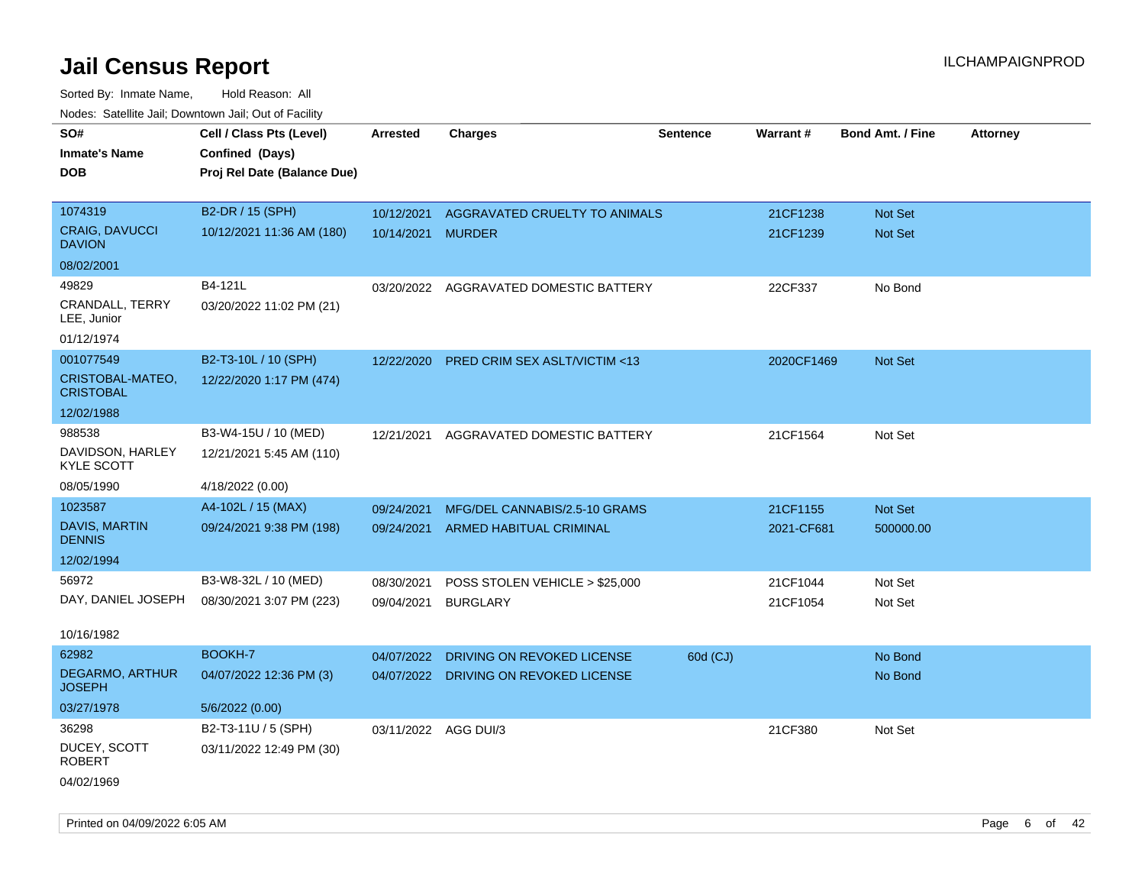| roacs. Catellite Jall, Downtown Jall, Out of Facility |                             |                      |                                         |                 |            |                         |                 |
|-------------------------------------------------------|-----------------------------|----------------------|-----------------------------------------|-----------------|------------|-------------------------|-----------------|
| SO#                                                   | Cell / Class Pts (Level)    | Arrested             | <b>Charges</b>                          | <b>Sentence</b> | Warrant#   | <b>Bond Amt. / Fine</b> | <b>Attorney</b> |
| <b>Inmate's Name</b>                                  | Confined (Days)             |                      |                                         |                 |            |                         |                 |
| <b>DOB</b>                                            | Proj Rel Date (Balance Due) |                      |                                         |                 |            |                         |                 |
|                                                       |                             |                      |                                         |                 |            |                         |                 |
| 1074319                                               | B2-DR / 15 (SPH)            | 10/12/2021           | AGGRAVATED CRUELTY TO ANIMALS           |                 | 21CF1238   | Not Set                 |                 |
| <b>CRAIG, DAVUCCI</b><br><b>DAVION</b>                | 10/12/2021 11:36 AM (180)   | 10/14/2021           | <b>MURDER</b>                           |                 | 21CF1239   | Not Set                 |                 |
| 08/02/2001                                            |                             |                      |                                         |                 |            |                         |                 |
| 49829                                                 | B4-121L                     |                      | 03/20/2022 AGGRAVATED DOMESTIC BATTERY  |                 | 22CF337    | No Bond                 |                 |
| CRANDALL, TERRY<br>LEE, Junior                        | 03/20/2022 11:02 PM (21)    |                      |                                         |                 |            |                         |                 |
| 01/12/1974                                            |                             |                      |                                         |                 |            |                         |                 |
| 001077549                                             | B2-T3-10L / 10 (SPH)        | 12/22/2020           | <b>PRED CRIM SEX ASLT/VICTIM &lt;13</b> |                 | 2020CF1469 | Not Set                 |                 |
| CRISTOBAL-MATEO,<br><b>CRISTOBAL</b>                  | 12/22/2020 1:17 PM (474)    |                      |                                         |                 |            |                         |                 |
| 12/02/1988                                            |                             |                      |                                         |                 |            |                         |                 |
| 988538                                                | B3-W4-15U / 10 (MED)        | 12/21/2021           | AGGRAVATED DOMESTIC BATTERY             |                 | 21CF1564   | Not Set                 |                 |
| DAVIDSON, HARLEY<br><b>KYLE SCOTT</b>                 | 12/21/2021 5:45 AM (110)    |                      |                                         |                 |            |                         |                 |
| 08/05/1990                                            | 4/18/2022 (0.00)            |                      |                                         |                 |            |                         |                 |
| 1023587                                               | A4-102L / 15 (MAX)          | 09/24/2021           | MFG/DEL CANNABIS/2.5-10 GRAMS           |                 | 21CF1155   | Not Set                 |                 |
| <b>DAVIS, MARTIN</b><br><b>DENNIS</b>                 | 09/24/2021 9:38 PM (198)    |                      | 09/24/2021 ARMED HABITUAL CRIMINAL      |                 | 2021-CF681 | 500000.00               |                 |
| 12/02/1994                                            |                             |                      |                                         |                 |            |                         |                 |
| 56972                                                 | B3-W8-32L / 10 (MED)        | 08/30/2021           | POSS STOLEN VEHICLE > \$25,000          |                 | 21CF1044   | Not Set                 |                 |
| DAY, DANIEL JOSEPH                                    | 08/30/2021 3:07 PM (223)    | 09/04/2021           | <b>BURGLARY</b>                         |                 | 21CF1054   | Not Set                 |                 |
|                                                       |                             |                      |                                         |                 |            |                         |                 |
| 10/16/1982                                            |                             |                      |                                         |                 |            |                         |                 |
| 62982                                                 | BOOKH-7                     | 04/07/2022           | DRIVING ON REVOKED LICENSE              | 60d (CJ)        |            | No Bond                 |                 |
| <b>DEGARMO, ARTHUR</b><br><b>JOSEPH</b>               | 04/07/2022 12:36 PM (3)     |                      | 04/07/2022 DRIVING ON REVOKED LICENSE   |                 |            | No Bond                 |                 |
| 03/27/1978                                            | 5/6/2022 (0.00)             |                      |                                         |                 |            |                         |                 |
| 36298                                                 | B2-T3-11U / 5 (SPH)         | 03/11/2022 AGG DUI/3 |                                         |                 | 21CF380    | Not Set                 |                 |
| DUCEY, SCOTT<br><b>ROBERT</b>                         | 03/11/2022 12:49 PM (30)    |                      |                                         |                 |            |                         |                 |
| 04/02/1969                                            |                             |                      |                                         |                 |            |                         |                 |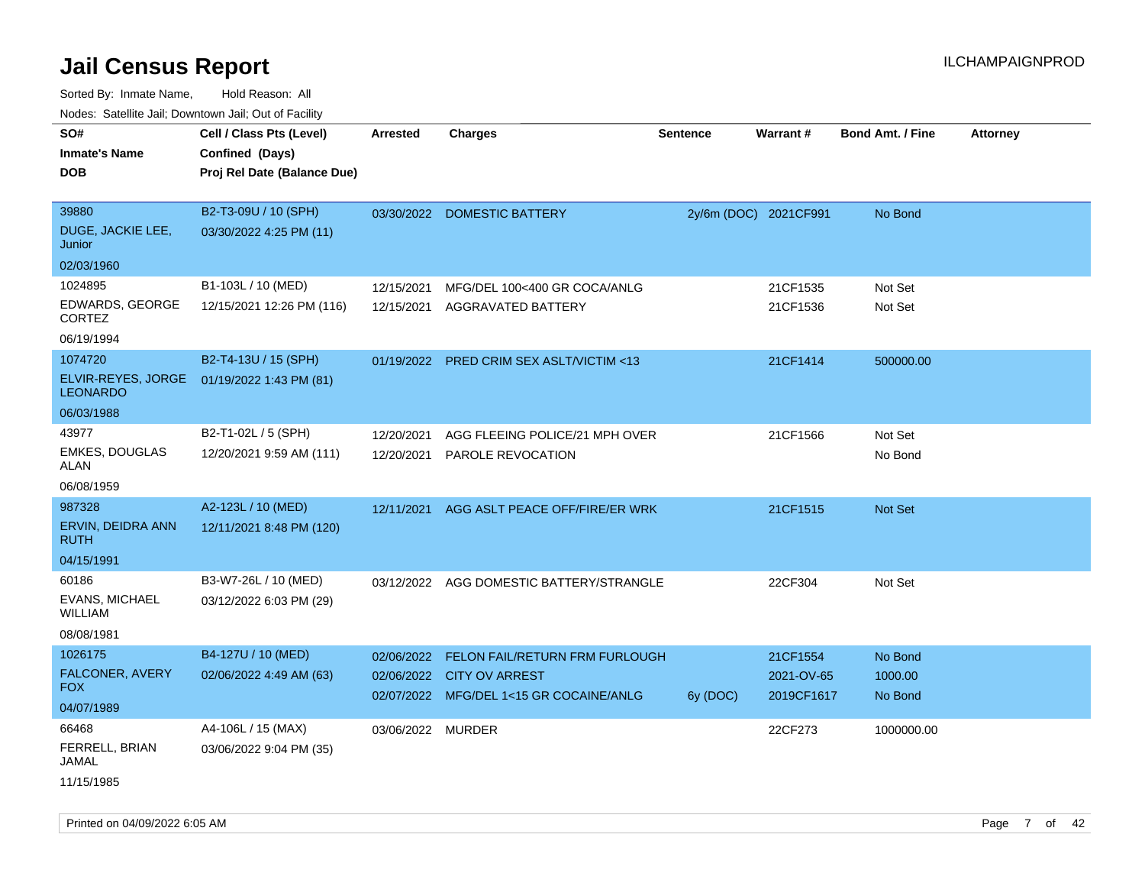| ivuutos. Saltiilit Jall, Duwilluwii Jall, Oul of Facility |                             |                   |                                          |          |                       |                         |                 |
|-----------------------------------------------------------|-----------------------------|-------------------|------------------------------------------|----------|-----------------------|-------------------------|-----------------|
| SO#                                                       | Cell / Class Pts (Level)    | Arrested          | <b>Charges</b>                           | Sentence | Warrant#              | <b>Bond Amt. / Fine</b> | <b>Attorney</b> |
| <b>Inmate's Name</b>                                      | Confined (Days)             |                   |                                          |          |                       |                         |                 |
| <b>DOB</b>                                                | Proj Rel Date (Balance Due) |                   |                                          |          |                       |                         |                 |
|                                                           |                             |                   |                                          |          |                       |                         |                 |
| 39880                                                     | B2-T3-09U / 10 (SPH)        |                   | 03/30/2022 DOMESTIC BATTERY              |          | 2y/6m (DOC) 2021CF991 | No Bond                 |                 |
| DUGE, JACKIE LEE,<br>Junior                               | 03/30/2022 4:25 PM (11)     |                   |                                          |          |                       |                         |                 |
| 02/03/1960                                                |                             |                   |                                          |          |                       |                         |                 |
| 1024895                                                   | B1-103L / 10 (MED)          | 12/15/2021        | MFG/DEL 100<400 GR COCA/ANLG             |          | 21CF1535              | Not Set                 |                 |
| EDWARDS, GEORGE<br><b>CORTEZ</b>                          | 12/15/2021 12:26 PM (116)   | 12/15/2021        | AGGRAVATED BATTERY                       |          | 21CF1536              | Not Set                 |                 |
| 06/19/1994                                                |                             |                   |                                          |          |                       |                         |                 |
| 1074720                                                   | B2-T4-13U / 15 (SPH)        |                   | 01/19/2022 PRED CRIM SEX ASLT/VICTIM <13 |          | 21CF1414              | 500000.00               |                 |
| ELVIR-REYES, JORGE<br><b>LEONARDO</b>                     | 01/19/2022 1:43 PM (81)     |                   |                                          |          |                       |                         |                 |
| 06/03/1988                                                |                             |                   |                                          |          |                       |                         |                 |
| 43977                                                     | B2-T1-02L / 5 (SPH)         | 12/20/2021        | AGG FLEEING POLICE/21 MPH OVER           |          | 21CF1566              | Not Set                 |                 |
| <b>EMKES, DOUGLAS</b><br>ALAN                             | 12/20/2021 9:59 AM (111)    | 12/20/2021        | PAROLE REVOCATION                        |          |                       | No Bond                 |                 |
| 06/08/1959                                                |                             |                   |                                          |          |                       |                         |                 |
| 987328                                                    | A2-123L / 10 (MED)          | 12/11/2021        | AGG ASLT PEACE OFF/FIRE/ER WRK           |          | 21CF1515              | Not Set                 |                 |
| ERVIN, DEIDRA ANN<br><b>RUTH</b>                          | 12/11/2021 8:48 PM (120)    |                   |                                          |          |                       |                         |                 |
| 04/15/1991                                                |                             |                   |                                          |          |                       |                         |                 |
| 60186                                                     | B3-W7-26L / 10 (MED)        |                   | 03/12/2022 AGG DOMESTIC BATTERY/STRANGLE |          | 22CF304               | Not Set                 |                 |
| EVANS, MICHAEL<br><b>WILLIAM</b>                          | 03/12/2022 6:03 PM (29)     |                   |                                          |          |                       |                         |                 |
| 08/08/1981                                                |                             |                   |                                          |          |                       |                         |                 |
| 1026175                                                   | B4-127U / 10 (MED)          | 02/06/2022        | <b>FELON FAIL/RETURN FRM FURLOUGH</b>    |          | 21CF1554              | No Bond                 |                 |
| FALCONER, AVERY                                           | 02/06/2022 4:49 AM (63)     | 02/06/2022        | <b>CITY OV ARREST</b>                    |          | 2021-OV-65            | 1000.00                 |                 |
| <b>FOX</b>                                                |                             |                   | 02/07/2022 MFG/DEL 1<15 GR COCAINE/ANLG  | 6y (DOC) | 2019CF1617            | No Bond                 |                 |
| 04/07/1989                                                |                             |                   |                                          |          |                       |                         |                 |
| 66468                                                     | A4-106L / 15 (MAX)          | 03/06/2022 MURDER |                                          |          | 22CF273               | 1000000.00              |                 |
| FERRELL, BRIAN<br>JAMAL                                   | 03/06/2022 9:04 PM (35)     |                   |                                          |          |                       |                         |                 |
| 11/15/1985                                                |                             |                   |                                          |          |                       |                         |                 |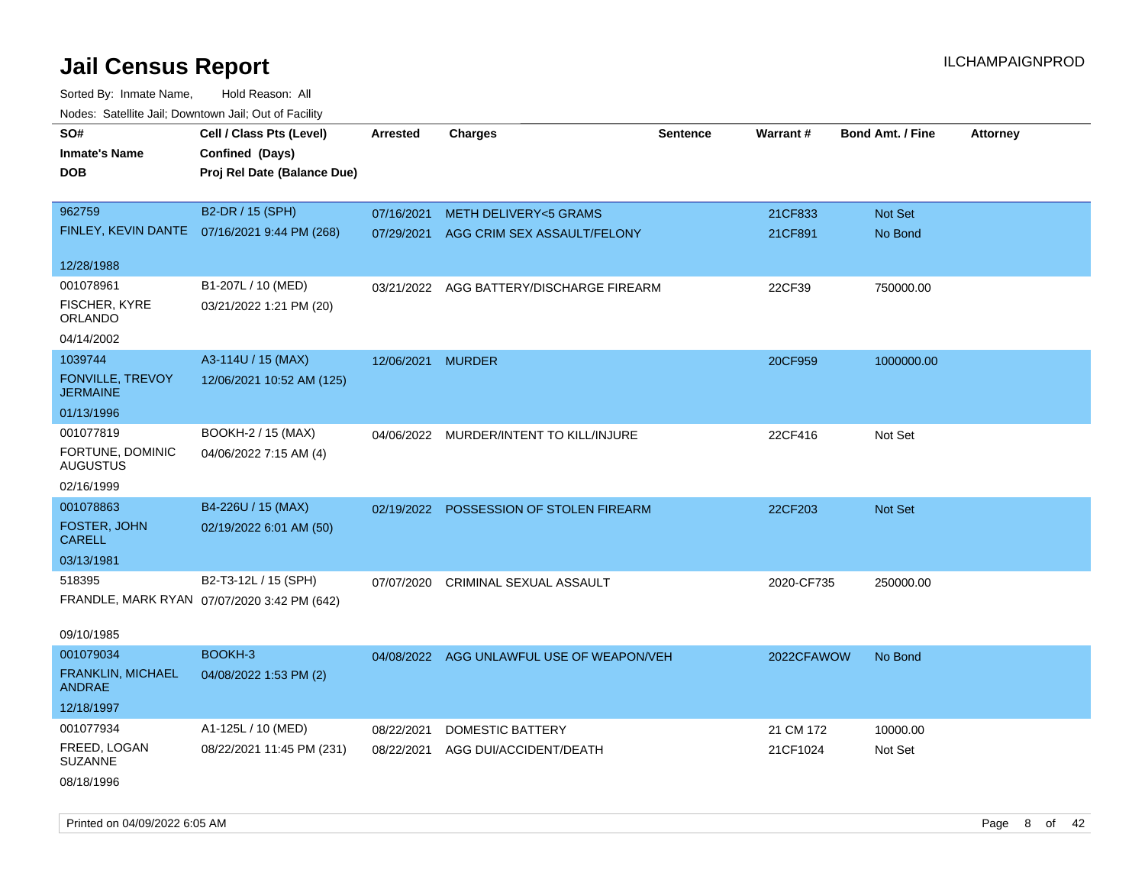| rouco. Calcinic Jan, Downtown Jan, Out of Facility |                                              |                   |                                           |                 |                 |                         |                 |
|----------------------------------------------------|----------------------------------------------|-------------------|-------------------------------------------|-----------------|-----------------|-------------------------|-----------------|
| SO#                                                | Cell / Class Pts (Level)                     | <b>Arrested</b>   | <b>Charges</b>                            | <b>Sentence</b> | <b>Warrant#</b> | <b>Bond Amt. / Fine</b> | <b>Attorney</b> |
| <b>Inmate's Name</b>                               | Confined (Days)                              |                   |                                           |                 |                 |                         |                 |
| <b>DOB</b>                                         | Proj Rel Date (Balance Due)                  |                   |                                           |                 |                 |                         |                 |
|                                                    |                                              |                   |                                           |                 |                 |                         |                 |
| 962759                                             | B2-DR / 15 (SPH)                             | 07/16/2021        | <b>METH DELIVERY&lt;5 GRAMS</b>           |                 | 21CF833         | Not Set                 |                 |
|                                                    | FINLEY, KEVIN DANTE 07/16/2021 9:44 PM (268) | 07/29/2021        | AGG CRIM SEX ASSAULT/FELONY               |                 | 21CF891         | No Bond                 |                 |
|                                                    |                                              |                   |                                           |                 |                 |                         |                 |
| 12/28/1988                                         |                                              |                   |                                           |                 |                 |                         |                 |
| 001078961                                          | B1-207L / 10 (MED)                           | 03/21/2022        | AGG BATTERY/DISCHARGE FIREARM             |                 | 22CF39          | 750000.00               |                 |
| FISCHER, KYRE<br>ORLANDO                           | 03/21/2022 1:21 PM (20)                      |                   |                                           |                 |                 |                         |                 |
| 04/14/2002                                         |                                              |                   |                                           |                 |                 |                         |                 |
| 1039744                                            | A3-114U / 15 (MAX)                           | 12/06/2021 MURDER |                                           |                 | 20CF959         | 1000000.00              |                 |
| FONVILLE, TREVOY<br><b>JERMAINE</b>                | 12/06/2021 10:52 AM (125)                    |                   |                                           |                 |                 |                         |                 |
| 01/13/1996                                         |                                              |                   |                                           |                 |                 |                         |                 |
| 001077819                                          | BOOKH-2 / 15 (MAX)                           |                   | 04/06/2022 MURDER/INTENT TO KILL/INJURE   |                 | 22CF416         | Not Set                 |                 |
| FORTUNE, DOMINIC<br><b>AUGUSTUS</b>                | 04/06/2022 7:15 AM (4)                       |                   |                                           |                 |                 |                         |                 |
| 02/16/1999                                         |                                              |                   |                                           |                 |                 |                         |                 |
| 001078863                                          | B4-226U / 15 (MAX)                           |                   | 02/19/2022 POSSESSION OF STOLEN FIREARM   |                 | 22CF203         | Not Set                 |                 |
| <b>FOSTER, JOHN</b><br><b>CARELL</b>               | 02/19/2022 6:01 AM (50)                      |                   |                                           |                 |                 |                         |                 |
| 03/13/1981                                         |                                              |                   |                                           |                 |                 |                         |                 |
| 518395                                             | B2-T3-12L / 15 (SPH)                         | 07/07/2020        | CRIMINAL SEXUAL ASSAULT                   |                 | 2020-CF735      | 250000.00               |                 |
|                                                    | FRANDLE, MARK RYAN 07/07/2020 3:42 PM (642)  |                   |                                           |                 |                 |                         |                 |
|                                                    |                                              |                   |                                           |                 |                 |                         |                 |
| 09/10/1985                                         |                                              |                   |                                           |                 |                 |                         |                 |
| 001079034                                          | BOOKH-3                                      |                   | 04/08/2022 AGG UNLAWFUL USE OF WEAPON/VEH |                 | 2022CFAWOW      | No Bond                 |                 |
| FRANKLIN, MICHAEL<br><b>ANDRAE</b>                 | 04/08/2022 1:53 PM (2)                       |                   |                                           |                 |                 |                         |                 |
| 12/18/1997                                         |                                              |                   |                                           |                 |                 |                         |                 |
| 001077934                                          | A1-125L / 10 (MED)                           | 08/22/2021        | <b>DOMESTIC BATTERY</b>                   |                 | 21 CM 172       | 10000.00                |                 |
| FREED, LOGAN<br><b>SUZANNE</b>                     | 08/22/2021 11:45 PM (231)                    | 08/22/2021        | AGG DUI/ACCIDENT/DEATH                    |                 | 21CF1024        | Not Set                 |                 |
| 08/18/1996                                         |                                              |                   |                                           |                 |                 |                         |                 |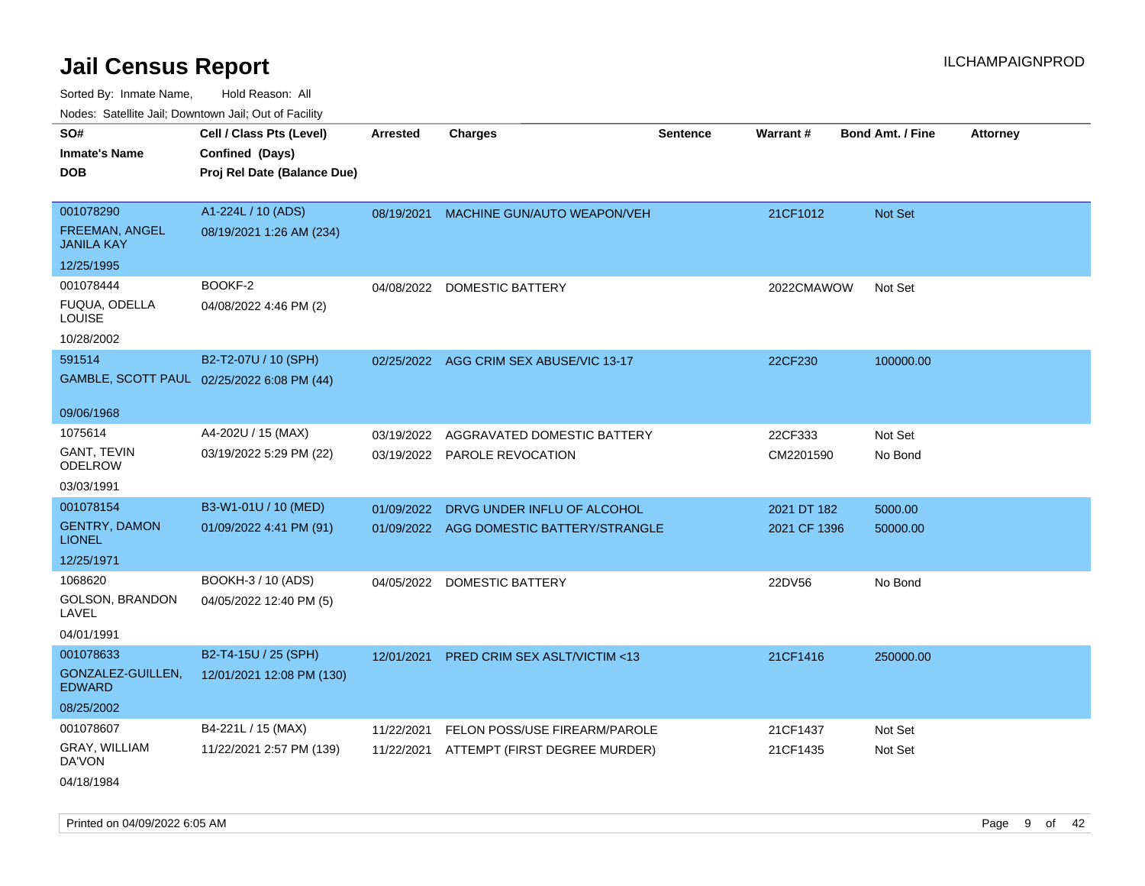| ivuutos. Saltiilit Jali, Duwilluwii Jali, Oul of Facility |                                            |            |                               |                 |              |                         |                 |
|-----------------------------------------------------------|--------------------------------------------|------------|-------------------------------|-----------------|--------------|-------------------------|-----------------|
| SO#                                                       | Cell / Class Pts (Level)                   | Arrested   | <b>Charges</b>                | <b>Sentence</b> | Warrant#     | <b>Bond Amt. / Fine</b> | <b>Attorney</b> |
| <b>Inmate's Name</b>                                      | Confined (Days)                            |            |                               |                 |              |                         |                 |
| <b>DOB</b>                                                | Proj Rel Date (Balance Due)                |            |                               |                 |              |                         |                 |
|                                                           |                                            |            |                               |                 |              |                         |                 |
| 001078290                                                 | A1-224L / 10 (ADS)                         | 08/19/2021 | MACHINE GUN/AUTO WEAPON/VEH   |                 | 21CF1012     | <b>Not Set</b>          |                 |
| <b>FREEMAN, ANGEL</b><br><b>JANILA KAY</b>                | 08/19/2021 1:26 AM (234)                   |            |                               |                 |              |                         |                 |
| 12/25/1995                                                |                                            |            |                               |                 |              |                         |                 |
| 001078444                                                 | BOOKF-2                                    | 04/08/2022 | DOMESTIC BATTERY              |                 | 2022CMAWOW   | Not Set                 |                 |
| FUQUA, ODELLA<br><b>LOUISE</b>                            | 04/08/2022 4:46 PM (2)                     |            |                               |                 |              |                         |                 |
| 10/28/2002                                                |                                            |            |                               |                 |              |                         |                 |
| 591514                                                    | B2-T2-07U / 10 (SPH)                       | 02/25/2022 | AGG CRIM SEX ABUSE/VIC 13-17  |                 | 22CF230      | 100000.00               |                 |
|                                                           | GAMBLE, SCOTT PAUL 02/25/2022 6:08 PM (44) |            |                               |                 |              |                         |                 |
|                                                           |                                            |            |                               |                 |              |                         |                 |
| 09/06/1968                                                |                                            |            |                               |                 |              |                         |                 |
| 1075614                                                   | A4-202U / 15 (MAX)                         | 03/19/2022 | AGGRAVATED DOMESTIC BATTERY   |                 | 22CF333      | Not Set                 |                 |
| <b>GANT, TEVIN</b><br><b>ODELROW</b>                      | 03/19/2022 5:29 PM (22)                    | 03/19/2022 | PAROLE REVOCATION             |                 | CM2201590    | No Bond                 |                 |
| 03/03/1991                                                |                                            |            |                               |                 |              |                         |                 |
| 001078154                                                 | B3-W1-01U / 10 (MED)                       | 01/09/2022 | DRVG UNDER INFLU OF ALCOHOL   |                 | 2021 DT 182  | 5000.00                 |                 |
| <b>GENTRY, DAMON</b><br><b>LIONEL</b>                     | 01/09/2022 4:41 PM (91)                    | 01/09/2022 | AGG DOMESTIC BATTERY/STRANGLE |                 | 2021 CF 1396 | 50000.00                |                 |
| 12/25/1971                                                |                                            |            |                               |                 |              |                         |                 |
| 1068620                                                   | BOOKH-3 / 10 (ADS)                         | 04/05/2022 | DOMESTIC BATTERY              |                 | 22DV56       | No Bond                 |                 |
| <b>GOLSON, BRANDON</b><br>LAVEL                           | 04/05/2022 12:40 PM (5)                    |            |                               |                 |              |                         |                 |
| 04/01/1991                                                |                                            |            |                               |                 |              |                         |                 |
| 001078633                                                 | B2-T4-15U / 25 (SPH)                       | 12/01/2021 | PRED CRIM SEX ASLT/VICTIM <13 |                 | 21CF1416     | 250000.00               |                 |
| GONZALEZ-GUILLEN,<br><b>EDWARD</b>                        | 12/01/2021 12:08 PM (130)                  |            |                               |                 |              |                         |                 |
| 08/25/2002                                                |                                            |            |                               |                 |              |                         |                 |
| 001078607                                                 | B4-221L / 15 (MAX)                         | 11/22/2021 | FELON POSS/USE FIREARM/PAROLE |                 | 21CF1437     | Not Set                 |                 |
| GRAY, WILLIAM<br>DA'VON                                   | 11/22/2021 2:57 PM (139)                   | 11/22/2021 | ATTEMPT (FIRST DEGREE MURDER) |                 | 21CF1435     | Not Set                 |                 |
| 04/18/1984                                                |                                            |            |                               |                 |              |                         |                 |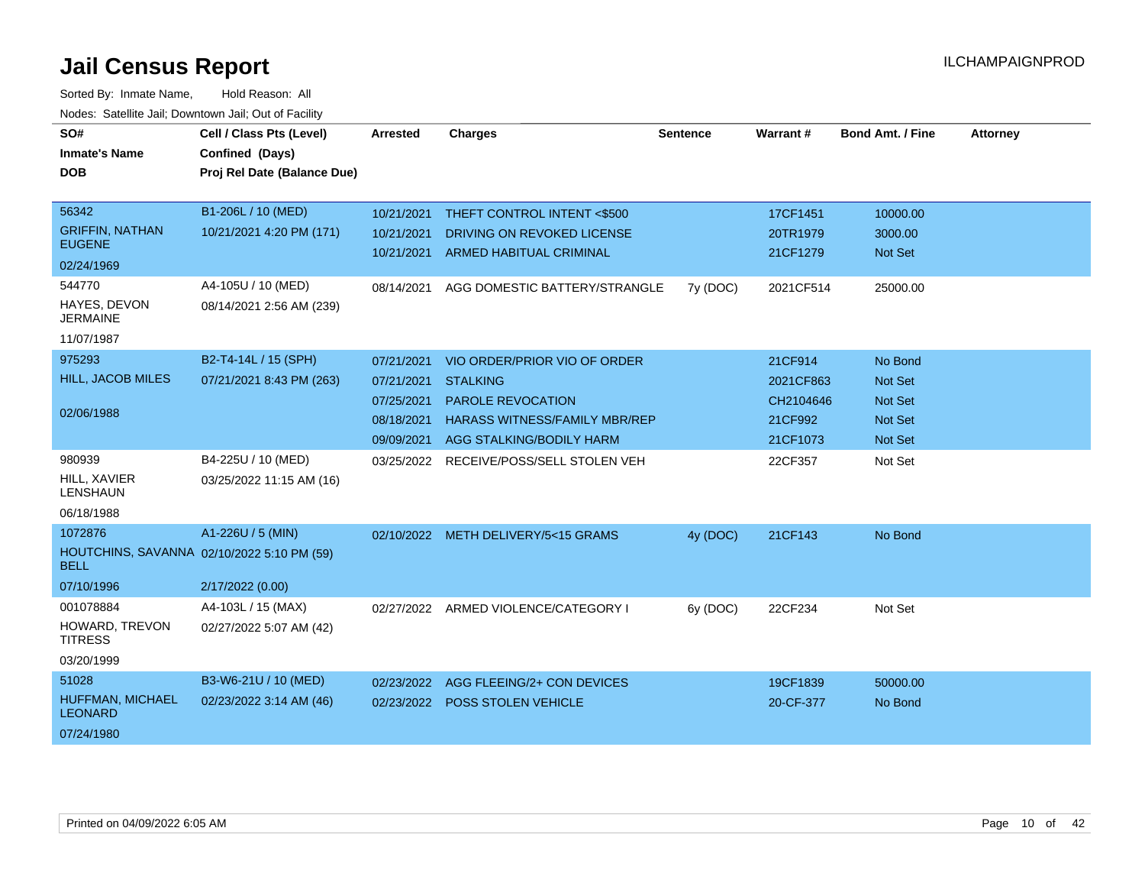| SO#                                     | Cell / Class Pts (Level)                   | <b>Arrested</b> | <b>Charges</b>                       | <b>Sentence</b> | Warrant # | <b>Bond Amt. / Fine</b> | <b>Attorney</b> |
|-----------------------------------------|--------------------------------------------|-----------------|--------------------------------------|-----------------|-----------|-------------------------|-----------------|
| <b>Inmate's Name</b>                    | Confined (Days)                            |                 |                                      |                 |           |                         |                 |
| <b>DOB</b>                              | Proj Rel Date (Balance Due)                |                 |                                      |                 |           |                         |                 |
|                                         |                                            |                 |                                      |                 |           |                         |                 |
| 56342                                   | B1-206L / 10 (MED)                         | 10/21/2021      | THEFT CONTROL INTENT <\$500          |                 | 17CF1451  | 10000.00                |                 |
| <b>GRIFFIN, NATHAN</b><br><b>EUGENE</b> | 10/21/2021 4:20 PM (171)                   | 10/21/2021      | DRIVING ON REVOKED LICENSE           |                 | 20TR1979  | 3000.00                 |                 |
| 02/24/1969                              |                                            | 10/21/2021      | <b>ARMED HABITUAL CRIMINAL</b>       |                 | 21CF1279  | <b>Not Set</b>          |                 |
| 544770                                  | A4-105U / 10 (MED)                         | 08/14/2021      | AGG DOMESTIC BATTERY/STRANGLE        | 7y (DOC)        | 2021CF514 | 25000.00                |                 |
| HAYES, DEVON<br><b>JERMAINE</b>         | 08/14/2021 2:56 AM (239)                   |                 |                                      |                 |           |                         |                 |
| 11/07/1987                              |                                            |                 |                                      |                 |           |                         |                 |
| 975293                                  | B2-T4-14L / 15 (SPH)                       | 07/21/2021      | VIO ORDER/PRIOR VIO OF ORDER         |                 | 21CF914   | No Bond                 |                 |
| HILL, JACOB MILES                       | 07/21/2021 8:43 PM (263)                   | 07/21/2021      | <b>STALKING</b>                      |                 | 2021CF863 | Not Set                 |                 |
|                                         |                                            | 07/25/2021      | <b>PAROLE REVOCATION</b>             |                 | CH2104646 | <b>Not Set</b>          |                 |
| 02/06/1988                              |                                            | 08/18/2021      | <b>HARASS WITNESS/FAMILY MBR/REP</b> |                 | 21CF992   | <b>Not Set</b>          |                 |
|                                         |                                            | 09/09/2021      | AGG STALKING/BODILY HARM             |                 | 21CF1073  | Not Set                 |                 |
| 980939                                  | B4-225U / 10 (MED)                         | 03/25/2022      | RECEIVE/POSS/SELL STOLEN VEH         |                 | 22CF357   | Not Set                 |                 |
| HILL, XAVIER<br><b>LENSHAUN</b>         | 03/25/2022 11:15 AM (16)                   |                 |                                      |                 |           |                         |                 |
| 06/18/1988                              |                                            |                 |                                      |                 |           |                         |                 |
| 1072876                                 | A1-226U / 5 (MIN)                          |                 | 02/10/2022 METH DELIVERY/5<15 GRAMS  | 4y (DOC)        | 21CF143   | No Bond                 |                 |
| <b>BELL</b>                             | HOUTCHINS, SAVANNA 02/10/2022 5:10 PM (59) |                 |                                      |                 |           |                         |                 |
| 07/10/1996                              | 2/17/2022 (0.00)                           |                 |                                      |                 |           |                         |                 |
| 001078884                               | A4-103L / 15 (MAX)                         | 02/27/2022      | ARMED VIOLENCE/CATEGORY I            | 6y (DOC)        | 22CF234   | Not Set                 |                 |
| HOWARD, TREVON<br><b>TITRESS</b>        | 02/27/2022 5:07 AM (42)                    |                 |                                      |                 |           |                         |                 |
| 03/20/1999                              |                                            |                 |                                      |                 |           |                         |                 |
| 51028                                   | B3-W6-21U / 10 (MED)                       | 02/23/2022      | AGG FLEEING/2+ CON DEVICES           |                 | 19CF1839  | 50000.00                |                 |
| HUFFMAN, MICHAEL<br><b>LEONARD</b>      | 02/23/2022 3:14 AM (46)                    | 02/23/2022      | <b>POSS STOLEN VEHICLE</b>           |                 | 20-CF-377 | No Bond                 |                 |
| 07/24/1980                              |                                            |                 |                                      |                 |           |                         |                 |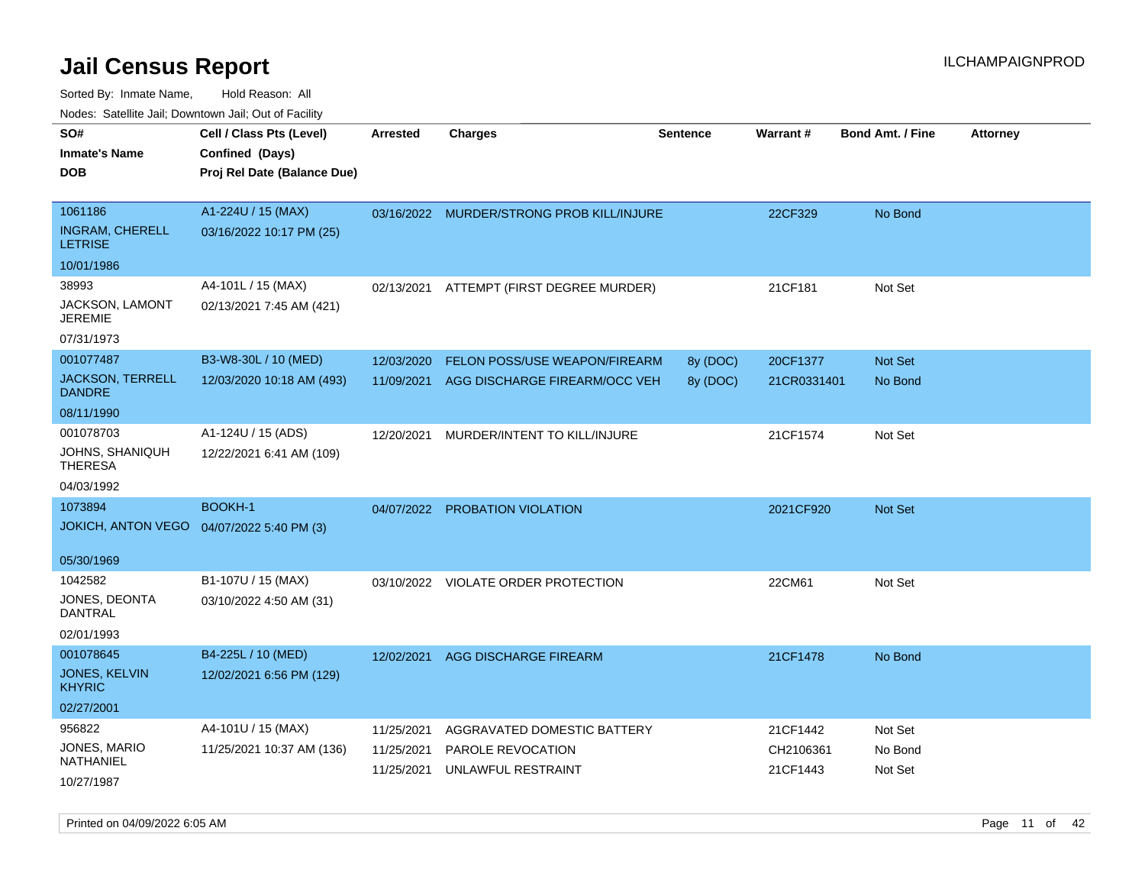Sorted By: Inmate Name, Hold Reason: All Nodes: Satellite Jail; Downtown Jail; Out of Facility

| rouco. Calcinic Jan, Downtown Jan, Out of Facility              |                                                                            |                                        |                                                                        |                      |                                   |                               |                 |
|-----------------------------------------------------------------|----------------------------------------------------------------------------|----------------------------------------|------------------------------------------------------------------------|----------------------|-----------------------------------|-------------------------------|-----------------|
| SO#<br>Inmate's Name<br>DOB                                     | Cell / Class Pts (Level)<br>Confined (Days)<br>Proj Rel Date (Balance Due) | <b>Arrested</b>                        | Charges                                                                | <b>Sentence</b>      | Warrant#                          | <b>Bond Amt. / Fine</b>       | <b>Attorney</b> |
| 1061186<br><b>INGRAM, CHERELL</b>                               | A1-224U / 15 (MAX)<br>03/16/2022 10:17 PM (25)                             |                                        | 03/16/2022 MURDER/STRONG PROB KILL/INJURE                              |                      | 22CF329                           | No Bond                       |                 |
| <b>LETRISE</b><br>10/01/1986                                    |                                                                            |                                        |                                                                        |                      |                                   |                               |                 |
| 38993<br>JACKSON, LAMONT<br>JEREMIE<br>07/31/1973               | A4-101L / 15 (MAX)<br>02/13/2021 7:45 AM (421)                             | 02/13/2021                             | ATTEMPT (FIRST DEGREE MURDER)                                          |                      | 21CF181                           | Not Set                       |                 |
| 001077487<br><b>JACKSON, TERRELL</b><br>DANDRE<br>08/11/1990    | B3-W8-30L / 10 (MED)<br>12/03/2020 10:18 AM (493)                          | 12/03/2020<br>11/09/2021               | FELON POSS/USE WEAPON/FIREARM<br>AGG DISCHARGE FIREARM/OCC VEH         | 8y (DOC)<br>8y (DOC) | 20CF1377<br>21CR0331401           | Not Set<br>No Bond            |                 |
| 001078703<br>JOHNS, SHANIQUH<br>THERESA<br>04/03/1992           | A1-124U / 15 (ADS)<br>12/22/2021 6:41 AM (109)                             | 12/20/2021                             | MURDER/INTENT TO KILL/INJURE                                           |                      | 21CF1574                          | Not Set                       |                 |
| 1073894<br>JOKICH, ANTON VEGO 04/07/2022 5:40 PM (3)            | <b>BOOKH-1</b>                                                             |                                        | 04/07/2022 PROBATION VIOLATION                                         |                      | 2021CF920                         | <b>Not Set</b>                |                 |
| 05/30/1969<br>1042582<br>JONES, DEONTA<br>DANTRAL<br>02/01/1993 | B1-107U / 15 (MAX)<br>03/10/2022 4:50 AM (31)                              |                                        | 03/10/2022 VIOLATE ORDER PROTECTION                                    |                      | 22CM61                            | Not Set                       |                 |
| 001078645<br>JONES, KELVIN<br><b>KHYRIC</b><br>02/27/2001       | B4-225L / 10 (MED)<br>12/02/2021 6:56 PM (129)                             | 12/02/2021                             | AGG DISCHARGE FIREARM                                                  |                      | 21CF1478                          | No Bond                       |                 |
| 956822<br>JONES, MARIO<br>NATHANIEL<br>10/27/1987               | A4-101U / 15 (MAX)<br>11/25/2021 10:37 AM (136)                            | 11/25/2021<br>11/25/2021<br>11/25/2021 | AGGRAVATED DOMESTIC BATTERY<br>PAROLE REVOCATION<br>UNLAWFUL RESTRAINT |                      | 21CF1442<br>CH2106361<br>21CF1443 | Not Set<br>No Bond<br>Not Set |                 |

Printed on 04/09/2022 6:05 AM **Page 11** of 42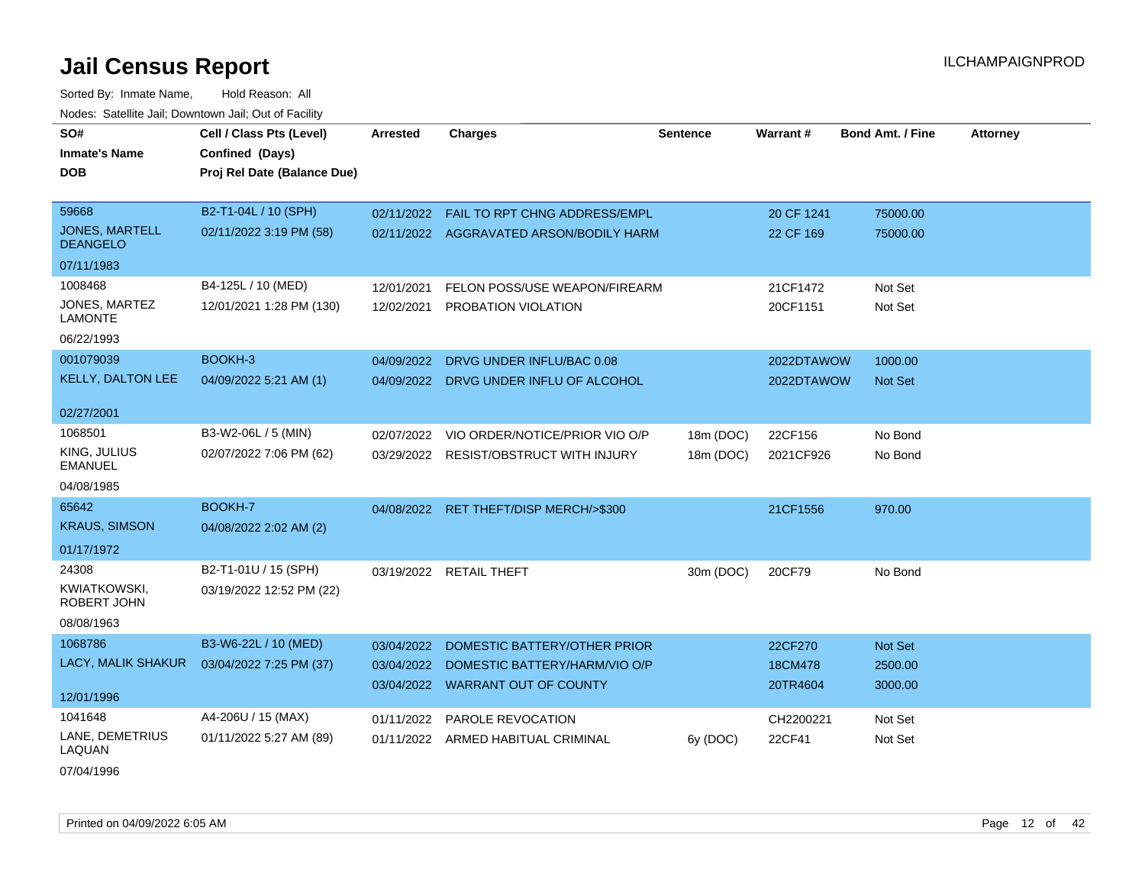| SO#                                      | Cell / Class Pts (Level)    | <b>Arrested</b> | <b>Charges</b>                            | <b>Sentence</b> | Warrant #  | <b>Bond Amt. / Fine</b> | <b>Attorney</b> |
|------------------------------------------|-----------------------------|-----------------|-------------------------------------------|-----------------|------------|-------------------------|-----------------|
| <b>Inmate's Name</b>                     | Confined (Days)             |                 |                                           |                 |            |                         |                 |
| <b>DOB</b>                               | Proj Rel Date (Balance Due) |                 |                                           |                 |            |                         |                 |
|                                          |                             |                 |                                           |                 |            |                         |                 |
| 59668                                    | B2-T1-04L / 10 (SPH)        |                 | 02/11/2022  FAIL TO RPT CHNG ADDRESS/EMPL |                 | 20 CF 1241 | 75000.00                |                 |
| <b>JONES, MARTELL</b><br><b>DEANGELO</b> | 02/11/2022 3:19 PM (58)     |                 | 02/11/2022 AGGRAVATED ARSON/BODILY HARM   |                 | 22 CF 169  | 75000.00                |                 |
| 07/11/1983                               |                             |                 |                                           |                 |            |                         |                 |
| 1008468                                  | B4-125L / 10 (MED)          | 12/01/2021      | FELON POSS/USE WEAPON/FIREARM             |                 | 21CF1472   | Not Set                 |                 |
| JONES, MARTEZ<br><b>LAMONTE</b>          | 12/01/2021 1:28 PM (130)    | 12/02/2021      | PROBATION VIOLATION                       |                 | 20CF1151   | Not Set                 |                 |
| 06/22/1993                               |                             |                 |                                           |                 |            |                         |                 |
| 001079039                                | BOOKH-3                     | 04/09/2022      | DRVG UNDER INFLU/BAC 0.08                 |                 | 2022DTAWOW | 1000.00                 |                 |
| <b>KELLY, DALTON LEE</b>                 | 04/09/2022 5:21 AM (1)      |                 | 04/09/2022 DRVG UNDER INFLU OF ALCOHOL    |                 | 2022DTAWOW | <b>Not Set</b>          |                 |
| 02/27/2001                               |                             |                 |                                           |                 |            |                         |                 |
| 1068501                                  | B3-W2-06L / 5 (MIN)         | 02/07/2022      | VIO ORDER/NOTICE/PRIOR VIO O/P            | 18m (DOC)       | 22CF156    | No Bond                 |                 |
| KING, JULIUS                             | 02/07/2022 7:06 PM (62)     |                 | 03/29/2022 RESIST/OBSTRUCT WITH INJURY    | 18m (DOC)       | 2021CF926  | No Bond                 |                 |
| <b>EMANUEL</b>                           |                             |                 |                                           |                 |            |                         |                 |
| 04/08/1985                               |                             |                 |                                           |                 |            |                         |                 |
| 65642                                    | BOOKH-7                     | 04/08/2022      | RET THEFT/DISP MERCH/>\$300               |                 | 21CF1556   | 970.00                  |                 |
| <b>KRAUS, SIMSON</b>                     | 04/08/2022 2:02 AM (2)      |                 |                                           |                 |            |                         |                 |
| 01/17/1972                               |                             |                 |                                           |                 |            |                         |                 |
| 24308                                    | B2-T1-01U / 15 (SPH)        |                 | 03/19/2022 RETAIL THEFT                   | 30m (DOC)       | 20CF79     | No Bond                 |                 |
| <b>KWIATKOWSKI,</b>                      | 03/19/2022 12:52 PM (22)    |                 |                                           |                 |            |                         |                 |
| ROBERT JOHN                              |                             |                 |                                           |                 |            |                         |                 |
| 08/08/1963                               |                             |                 |                                           |                 |            |                         |                 |
| 1068786                                  | B3-W6-22L / 10 (MED)        | 03/04/2022      | DOMESTIC BATTERY/OTHER PRIOR              |                 | 22CF270    | Not Set                 |                 |
| LACY, MALIK SHAKUR                       | 03/04/2022 7:25 PM (37)     | 03/04/2022      | DOMESTIC BATTERY/HARM/VIO O/P             |                 | 18CM478    | 2500.00                 |                 |
| 12/01/1996                               |                             |                 | 03/04/2022 WARRANT OUT OF COUNTY          |                 | 20TR4604   | 3000.00                 |                 |
| 1041648                                  | A4-206U / 15 (MAX)          | 01/11/2022      | <b>PAROLE REVOCATION</b>                  |                 | CH2200221  | Not Set                 |                 |
| LANE, DEMETRIUS<br>LAQUAN                | 01/11/2022 5:27 AM (89)     |                 | 01/11/2022 ARMED HABITUAL CRIMINAL        | 6y (DOC)        | 22CF41     | Not Set                 |                 |
| 07/04/1996                               |                             |                 |                                           |                 |            |                         |                 |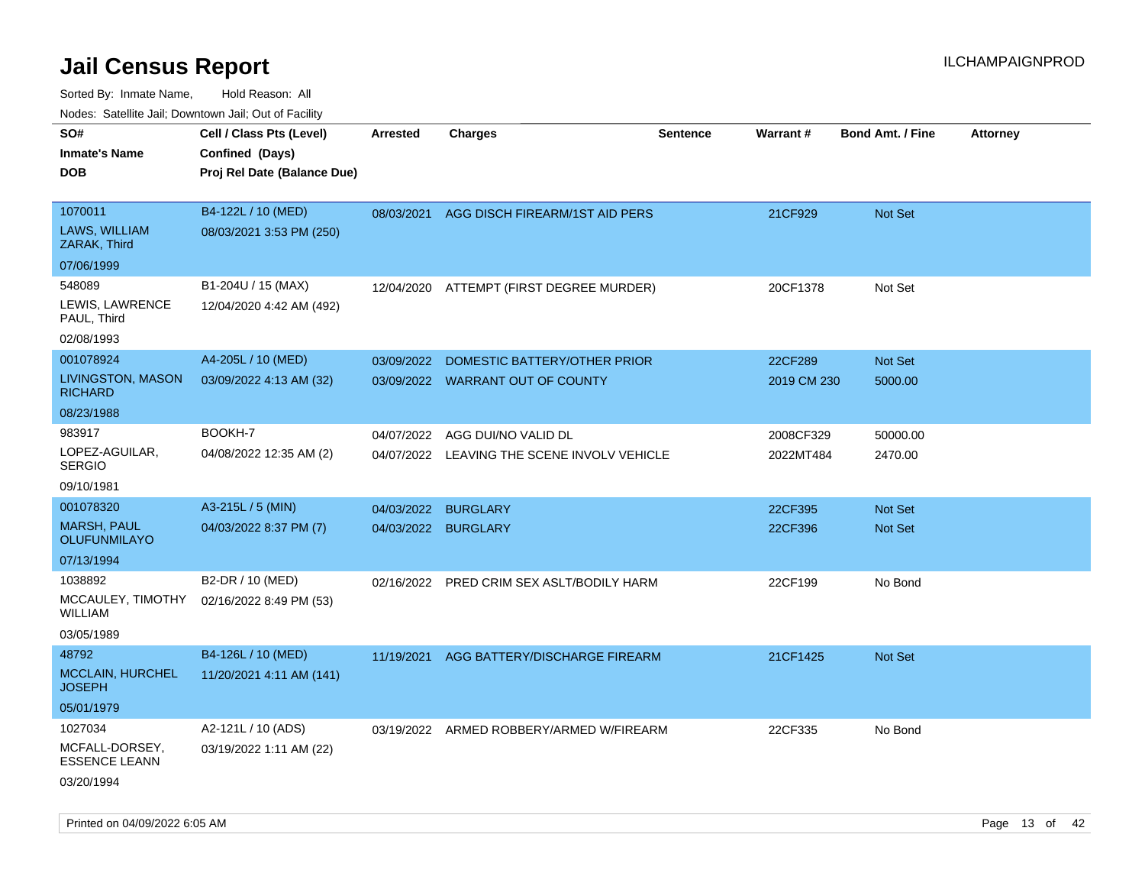| rouco. Calcillo Jali, Downtown Jali, Out of Facility            |                                                                            |                          |                                                                  |                 |                        |                           |                 |
|-----------------------------------------------------------------|----------------------------------------------------------------------------|--------------------------|------------------------------------------------------------------|-----------------|------------------------|---------------------------|-----------------|
| SO#<br>Inmate's Name<br>DOB                                     | Cell / Class Pts (Level)<br>Confined (Days)<br>Proj Rel Date (Balance Due) | <b>Arrested</b>          | <b>Charges</b>                                                   | <b>Sentence</b> | <b>Warrant#</b>        | <b>Bond Amt. / Fine</b>   | <b>Attorney</b> |
|                                                                 |                                                                            |                          |                                                                  |                 |                        |                           |                 |
| 1070011<br>LAWS, WILLIAM<br>ZARAK, Third                        | B4-122L / 10 (MED)<br>08/03/2021 3:53 PM (250)                             |                          | 08/03/2021 AGG DISCH FIREARM/1ST AID PERS                        |                 | 21CF929                | <b>Not Set</b>            |                 |
| 07/06/1999                                                      |                                                                            |                          |                                                                  |                 |                        |                           |                 |
| 548089<br>LEWIS, LAWRENCE<br>PAUL, Third                        | B1-204U / 15 (MAX)<br>12/04/2020 4:42 AM (492)                             | 12/04/2020               | ATTEMPT (FIRST DEGREE MURDER)                                    |                 | 20CF1378               | Not Set                   |                 |
| 02/08/1993                                                      |                                                                            |                          |                                                                  |                 |                        |                           |                 |
| 001078924<br><b>LIVINGSTON, MASON</b><br><b>RICHARD</b>         | A4-205L / 10 (MED)<br>03/09/2022 4:13 AM (32)                              | 03/09/2022               | DOMESTIC BATTERY/OTHER PRIOR<br>03/09/2022 WARRANT OUT OF COUNTY |                 | 22CF289<br>2019 CM 230 | <b>Not Set</b><br>5000.00 |                 |
| 08/23/1988                                                      |                                                                            |                          |                                                                  |                 |                        |                           |                 |
| 983917<br>LOPEZ-AGUILAR,<br>SERGIO                              | BOOKH-7<br>04/08/2022 12:35 AM (2)                                         | 04/07/2022<br>04/07/2022 | AGG DUI/NO VALID DL<br>LEAVING THE SCENE INVOLV VEHICLE          |                 | 2008CF329<br>2022MT484 | 50000.00<br>2470.00       |                 |
| 09/10/1981                                                      |                                                                            |                          |                                                                  |                 |                        |                           |                 |
| 001078320                                                       | A3-215L / 5 (MIN)                                                          | 04/03/2022               | <b>BURGLARY</b>                                                  |                 | 22CF395                | <b>Not Set</b>            |                 |
| MARSH, PAUL<br>OLUFUNMILAYO                                     | 04/03/2022 8:37 PM (7)                                                     | 04/03/2022               | <b>BURGLARY</b>                                                  |                 | 22CF396                | Not Set                   |                 |
| 07/13/1994                                                      |                                                                            |                          |                                                                  |                 |                        |                           |                 |
| 1038892<br>MCCAULEY, TIMOTHY<br>WILLIAM<br>03/05/1989           | B2-DR / 10 (MED)<br>02/16/2022 8:49 PM (53)                                | 02/16/2022               | PRED CRIM SEX ASLT/BODILY HARM                                   |                 | 22CF199                | No Bond                   |                 |
| 48792                                                           | B4-126L / 10 (MED)                                                         | 11/19/2021               | AGG BATTERY/DISCHARGE FIREARM                                    |                 | 21CF1425               | <b>Not Set</b>            |                 |
| MCCLAIN, HURCHEL<br>JOSEPH                                      | 11/20/2021 4:11 AM (141)                                                   |                          |                                                                  |                 |                        |                           |                 |
| 05/01/1979                                                      |                                                                            |                          |                                                                  |                 |                        |                           |                 |
| 1027034<br>MCFALL-DORSEY,<br><b>ESSENCE LEANN</b><br>03/20/1994 | A2-121L / 10 (ADS)<br>03/19/2022 1:11 AM (22)                              |                          | 03/19/2022 ARMED ROBBERY/ARMED W/FIREARM                         |                 | 22CF335                | No Bond                   |                 |
|                                                                 |                                                                            |                          |                                                                  |                 |                        |                           |                 |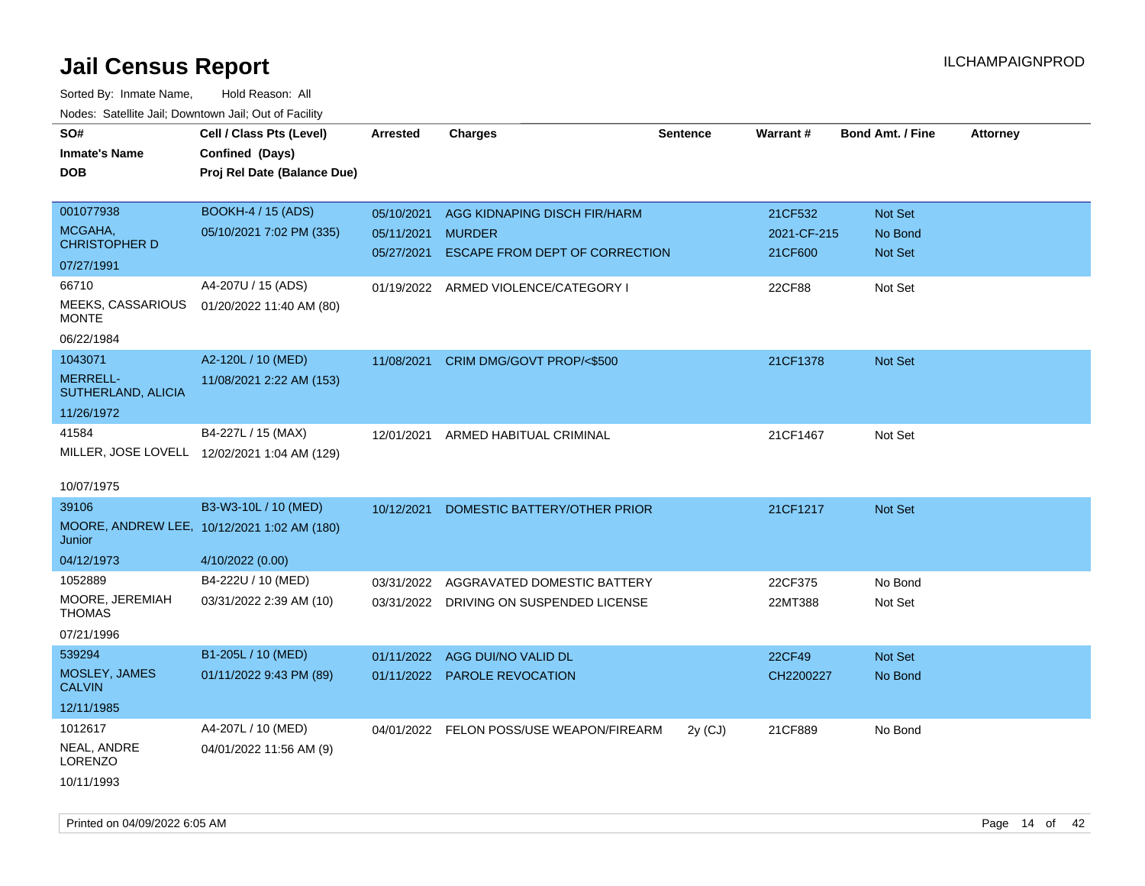| SO#                                   | Cell / Class Pts (Level)                     | Arrested   | <b>Charges</b>                           | <b>Sentence</b> | <b>Warrant#</b> | <b>Bond Amt. / Fine</b> | <b>Attorney</b> |
|---------------------------------------|----------------------------------------------|------------|------------------------------------------|-----------------|-----------------|-------------------------|-----------------|
| <b>Inmate's Name</b>                  | Confined (Days)                              |            |                                          |                 |                 |                         |                 |
| <b>DOB</b>                            | Proj Rel Date (Balance Due)                  |            |                                          |                 |                 |                         |                 |
|                                       |                                              |            |                                          |                 |                 |                         |                 |
| 001077938                             | <b>BOOKH-4 / 15 (ADS)</b>                    | 05/10/2021 | AGG KIDNAPING DISCH FIR/HARM             |                 | 21CF532         | Not Set                 |                 |
| MCGAHA,                               | 05/10/2021 7:02 PM (335)                     | 05/11/2021 | <b>MURDER</b>                            |                 | 2021-CF-215     | No Bond                 |                 |
| <b>CHRISTOPHER D</b>                  |                                              | 05/27/2021 | ESCAPE FROM DEPT OF CORRECTION           |                 | 21CF600         | Not Set                 |                 |
| 07/27/1991                            |                                              |            |                                          |                 |                 |                         |                 |
| 66710                                 | A4-207U / 15 (ADS)                           |            | 01/19/2022 ARMED VIOLENCE/CATEGORY I     |                 | 22CF88          | Not Set                 |                 |
| MEEKS, CASSARIOUS<br><b>MONTE</b>     | 01/20/2022 11:40 AM (80)                     |            |                                          |                 |                 |                         |                 |
| 06/22/1984                            |                                              |            |                                          |                 |                 |                         |                 |
| 1043071                               | A2-120L / 10 (MED)                           | 11/08/2021 | CRIM DMG/GOVT PROP/<\$500                |                 | 21CF1378        | Not Set                 |                 |
| <b>MERRELL-</b><br>SUTHERLAND, ALICIA | 11/08/2021 2:22 AM (153)                     |            |                                          |                 |                 |                         |                 |
| 11/26/1972                            |                                              |            |                                          |                 |                 |                         |                 |
| 41584                                 | B4-227L / 15 (MAX)                           | 12/01/2021 | ARMED HABITUAL CRIMINAL                  |                 | 21CF1467        | Not Set                 |                 |
|                                       | MILLER, JOSE LOVELL 12/02/2021 1:04 AM (129) |            |                                          |                 |                 |                         |                 |
|                                       |                                              |            |                                          |                 |                 |                         |                 |
| 10/07/1975                            |                                              |            |                                          |                 |                 |                         |                 |
| 39106                                 | B3-W3-10L / 10 (MED)                         | 10/12/2021 | DOMESTIC BATTERY/OTHER PRIOR             |                 | 21CF1217        | <b>Not Set</b>          |                 |
| Junior                                | MOORE, ANDREW LEE, 10/12/2021 1:02 AM (180)  |            |                                          |                 |                 |                         |                 |
| 04/12/1973                            | 4/10/2022 (0.00)                             |            |                                          |                 |                 |                         |                 |
| 1052889                               | B4-222U / 10 (MED)                           | 03/31/2022 | AGGRAVATED DOMESTIC BATTERY              |                 | 22CF375         | No Bond                 |                 |
| MOORE, JEREMIAH<br><b>THOMAS</b>      | 03/31/2022 2:39 AM (10)                      |            | 03/31/2022 DRIVING ON SUSPENDED LICENSE  |                 | 22MT388         | Not Set                 |                 |
| 07/21/1996                            |                                              |            |                                          |                 |                 |                         |                 |
| 539294                                | B1-205L / 10 (MED)                           | 01/11/2022 | AGG DUI/NO VALID DL                      |                 | 22CF49          | Not Set                 |                 |
| MOSLEY, JAMES<br><b>CALVIN</b>        | 01/11/2022 9:43 PM (89)                      |            | 01/11/2022 PAROLE REVOCATION             |                 | CH2200227       | No Bond                 |                 |
| 12/11/1985                            |                                              |            |                                          |                 |                 |                         |                 |
| 1012617                               | A4-207L / 10 (MED)                           |            | 04/01/2022 FELON POSS/USE WEAPON/FIREARM | $2y$ (CJ)       | 21CF889         | No Bond                 |                 |
| NEAL, ANDRE<br><b>LORENZO</b>         | 04/01/2022 11:56 AM (9)                      |            |                                          |                 |                 |                         |                 |
| 10/11/1993                            |                                              |            |                                          |                 |                 |                         |                 |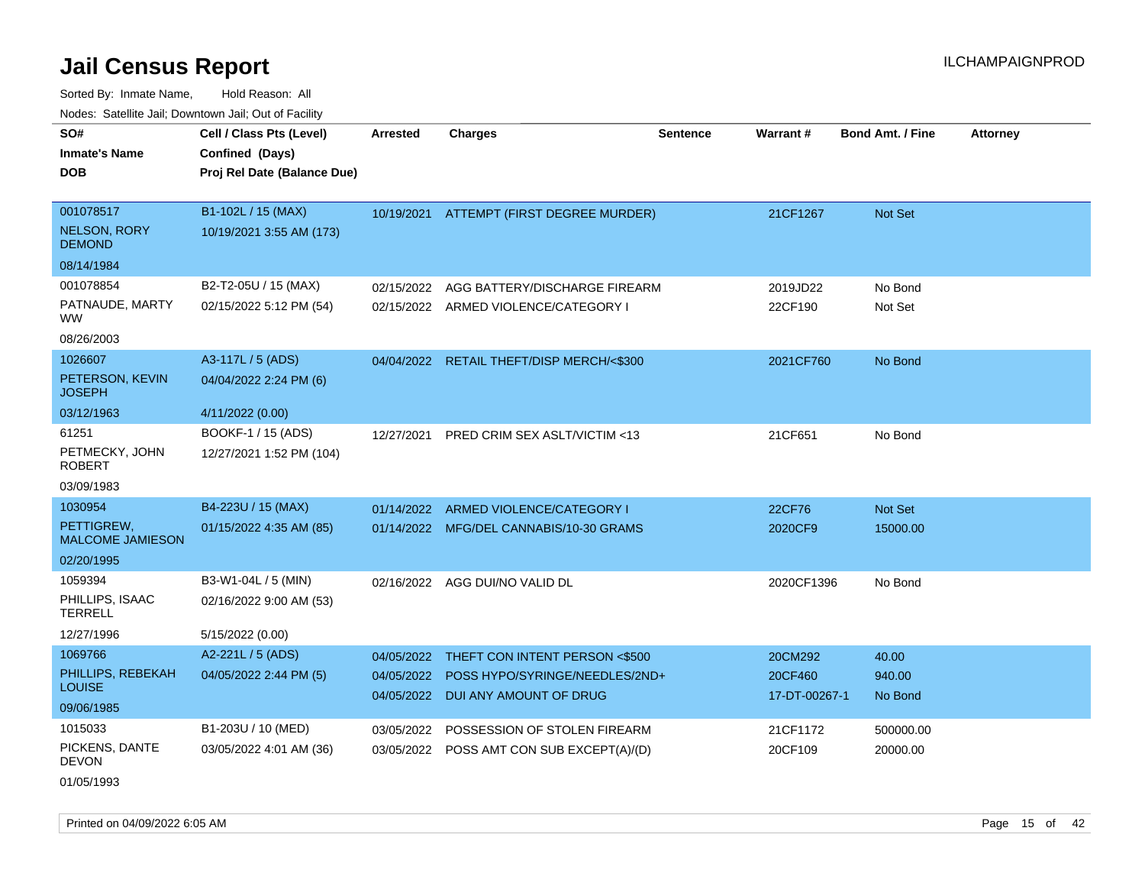Sorted By: Inmate Name, Hold Reason: All Nodes: Satellite Jail; Downtown Jail; Out of Facility

| soupois catomic can, Dominomii can, Cat or I domt               |                                                                            |                                        |                                                                                            |                 |                                     |                            |                 |
|-----------------------------------------------------------------|----------------------------------------------------------------------------|----------------------------------------|--------------------------------------------------------------------------------------------|-----------------|-------------------------------------|----------------------------|-----------------|
| SO#<br><b>Inmate's Name</b><br>DOB                              | Cell / Class Pts (Level)<br>Confined (Days)<br>Proj Rel Date (Balance Due) | Arrested                               | <b>Charges</b>                                                                             | <b>Sentence</b> | Warrant#                            | <b>Bond Amt. / Fine</b>    | <b>Attorney</b> |
| 001078517<br><b>NELSON, RORY</b><br><b>DEMOND</b>               | B1-102L / 15 (MAX)<br>10/19/2021 3:55 AM (173)                             |                                        | 10/19/2021 ATTEMPT (FIRST DEGREE MURDER)                                                   |                 | 21CF1267                            | <b>Not Set</b>             |                 |
| 08/14/1984<br>001078854<br>PATNAUDE, MARTY<br>WW.<br>08/26/2003 | B2-T2-05U / 15 (MAX)<br>02/15/2022 5:12 PM (54)                            | 02/15/2022                             | AGG BATTERY/DISCHARGE FIREARM<br>02/15/2022 ARMED VIOLENCE/CATEGORY I                      |                 | 2019JD22<br>22CF190                 | No Bond<br>Not Set         |                 |
| 1026607<br>PETERSON, KEVIN<br>JOSEPH<br>03/12/1963              | A3-117L / 5 (ADS)<br>04/04/2022 2:24 PM (6)<br>4/11/2022 (0.00)            |                                        | 04/04/2022 RETAIL THEFT/DISP MERCH/<\$300                                                  |                 | 2021CF760                           | No Bond                    |                 |
| 61251<br>PETMECKY, JOHN<br><b>ROBERT</b><br>03/09/1983          | BOOKF-1 / 15 (ADS)<br>12/27/2021 1:52 PM (104)                             | 12/27/2021                             | PRED CRIM SEX ASLT/VICTIM <13                                                              |                 | 21CF651                             | No Bond                    |                 |
| 1030954<br>PETTIGREW,<br><b>MALCOME JAMIESON</b><br>02/20/1995  | B4-223U / 15 (MAX)<br>01/15/2022 4:35 AM (85)                              | 01/14/2022                             | ARMED VIOLENCE/CATEGORY I<br>01/14/2022 MFG/DEL CANNABIS/10-30 GRAMS                       |                 | 22CF76<br>2020CF9                   | Not Set<br>15000.00        |                 |
| 1059394<br>PHILLIPS, ISAAC<br>TERRELL<br>12/27/1996             | B3-W1-04L / 5 (MIN)<br>02/16/2022 9:00 AM (53)<br>5/15/2022 (0.00)         |                                        | 02/16/2022 AGG DUI/NO VALID DL                                                             |                 | 2020CF1396                          | No Bond                    |                 |
| 1069766<br>PHILLIPS, REBEKAH<br>LOUISE<br>09/06/1985            | A2-221L / 5 (ADS)<br>04/05/2022 2:44 PM (5)                                | 04/05/2022<br>04/05/2022<br>04/05/2022 | THEFT CON INTENT PERSON <\$500<br>POSS HYPO/SYRINGE/NEEDLES/2ND+<br>DUI ANY AMOUNT OF DRUG |                 | 20CM292<br>20CF460<br>17-DT-00267-1 | 40.00<br>940.00<br>No Bond |                 |
| 1015033<br>PICKENS, DANTE<br><b>DEVON</b>                       | B1-203U / 10 (MED)<br>03/05/2022 4:01 AM (36)                              | 03/05/2022                             | POSSESSION OF STOLEN FIREARM<br>03/05/2022 POSS AMT CON SUB EXCEPT(A)/(D)                  |                 | 21CF1172<br>20CF109                 | 500000.00<br>20000.00      |                 |

01/05/1993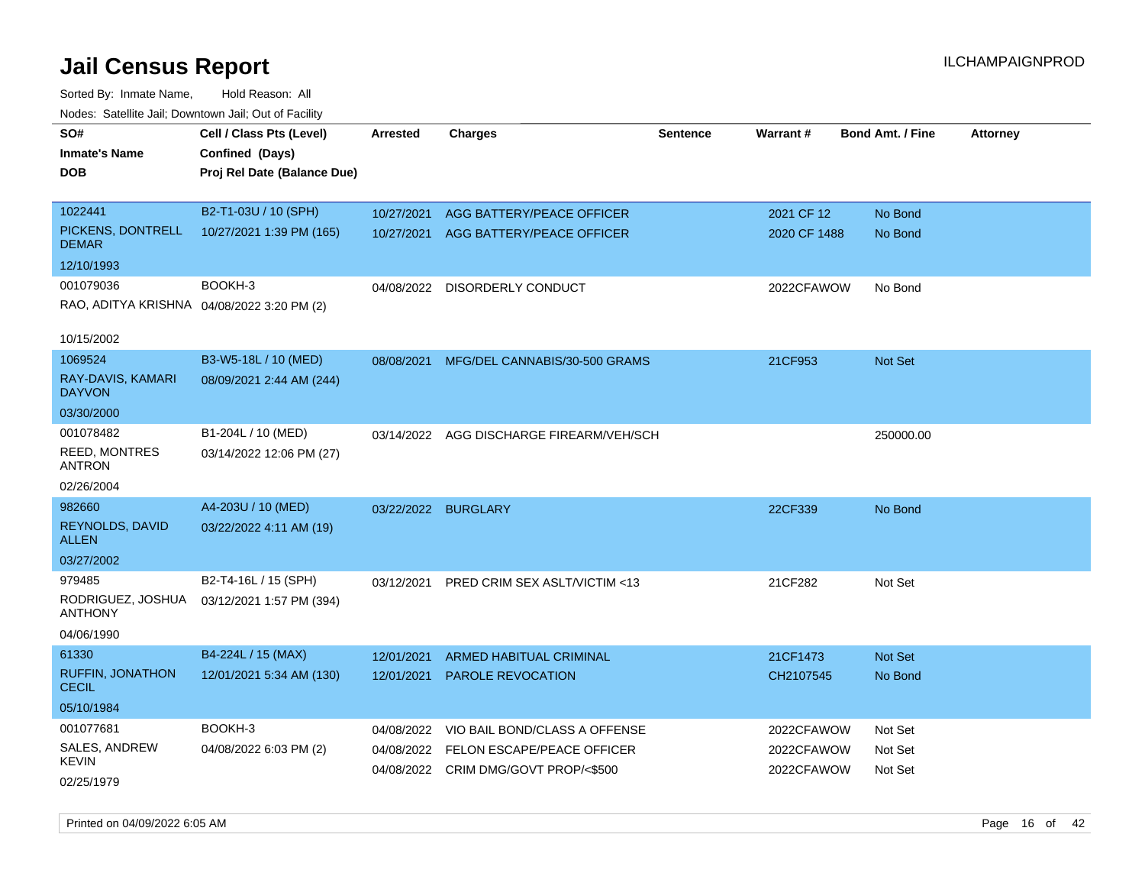| Noues. Salemie Jan, Downlown Jan, Out of Facility |                             |                     |                                          |                 |                 |                         |                 |
|---------------------------------------------------|-----------------------------|---------------------|------------------------------------------|-----------------|-----------------|-------------------------|-----------------|
| SO#                                               | Cell / Class Pts (Level)    | Arrested            | <b>Charges</b>                           | <b>Sentence</b> | <b>Warrant#</b> | <b>Bond Amt. / Fine</b> | <b>Attorney</b> |
| <b>Inmate's Name</b>                              | Confined (Days)             |                     |                                          |                 |                 |                         |                 |
| <b>DOB</b>                                        | Proj Rel Date (Balance Due) |                     |                                          |                 |                 |                         |                 |
|                                                   |                             |                     |                                          |                 |                 |                         |                 |
| 1022441                                           | B2-T1-03U / 10 (SPH)        | 10/27/2021          | AGG BATTERY/PEACE OFFICER                |                 | 2021 CF 12      | No Bond                 |                 |
| PICKENS, DONTRELL<br><b>DEMAR</b>                 | 10/27/2021 1:39 PM (165)    | 10/27/2021          | AGG BATTERY/PEACE OFFICER                |                 | 2020 CF 1488    | No Bond                 |                 |
| 12/10/1993                                        |                             |                     |                                          |                 |                 |                         |                 |
| 001079036                                         | BOOKH-3                     | 04/08/2022          | DISORDERLY CONDUCT                       |                 | 2022CFAWOW      | No Bond                 |                 |
| RAO, ADITYA KRISHNA 04/08/2022 3:20 PM (2)        |                             |                     |                                          |                 |                 |                         |                 |
| 10/15/2002                                        |                             |                     |                                          |                 |                 |                         |                 |
| 1069524                                           | B3-W5-18L / 10 (MED)        | 08/08/2021          | MFG/DEL CANNABIS/30-500 GRAMS            |                 | 21CF953         | Not Set                 |                 |
| RAY-DAVIS, KAMARI<br><b>DAYVON</b>                | 08/09/2021 2:44 AM (244)    |                     |                                          |                 |                 |                         |                 |
| 03/30/2000                                        |                             |                     |                                          |                 |                 |                         |                 |
| 001078482                                         | B1-204L / 10 (MED)          |                     | 03/14/2022 AGG DISCHARGE FIREARM/VEH/SCH |                 |                 | 250000.00               |                 |
| <b>REED, MONTRES</b><br><b>ANTRON</b>             | 03/14/2022 12:06 PM (27)    |                     |                                          |                 |                 |                         |                 |
| 02/26/2004                                        |                             |                     |                                          |                 |                 |                         |                 |
| 982660                                            | A4-203U / 10 (MED)          | 03/22/2022 BURGLARY |                                          |                 | 22CF339         | No Bond                 |                 |
| REYNOLDS, DAVID<br><b>ALLEN</b>                   | 03/22/2022 4:11 AM (19)     |                     |                                          |                 |                 |                         |                 |
| 03/27/2002                                        |                             |                     |                                          |                 |                 |                         |                 |
| 979485                                            | B2-T4-16L / 15 (SPH)        | 03/12/2021          | PRED CRIM SEX ASLT/VICTIM <13            |                 | 21CF282         | Not Set                 |                 |
| RODRIGUEZ, JOSHUA<br>ANTHONY                      | 03/12/2021 1:57 PM (394)    |                     |                                          |                 |                 |                         |                 |
| 04/06/1990                                        |                             |                     |                                          |                 |                 |                         |                 |
| 61330                                             | B4-224L / 15 (MAX)          | 12/01/2021          | <b>ARMED HABITUAL CRIMINAL</b>           |                 | 21CF1473        | <b>Not Set</b>          |                 |
| <b>RUFFIN, JONATHON</b><br><b>CECIL</b>           | 12/01/2021 5:34 AM (130)    | 12/01/2021          | PAROLE REVOCATION                        |                 | CH2107545       | No Bond                 |                 |
| 05/10/1984                                        |                             |                     |                                          |                 |                 |                         |                 |
| 001077681                                         | BOOKH-3                     | 04/08/2022          | VIO BAIL BOND/CLASS A OFFENSE            |                 | 2022CFAWOW      | Not Set                 |                 |
| SALES, ANDREW                                     | 04/08/2022 6:03 PM (2)      | 04/08/2022          | FELON ESCAPE/PEACE OFFICER               |                 | 2022CFAWOW      | Not Set                 |                 |
| <b>KEVIN</b>                                      |                             |                     | 04/08/2022 CRIM DMG/GOVT PROP/<\$500     |                 | 2022CFAWOW      | Not Set                 |                 |
| 02/25/1979                                        |                             |                     |                                          |                 |                 |                         |                 |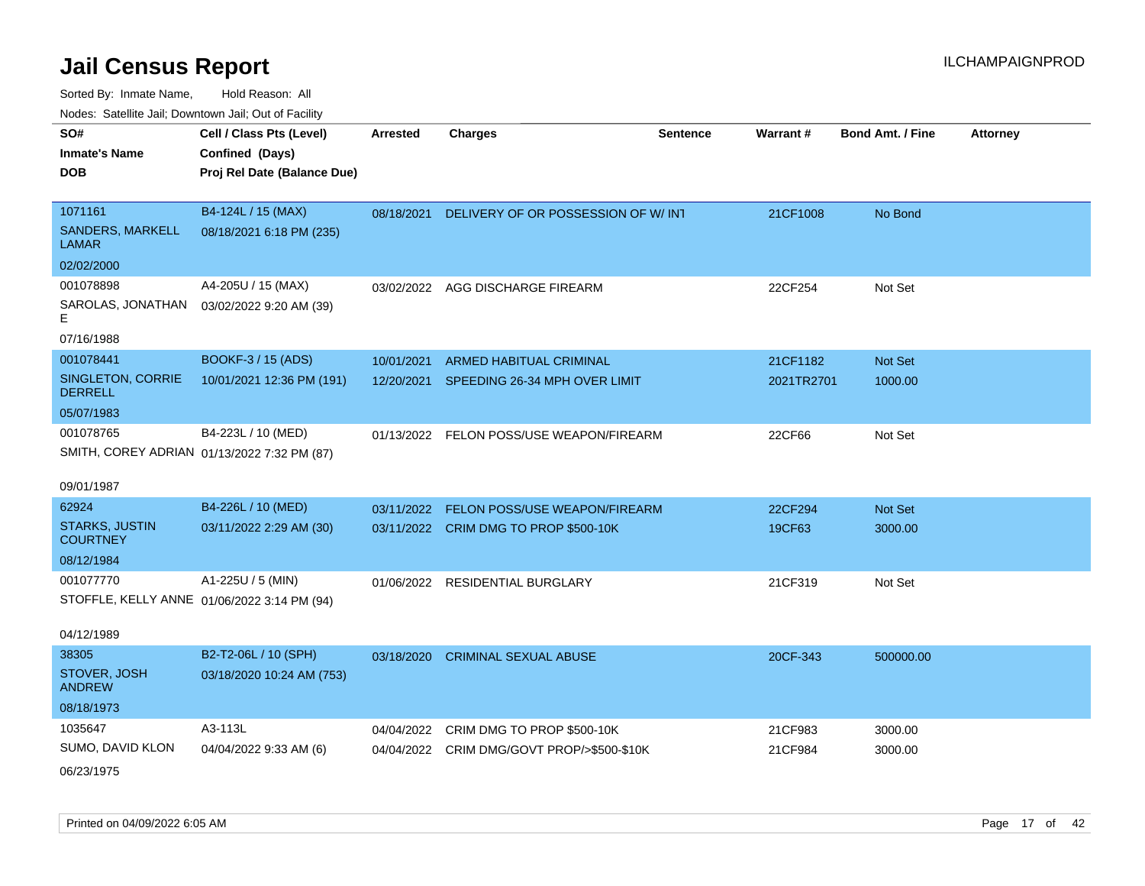| SO#                                 | Cell / Class Pts (Level)                    | <b>Arrested</b> | <b>Charges</b>                             | <b>Sentence</b> | Warrant#   | <b>Bond Amt. / Fine</b> | <b>Attorney</b> |
|-------------------------------------|---------------------------------------------|-----------------|--------------------------------------------|-----------------|------------|-------------------------|-----------------|
| <b>Inmate's Name</b>                | Confined (Days)                             |                 |                                            |                 |            |                         |                 |
| DOB                                 | Proj Rel Date (Balance Due)                 |                 |                                            |                 |            |                         |                 |
|                                     |                                             |                 |                                            |                 |            |                         |                 |
| 1071161                             | B4-124L / 15 (MAX)                          | 08/18/2021      | DELIVERY OF OR POSSESSION OF W/INT         |                 | 21CF1008   | No Bond                 |                 |
| SANDERS, MARKELL<br>LAMAR           | 08/18/2021 6:18 PM (235)                    |                 |                                            |                 |            |                         |                 |
| 02/02/2000                          |                                             |                 |                                            |                 |            |                         |                 |
| 001078898                           | A4-205U / 15 (MAX)                          |                 | 03/02/2022 AGG DISCHARGE FIREARM           |                 | 22CF254    | Not Set                 |                 |
| Е                                   | SAROLAS, JONATHAN  03/02/2022 9:20 AM (39)  |                 |                                            |                 |            |                         |                 |
| 07/16/1988                          |                                             |                 |                                            |                 |            |                         |                 |
| 001078441                           | BOOKF-3 / 15 (ADS)                          | 10/01/2021      | <b>ARMED HABITUAL CRIMINAL</b>             |                 | 21CF1182   | Not Set                 |                 |
| SINGLETON, CORRIE<br><b>DERRELL</b> | 10/01/2021 12:36 PM (191)                   | 12/20/2021      | SPEEDING 26-34 MPH OVER LIMIT              |                 | 2021TR2701 | 1000.00                 |                 |
| 05/07/1983                          |                                             |                 |                                            |                 |            |                         |                 |
| 001078765                           | B4-223L / 10 (MED)                          |                 | 01/13/2022 FELON POSS/USE WEAPON/FIREARM   |                 | 22CF66     | Not Set                 |                 |
|                                     | SMITH, COREY ADRIAN 01/13/2022 7:32 PM (87) |                 |                                            |                 |            |                         |                 |
| 09/01/1987                          |                                             |                 |                                            |                 |            |                         |                 |
| 62924                               | B4-226L / 10 (MED)                          | 03/11/2022      | FELON POSS/USE WEAPON/FIREARM              |                 | 22CF294    | Not Set                 |                 |
| <b>STARKS, JUSTIN</b>               | 03/11/2022 2:29 AM (30)                     |                 |                                            |                 | 19CF63     |                         |                 |
| <b>COURTNEY</b>                     |                                             |                 | 03/11/2022 CRIM DMG TO PROP \$500-10K      |                 |            | 3000.00                 |                 |
| 08/12/1984                          |                                             |                 |                                            |                 |            |                         |                 |
| 001077770                           | A1-225U / 5 (MIN)                           |                 | 01/06/2022 RESIDENTIAL BURGLARY            |                 | 21CF319    | Not Set                 |                 |
|                                     | STOFFLE, KELLY ANNE 01/06/2022 3:14 PM (94) |                 |                                            |                 |            |                         |                 |
|                                     |                                             |                 |                                            |                 |            |                         |                 |
| 04/12/1989                          |                                             |                 |                                            |                 |            |                         |                 |
| 38305                               | B2-T2-06L / 10 (SPH)                        | 03/18/2020      | <b>CRIMINAL SEXUAL ABUSE</b>               |                 | 20CF-343   | 500000.00               |                 |
| STOVER, JOSH<br><b>ANDREW</b>       | 03/18/2020 10:24 AM (753)                   |                 |                                            |                 |            |                         |                 |
| 08/18/1973                          |                                             |                 |                                            |                 |            |                         |                 |
| 1035647                             | A3-113L                                     |                 | 04/04/2022 CRIM DMG TO PROP \$500-10K      |                 | 21CF983    | 3000.00                 |                 |
| SUMO, DAVID KLON                    | 04/04/2022 9:33 AM (6)                      |                 | 04/04/2022 CRIM DMG/GOVT PROP/>\$500-\$10K |                 | 21CF984    | 3000.00                 |                 |
| 06/23/1975                          |                                             |                 |                                            |                 |            |                         |                 |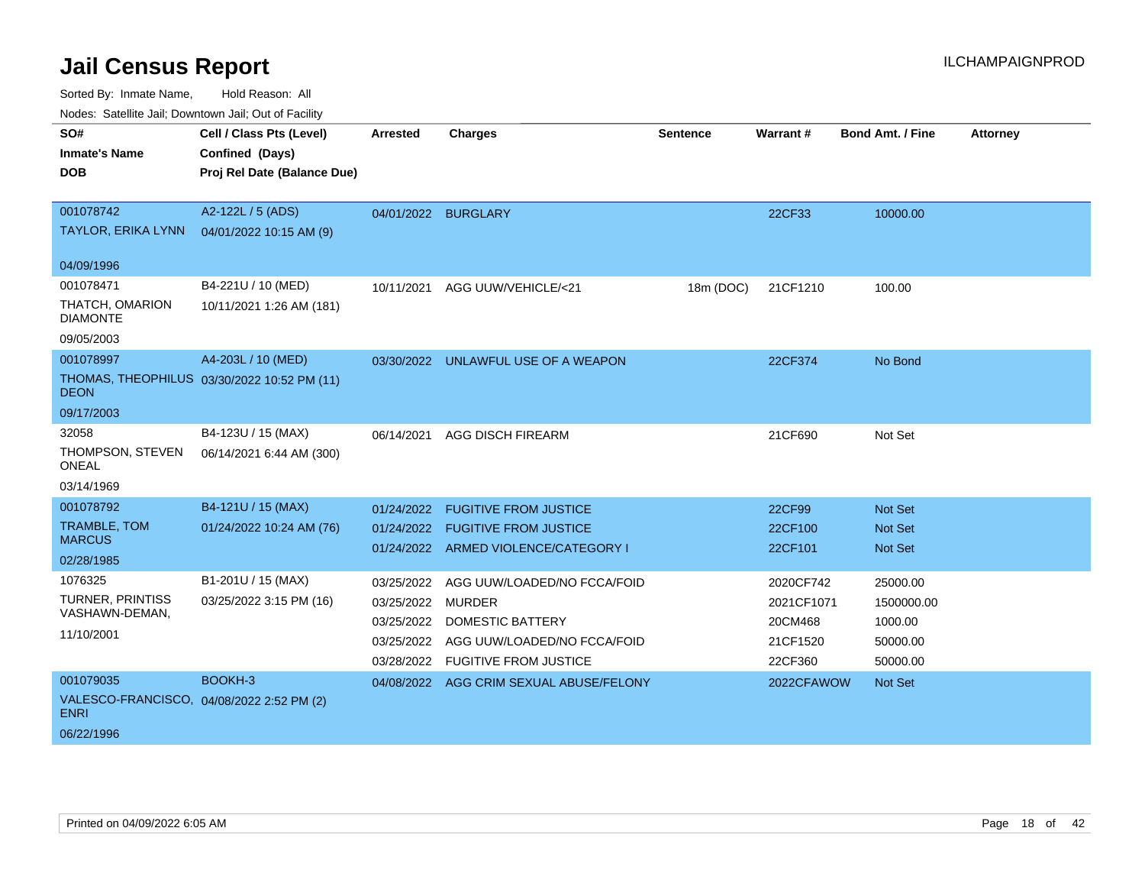Sorted By: Inmate Name, Hold Reason: All

Nodes: Satellite Jail; Downtown Jail; Out of Facility

| SO#<br><b>Inmate's Name</b><br><b>DOB</b>                | Cell / Class Pts (Level)<br>Confined (Days)<br>Proj Rel Date (Balance Due) | <b>Arrested</b>     | <b>Charges</b>                                                           | <b>Sentence</b> | <b>Warrant#</b>    | <b>Bond Amt. / Fine</b>          | <b>Attorney</b> |
|----------------------------------------------------------|----------------------------------------------------------------------------|---------------------|--------------------------------------------------------------------------|-----------------|--------------------|----------------------------------|-----------------|
| 001078742<br><b>TAYLOR, ERIKA LYNN</b>                   | A2-122L / 5 (ADS)<br>04/01/2022 10:15 AM (9)                               | 04/01/2022 BURGLARY |                                                                          |                 | 22CF33             | 10000.00                         |                 |
| 04/09/1996                                               |                                                                            |                     |                                                                          |                 |                    |                                  |                 |
| 001078471                                                | B4-221U / 10 (MED)                                                         | 10/11/2021          | AGG UUW/VEHICLE/<21                                                      | 18m (DOC)       | 21CF1210           | 100.00                           |                 |
| THATCH, OMARION<br><b>DIAMONTE</b>                       | 10/11/2021 1:26 AM (181)                                                   |                     |                                                                          |                 |                    |                                  |                 |
| 09/05/2003                                               |                                                                            |                     |                                                                          |                 |                    |                                  |                 |
| 001078997                                                | A4-203L / 10 (MED)                                                         |                     | 03/30/2022 UNLAWFUL USE OF A WEAPON                                      |                 | 22CF374            | No Bond                          |                 |
| <b>DEON</b>                                              | THOMAS, THEOPHILUS 03/30/2022 10:52 PM (11)                                |                     |                                                                          |                 |                    |                                  |                 |
| 09/17/2003                                               |                                                                            |                     |                                                                          |                 |                    |                                  |                 |
| 32058                                                    | B4-123U / 15 (MAX)                                                         | 06/14/2021          | <b>AGG DISCH FIREARM</b>                                                 |                 | 21CF690            | Not Set                          |                 |
| THOMPSON, STEVEN<br>ONEAL                                | 06/14/2021 6:44 AM (300)                                                   |                     |                                                                          |                 |                    |                                  |                 |
| 03/14/1969                                               |                                                                            |                     |                                                                          |                 |                    |                                  |                 |
| 001078792                                                | B4-121U / 15 (MAX)                                                         | 01/24/2022          | <b>FUGITIVE FROM JUSTICE</b>                                             |                 | 22CF99             | Not Set                          |                 |
| TRAMBLE, TOM<br><b>MARCUS</b>                            | 01/24/2022 10:24 AM (76)                                                   |                     | 01/24/2022 FUGITIVE FROM JUSTICE<br>01/24/2022 ARMED VIOLENCE/CATEGORY I |                 | 22CF100<br>22CF101 | <b>Not Set</b><br><b>Not Set</b> |                 |
| 02/28/1985                                               |                                                                            |                     |                                                                          |                 |                    |                                  |                 |
| 1076325                                                  | B1-201U / 15 (MAX)                                                         | 03/25/2022          | AGG UUW/LOADED/NO FCCA/FOID                                              |                 | 2020CF742          | 25000.00                         |                 |
| TURNER, PRINTISS                                         | 03/25/2022 3:15 PM (16)                                                    | 03/25/2022 MURDER   |                                                                          |                 | 2021CF1071         | 1500000.00                       |                 |
| VASHAWN-DEMAN,                                           |                                                                            | 03/25/2022          | <b>DOMESTIC BATTERY</b>                                                  |                 | 20CM468            | 1000.00                          |                 |
| 11/10/2001                                               |                                                                            | 03/25/2022          | AGG UUW/LOADED/NO FCCA/FOID                                              |                 | 21CF1520           | 50000.00                         |                 |
|                                                          |                                                                            | 03/28/2022          | <b>FUGITIVE FROM JUSTICE</b>                                             |                 | 22CF360            | 50000.00                         |                 |
| 001079035                                                | BOOKH-3                                                                    |                     | 04/08/2022 AGG CRIM SEXUAL ABUSE/FELONY                                  |                 | 2022CFAWOW         | <b>Not Set</b>                   |                 |
| VALESCO-FRANCISCO, 04/08/2022 2:52 PM (2)<br><b>ENRI</b> |                                                                            |                     |                                                                          |                 |                    |                                  |                 |
| 06/22/1996                                               |                                                                            |                     |                                                                          |                 |                    |                                  |                 |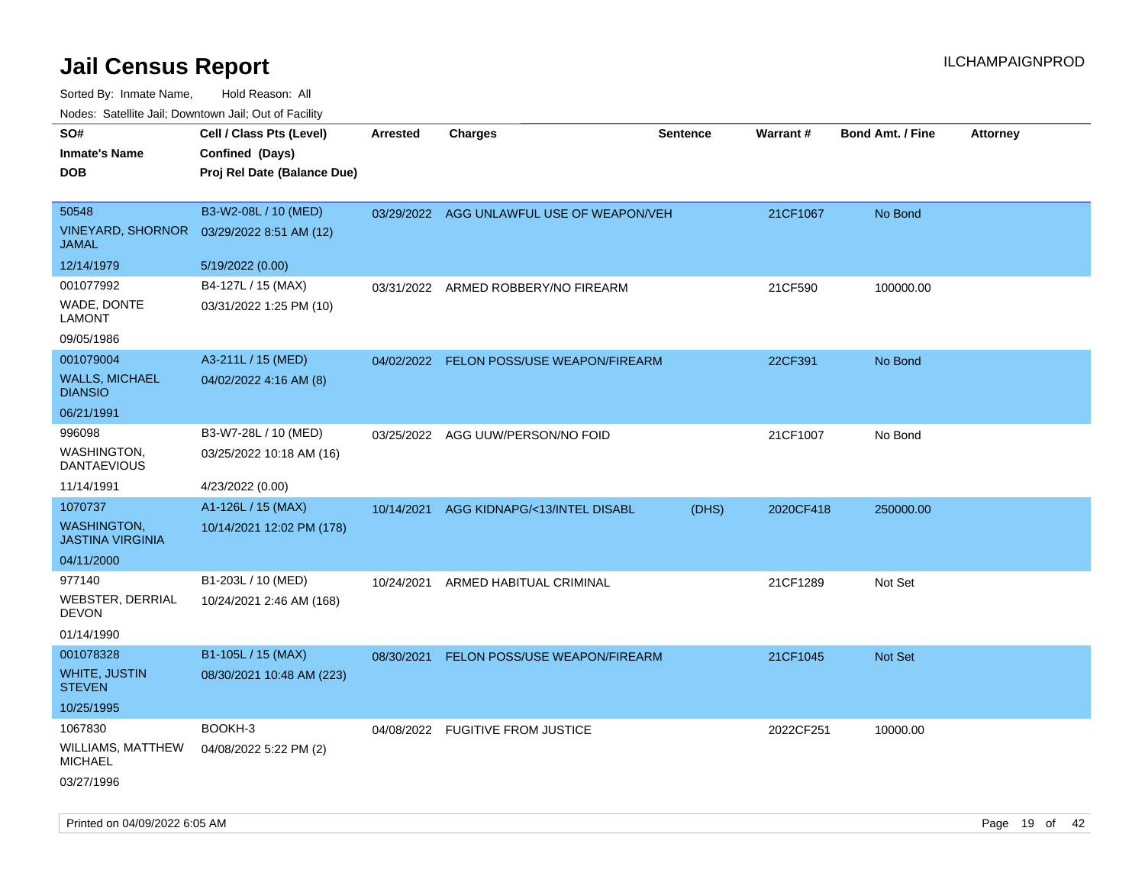| SO#<br><b>Inmate's Name</b><br><b>DOB</b>                | Cell / Class Pts (Level)<br>Confined (Days)<br>Proj Rel Date (Balance Due) | Arrested   | <b>Charges</b>                            | <b>Sentence</b> | <b>Warrant#</b> | <b>Bond Amt. / Fine</b> | <b>Attorney</b> |
|----------------------------------------------------------|----------------------------------------------------------------------------|------------|-------------------------------------------|-----------------|-----------------|-------------------------|-----------------|
| 50548<br><b>VINEYARD, SHORNOR</b><br><b>JAMAL</b>        | B3-W2-08L / 10 (MED)<br>03/29/2022 8:51 AM (12)                            |            | 03/29/2022 AGG UNLAWFUL USE OF WEAPON/VEH |                 | 21CF1067        | No Bond                 |                 |
| 12/14/1979                                               | 5/19/2022 (0.00)                                                           |            |                                           |                 |                 |                         |                 |
| 001077992<br>WADE, DONTE<br><b>LAMONT</b>                | B4-127L / 15 (MAX)<br>03/31/2022 1:25 PM (10)                              |            | 03/31/2022 ARMED ROBBERY/NO FIREARM       |                 | 21CF590         | 100000.00               |                 |
| 09/05/1986                                               |                                                                            |            |                                           |                 |                 |                         |                 |
| 001079004<br><b>WALLS, MICHAEL</b><br><b>DIANSIO</b>     | A3-211L / 15 (MED)<br>04/02/2022 4:16 AM (8)                               | 04/02/2022 | FELON POSS/USE WEAPON/FIREARM             |                 | 22CF391         | No Bond                 |                 |
| 06/21/1991                                               |                                                                            |            |                                           |                 |                 |                         |                 |
| 996098<br>WASHINGTON,<br><b>DANTAEVIOUS</b>              | B3-W7-28L / 10 (MED)<br>03/25/2022 10:18 AM (16)                           | 03/25/2022 | AGG UUW/PERSON/NO FOID                    |                 | 21CF1007        | No Bond                 |                 |
| 11/14/1991                                               | 4/23/2022 (0.00)                                                           |            |                                           |                 |                 |                         |                 |
| 1070737                                                  | A1-126L / 15 (MAX)                                                         |            | 10/14/2021 AGG KIDNAPG/<13/INTEL DISABL   | (DHS)           | 2020CF418       | 250000.00               |                 |
| <b>WASHINGTON,</b><br><b>JASTINA VIRGINIA</b>            | 10/14/2021 12:02 PM (178)                                                  |            |                                           |                 |                 |                         |                 |
| 04/11/2000                                               |                                                                            |            |                                           |                 |                 |                         |                 |
| 977140<br>WEBSTER, DERRIAL<br><b>DEVON</b><br>01/14/1990 | B1-203L / 10 (MED)<br>10/24/2021 2:46 AM (168)                             | 10/24/2021 | ARMED HABITUAL CRIMINAL                   |                 | 21CF1289        | Not Set                 |                 |
| 001078328                                                | B1-105L / 15 (MAX)                                                         | 08/30/2021 | FELON POSS/USE WEAPON/FIREARM             |                 | 21CF1045        | Not Set                 |                 |
| WHITE, JUSTIN<br><b>STEVEN</b>                           | 08/30/2021 10:48 AM (223)                                                  |            |                                           |                 |                 |                         |                 |
| 10/25/1995                                               |                                                                            |            |                                           |                 |                 |                         |                 |
| 1067830                                                  | BOOKH-3                                                                    |            | 04/08/2022 FUGITIVE FROM JUSTICE          |                 | 2022CF251       | 10000.00                |                 |
| WILLIAMS, MATTHEW<br><b>MICHAEL</b><br>03/27/1996        | 04/08/2022 5:22 PM (2)                                                     |            |                                           |                 |                 |                         |                 |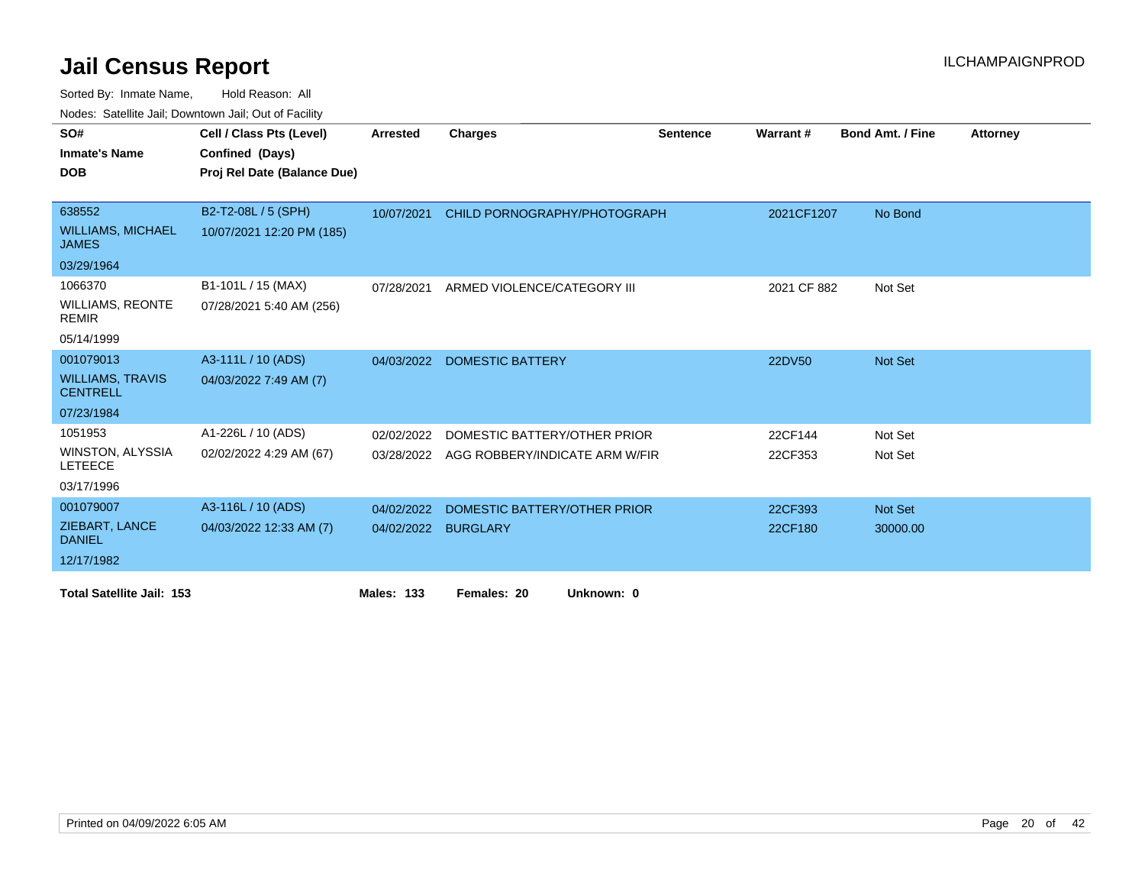Sorted By: Inmate Name, Hold Reason: All

Nodes: Satellite Jail; Downtown Jail; Out of Facility

| SO#                                        | Cell / Class Pts (Level)    | <b>Arrested</b>   | <b>Charges</b>                 | <b>Sentence</b> | Warrant#    | <b>Bond Amt. / Fine</b> | <b>Attorney</b> |
|--------------------------------------------|-----------------------------|-------------------|--------------------------------|-----------------|-------------|-------------------------|-----------------|
| <b>Inmate's Name</b>                       | Confined (Days)             |                   |                                |                 |             |                         |                 |
| <b>DOB</b>                                 | Proj Rel Date (Balance Due) |                   |                                |                 |             |                         |                 |
|                                            |                             |                   |                                |                 |             |                         |                 |
| 638552                                     | B2-T2-08L / 5 (SPH)         | 10/07/2021        | CHILD PORNOGRAPHY/PHOTOGRAPH   |                 | 2021CF1207  | No Bond                 |                 |
| <b>WILLIAMS, MICHAEL</b><br><b>JAMES</b>   | 10/07/2021 12:20 PM (185)   |                   |                                |                 |             |                         |                 |
| 03/29/1964                                 |                             |                   |                                |                 |             |                         |                 |
| 1066370                                    | B1-101L / 15 (MAX)          | 07/28/2021        | ARMED VIOLENCE/CATEGORY III    |                 | 2021 CF 882 | Not Set                 |                 |
| <b>WILLIAMS, REONTE</b><br><b>REMIR</b>    | 07/28/2021 5:40 AM (256)    |                   |                                |                 |             |                         |                 |
| 05/14/1999                                 |                             |                   |                                |                 |             |                         |                 |
| 001079013                                  | A3-111L / 10 (ADS)          |                   | 04/03/2022 DOMESTIC BATTERY    |                 | 22DV50      | Not Set                 |                 |
| <b>WILLIAMS, TRAVIS</b><br><b>CENTRELL</b> | 04/03/2022 7:49 AM (7)      |                   |                                |                 |             |                         |                 |
| 07/23/1984                                 |                             |                   |                                |                 |             |                         |                 |
| 1051953                                    | A1-226L / 10 (ADS)          | 02/02/2022        | DOMESTIC BATTERY/OTHER PRIOR   |                 | 22CF144     | Not Set                 |                 |
| <b>WINSTON, ALYSSIA</b><br><b>LETEECE</b>  | 02/02/2022 4:29 AM (67)     | 03/28/2022        | AGG ROBBERY/INDICATE ARM W/FIR |                 | 22CF353     | Not Set                 |                 |
| 03/17/1996                                 |                             |                   |                                |                 |             |                         |                 |
| 001079007                                  | A3-116L / 10 (ADS)          | 04/02/2022        | DOMESTIC BATTERY/OTHER PRIOR   |                 | 22CF393     | Not Set                 |                 |
| ZIEBART, LANCE<br><b>DANIEL</b>            | 04/03/2022 12:33 AM (7)     | 04/02/2022        | <b>BURGLARY</b>                |                 | 22CF180     | 30000.00                |                 |
| 12/17/1982                                 |                             |                   |                                |                 |             |                         |                 |
| <b>Total Satellite Jail: 153</b>           |                             | <b>Males: 133</b> | Females: 20<br>Unknown: 0      |                 |             |                         |                 |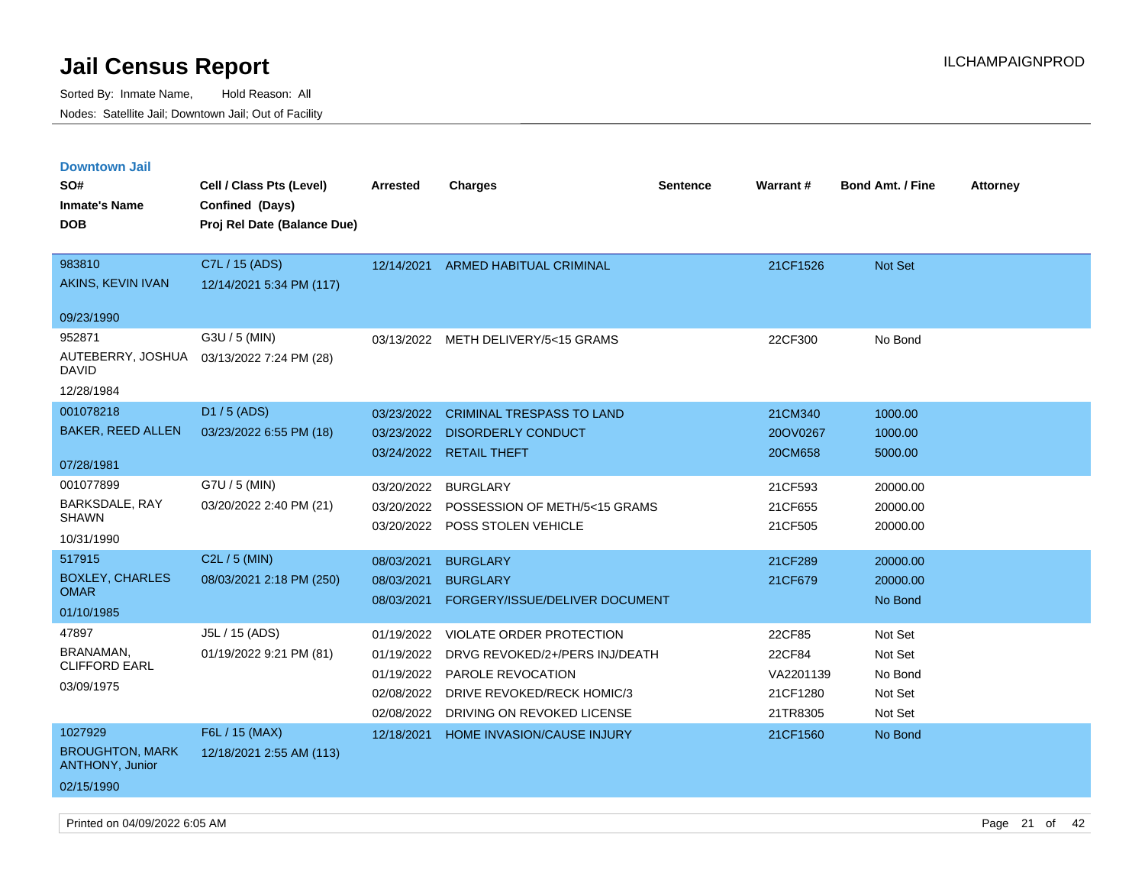| <b>Downtown Jail</b>                             |                                           |            |                                       |          |                 |                         |                 |
|--------------------------------------------------|-------------------------------------------|------------|---------------------------------------|----------|-----------------|-------------------------|-----------------|
| SO#                                              | Cell / Class Pts (Level)                  | Arrested   | <b>Charges</b>                        | Sentence | <b>Warrant#</b> | <b>Bond Amt. / Fine</b> | <b>Attorney</b> |
| <b>Inmate's Name</b>                             | Confined (Days)                           |            |                                       |          |                 |                         |                 |
| <b>DOB</b>                                       | Proj Rel Date (Balance Due)               |            |                                       |          |                 |                         |                 |
|                                                  |                                           |            |                                       |          |                 |                         |                 |
| 983810                                           | C7L / 15 (ADS)                            | 12/14/2021 | <b>ARMED HABITUAL CRIMINAL</b>        |          | 21CF1526        | Not Set                 |                 |
| AKINS, KEVIN IVAN                                | 12/14/2021 5:34 PM (117)                  |            |                                       |          |                 |                         |                 |
| 09/23/1990                                       |                                           |            |                                       |          |                 |                         |                 |
| 952871                                           | G3U / 5 (MIN)                             |            | 03/13/2022 METH DELIVERY/5<15 GRAMS   |          | 22CF300         | No Bond                 |                 |
| DAVID                                            | AUTEBERRY, JOSHUA 03/13/2022 7:24 PM (28) |            |                                       |          |                 |                         |                 |
| 12/28/1984                                       |                                           |            |                                       |          |                 |                         |                 |
| 001078218                                        | D1 / 5 (ADS)                              | 03/23/2022 | <b>CRIMINAL TRESPASS TO LAND</b>      |          | 21CM340         | 1000.00                 |                 |
| <b>BAKER, REED ALLEN</b>                         | 03/23/2022 6:55 PM (18)                   | 03/23/2022 | <b>DISORDERLY CONDUCT</b>             |          | 20OV0267        | 1000.00                 |                 |
|                                                  |                                           | 03/24/2022 | <b>RETAIL THEFT</b>                   |          | 20CM658         | 5000.00                 |                 |
| 07/28/1981                                       |                                           |            |                                       |          |                 |                         |                 |
| 001077899                                        | G7U / 5 (MIN)                             | 03/20/2022 | <b>BURGLARY</b>                       |          | 21CF593         | 20000.00                |                 |
| BARKSDALE, RAY<br><b>SHAWN</b>                   | 03/20/2022 2:40 PM (21)                   | 03/20/2022 | POSSESSION OF METH/5<15 GRAMS         |          | 21CF655         | 20000.00                |                 |
| 10/31/1990                                       |                                           | 03/20/2022 | POSS STOLEN VEHICLE                   |          | 21CF505         | 20000.00                |                 |
|                                                  |                                           |            |                                       |          |                 |                         |                 |
| 517915                                           | $C2L / 5$ (MIN)                           | 08/03/2021 | <b>BURGLARY</b>                       |          | 21CF289         | 20000.00                |                 |
| <b>BOXLEY, CHARLES</b><br><b>OMAR</b>            | 08/03/2021 2:18 PM (250)                  | 08/03/2021 | <b>BURGLARY</b>                       |          | 21CF679         | 20000.00                |                 |
| 01/10/1985                                       |                                           | 08/03/2021 | FORGERY/ISSUE/DELIVER DOCUMENT        |          |                 | No Bond                 |                 |
| 47897                                            | J5L / 15 (ADS)                            | 01/19/2022 | <b>VIOLATE ORDER PROTECTION</b>       |          | 22CF85          | Not Set                 |                 |
| BRANAMAN,                                        | 01/19/2022 9:21 PM (81)                   | 01/19/2022 | DRVG REVOKED/2+/PERS INJ/DEATH        |          | 22CF84          | Not Set                 |                 |
| <b>CLIFFORD EARL</b>                             |                                           | 01/19/2022 | <b>PAROLE REVOCATION</b>              |          | VA2201139       | No Bond                 |                 |
| 03/09/1975                                       |                                           |            | 02/08/2022 DRIVE REVOKED/RECK HOMIC/3 |          | 21CF1280        | Not Set                 |                 |
|                                                  |                                           | 02/08/2022 | DRIVING ON REVOKED LICENSE            |          | 21TR8305        | Not Set                 |                 |
| 1027929                                          | F6L / 15 (MAX)                            | 12/18/2021 | <b>HOME INVASION/CAUSE INJURY</b>     |          | 21CF1560        | No Bond                 |                 |
| <b>BROUGHTON, MARK</b><br><b>ANTHONY, Junior</b> | 12/18/2021 2:55 AM (113)                  |            |                                       |          |                 |                         |                 |
| 02/15/1990                                       |                                           |            |                                       |          |                 |                         |                 |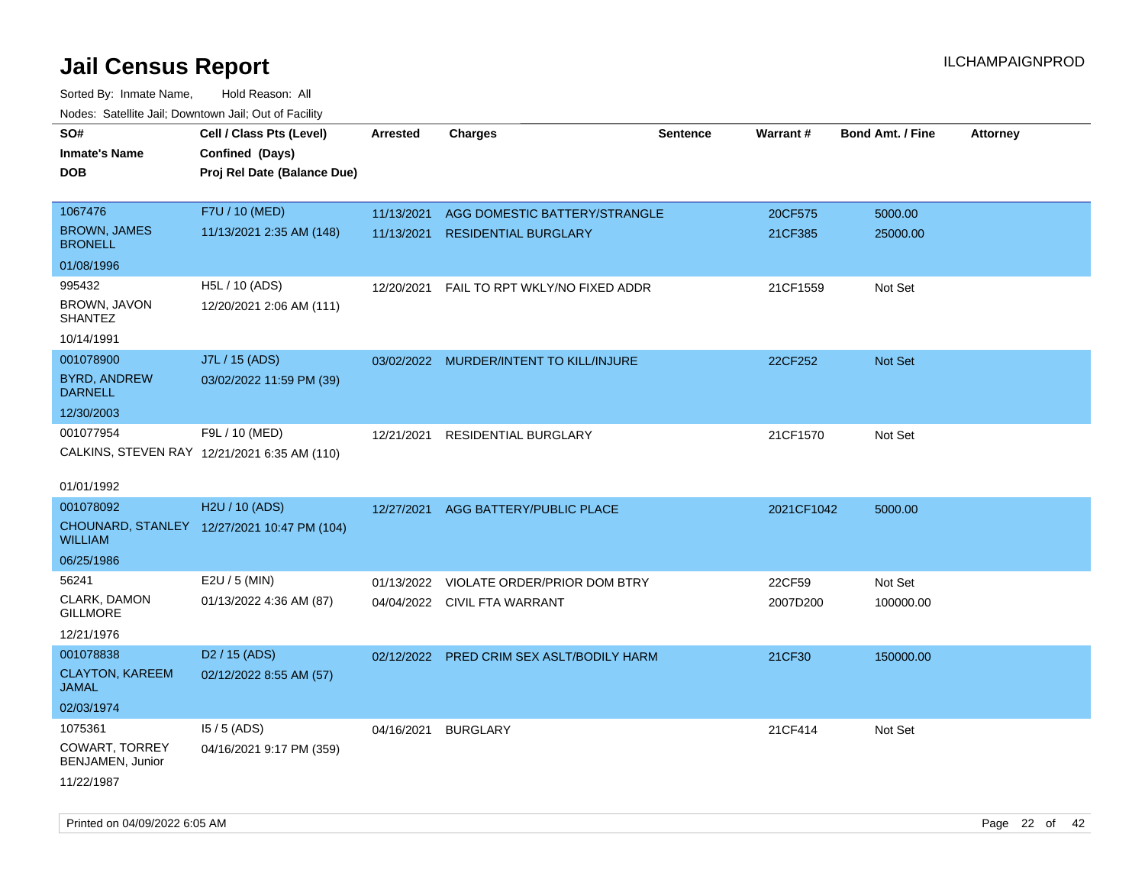| rougs. Calcing Jan, Downtown Jan, Out of Facility |                                              |                 |                                         |                 |            |                         |                 |
|---------------------------------------------------|----------------------------------------------|-----------------|-----------------------------------------|-----------------|------------|-------------------------|-----------------|
| SO#                                               | Cell / Class Pts (Level)                     | <b>Arrested</b> | <b>Charges</b>                          | <b>Sentence</b> | Warrant#   | <b>Bond Amt. / Fine</b> | <b>Attorney</b> |
| <b>Inmate's Name</b>                              | Confined (Days)                              |                 |                                         |                 |            |                         |                 |
| <b>DOB</b>                                        | Proj Rel Date (Balance Due)                  |                 |                                         |                 |            |                         |                 |
|                                                   |                                              |                 |                                         |                 |            |                         |                 |
| 1067476                                           | F7U / 10 (MED)                               | 11/13/2021      | AGG DOMESTIC BATTERY/STRANGLE           |                 | 20CF575    | 5000.00                 |                 |
| <b>BROWN, JAMES</b><br><b>BRONELL</b>             | 11/13/2021 2:35 AM (148)                     | 11/13/2021      | <b>RESIDENTIAL BURGLARY</b>             |                 | 21CF385    | 25000.00                |                 |
| 01/08/1996                                        |                                              |                 |                                         |                 |            |                         |                 |
| 995432                                            | H5L / 10 (ADS)                               | 12/20/2021      | FAIL TO RPT WKLY/NO FIXED ADDR          |                 | 21CF1559   | Not Set                 |                 |
| BROWN, JAVON<br><b>SHANTEZ</b>                    | 12/20/2021 2:06 AM (111)                     |                 |                                         |                 |            |                         |                 |
| 10/14/1991                                        |                                              |                 |                                         |                 |            |                         |                 |
| 001078900                                         | J7L / 15 (ADS)                               |                 | 03/02/2022 MURDER/INTENT TO KILL/INJURE |                 | 22CF252    | <b>Not Set</b>          |                 |
| <b>BYRD, ANDREW</b><br><b>DARNELL</b>             | 03/02/2022 11:59 PM (39)                     |                 |                                         |                 |            |                         |                 |
| 12/30/2003                                        |                                              |                 |                                         |                 |            |                         |                 |
| 001077954                                         | F9L / 10 (MED)                               | 12/21/2021      | RESIDENTIAL BURGLARY                    |                 | 21CF1570   | Not Set                 |                 |
|                                                   | CALKINS, STEVEN RAY 12/21/2021 6:35 AM (110) |                 |                                         |                 |            |                         |                 |
|                                                   |                                              |                 |                                         |                 |            |                         |                 |
| 01/01/1992                                        |                                              |                 |                                         |                 |            |                         |                 |
| 001078092                                         | H2U / 10 (ADS)                               | 12/27/2021      | AGG BATTERY/PUBLIC PLACE                |                 | 2021CF1042 | 5000.00                 |                 |
| <b>WILLIAM</b>                                    | CHOUNARD, STANLEY 12/27/2021 10:47 PM (104)  |                 |                                         |                 |            |                         |                 |
| 06/25/1986                                        |                                              |                 |                                         |                 |            |                         |                 |
| 56241                                             | E2U / 5 (MIN)                                | 01/13/2022      | VIOLATE ORDER/PRIOR DOM BTRY            |                 | 22CF59     | Not Set                 |                 |
| CLARK, DAMON<br><b>GILLMORE</b>                   | 01/13/2022 4:36 AM (87)                      |                 | 04/04/2022 CIVIL FTA WARRANT            |                 | 2007D200   | 100000.00               |                 |
| 12/21/1976                                        |                                              |                 |                                         |                 |            |                         |                 |
| 001078838                                         | D <sub>2</sub> / 15 (ADS)                    | 02/12/2022      | PRED CRIM SEX ASLT/BODILY HARM          |                 | 21CF30     | 150000.00               |                 |
| <b>CLAYTON, KAREEM</b><br>JAMAL                   | 02/12/2022 8:55 AM (57)                      |                 |                                         |                 |            |                         |                 |
| 02/03/1974                                        |                                              |                 |                                         |                 |            |                         |                 |
| 1075361                                           | $15/5$ (ADS)                                 | 04/16/2021      | <b>BURGLARY</b>                         |                 | 21CF414    | Not Set                 |                 |
| COWART, TORREY<br>BENJAMEN, Junior                | 04/16/2021 9:17 PM (359)                     |                 |                                         |                 |            |                         |                 |
| 11/22/1987                                        |                                              |                 |                                         |                 |            |                         |                 |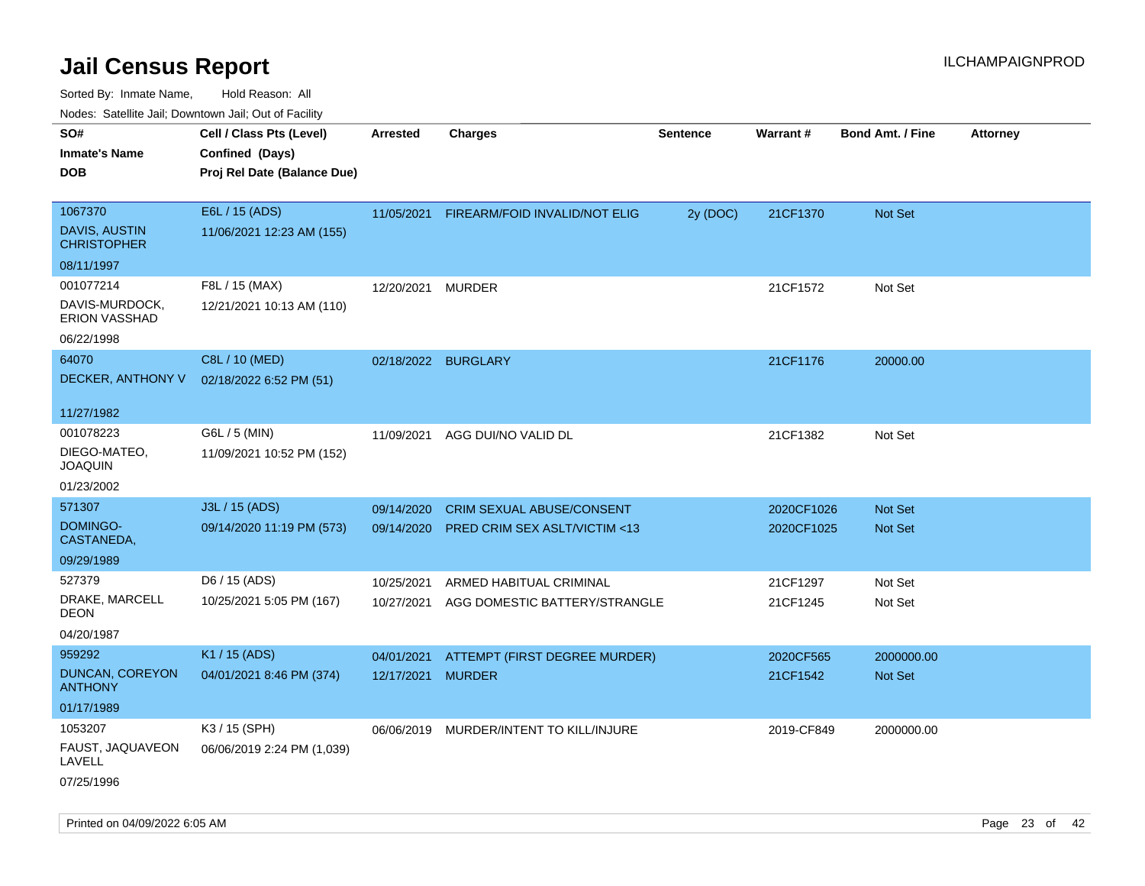| ivouss. Satellite Jali, Downtown Jali, Out of Facility            |                                                                            |                          |                                                                   |                 |                          |                                  |                 |
|-------------------------------------------------------------------|----------------------------------------------------------------------------|--------------------------|-------------------------------------------------------------------|-----------------|--------------------------|----------------------------------|-----------------|
| SO#<br>Inmate's Name<br><b>DOB</b>                                | Cell / Class Pts (Level)<br>Confined (Days)<br>Proj Rel Date (Balance Due) | <b>Arrested</b>          | <b>Charges</b>                                                    | <b>Sentence</b> | Warrant#                 | <b>Bond Amt. / Fine</b>          | <b>Attorney</b> |
| 1067370<br>DAVIS, AUSTIN<br><b>CHRISTOPHER</b><br>08/11/1997      | E6L / 15 (ADS)<br>11/06/2021 12:23 AM (155)                                | 11/05/2021               | FIREARM/FOID INVALID/NOT ELIG                                     | 2y (DOC)        | 21CF1370                 | Not Set                          |                 |
| 001077214<br>DAVIS-MURDOCK,<br><b>ERION VASSHAD</b><br>06/22/1998 | F8L / 15 (MAX)<br>12/21/2021 10:13 AM (110)                                | 12/20/2021               | MURDER                                                            |                 | 21CF1572                 | Not Set                          |                 |
| 64070<br>DECKER, ANTHONY V<br>11/27/1982                          | C8L / 10 (MED)<br>02/18/2022 6:52 PM (51)                                  | 02/18/2022               | <b>BURGLARY</b>                                                   |                 | 21CF1176                 | 20000.00                         |                 |
| 001078223<br>DIEGO-MATEO,<br>JOAQUIN<br>01/23/2002                | G6L / 5 (MIN)<br>11/09/2021 10:52 PM (152)                                 | 11/09/2021               | AGG DUI/NO VALID DL                                               |                 | 21CF1382                 | Not Set                          |                 |
| 571307<br><b>DOMINGO-</b><br>CASTANEDA,<br>09/29/1989             | J3L / 15 (ADS)<br>09/14/2020 11:19 PM (573)                                | 09/14/2020<br>09/14/2020 | <b>CRIM SEXUAL ABUSE/CONSENT</b><br>PRED CRIM SEX ASLT/VICTIM <13 |                 | 2020CF1026<br>2020CF1025 | <b>Not Set</b><br><b>Not Set</b> |                 |
| 527379<br>DRAKE, MARCELL<br>DEON<br>04/20/1987                    | D6 / 15 (ADS)<br>10/25/2021 5:05 PM (167)                                  | 10/25/2021<br>10/27/2021 | ARMED HABITUAL CRIMINAL<br>AGG DOMESTIC BATTERY/STRANGLE          |                 | 21CF1297<br>21CF1245     | Not Set<br>Not Set               |                 |
| 959292<br>DUNCAN, COREYON<br>ANTHONY<br>01/17/1989                | K1 / 15 (ADS)<br>04/01/2021 8:46 PM (374)                                  | 04/01/2021<br>12/17/2021 | ATTEMPT (FIRST DEGREE MURDER)<br><b>MURDER</b>                    |                 | 2020CF565<br>21CF1542    | 2000000.00<br>Not Set            |                 |
| 1053207<br>FAUST, JAQUAVEON<br>LAVELL<br>07/25/1996               | K3 / 15 (SPH)<br>06/06/2019 2:24 PM (1,039)                                |                          | 06/06/2019 MURDER/INTENT TO KILL/INJURE                           |                 | 2019-CF849               | 2000000.00                       |                 |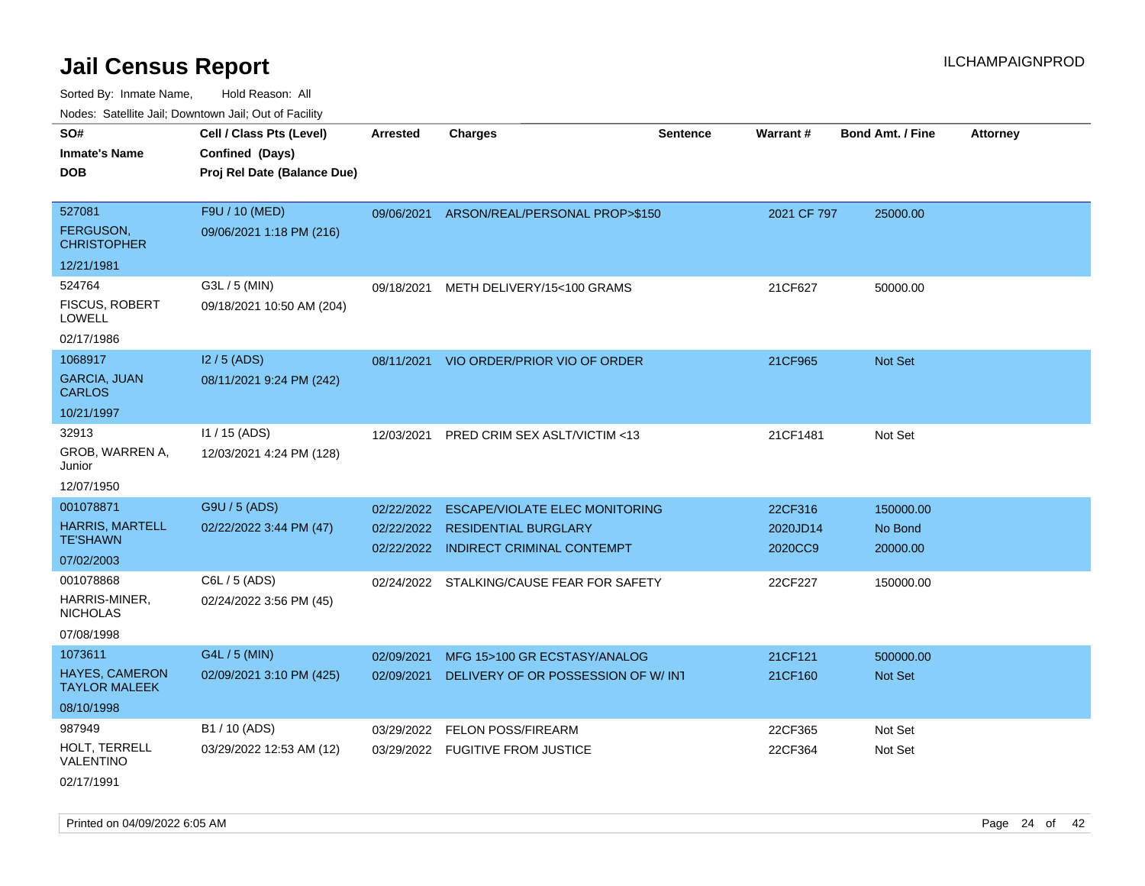| SO#                                           | Cell / Class Pts (Level)    | <b>Arrested</b> | <b>Charges</b>                            | <b>Sentence</b> | Warrant#    | <b>Bond Amt. / Fine</b> | <b>Attorney</b> |
|-----------------------------------------------|-----------------------------|-----------------|-------------------------------------------|-----------------|-------------|-------------------------|-----------------|
| <b>Inmate's Name</b>                          | Confined (Days)             |                 |                                           |                 |             |                         |                 |
| <b>DOB</b>                                    | Proj Rel Date (Balance Due) |                 |                                           |                 |             |                         |                 |
|                                               |                             |                 |                                           |                 |             |                         |                 |
| 527081                                        | F9U / 10 (MED)              |                 | 09/06/2021 ARSON/REAL/PERSONAL PROP>\$150 |                 | 2021 CF 797 | 25000.00                |                 |
| <b>FERGUSON,</b><br><b>CHRISTOPHER</b>        | 09/06/2021 1:18 PM (216)    |                 |                                           |                 |             |                         |                 |
| 12/21/1981                                    |                             |                 |                                           |                 |             |                         |                 |
| 524764                                        | G3L / 5 (MIN)               | 09/18/2021      | METH DELIVERY/15<100 GRAMS                |                 | 21CF627     | 50000.00                |                 |
| FISCUS, ROBERT<br><b>LOWELL</b>               | 09/18/2021 10:50 AM (204)   |                 |                                           |                 |             |                         |                 |
| 02/17/1986                                    |                             |                 |                                           |                 |             |                         |                 |
| 1068917                                       | $12/5$ (ADS)                |                 | 08/11/2021 VIO ORDER/PRIOR VIO OF ORDER   |                 | 21CF965     | Not Set                 |                 |
| <b>GARCIA, JUAN</b><br><b>CARLOS</b>          | 08/11/2021 9:24 PM (242)    |                 |                                           |                 |             |                         |                 |
| 10/21/1997                                    |                             |                 |                                           |                 |             |                         |                 |
| 32913                                         | $11 / 15$ (ADS)             | 12/03/2021      | PRED CRIM SEX ASLT/VICTIM <13             |                 | 21CF1481    | Not Set                 |                 |
| GROB, WARREN A,<br>Junior                     | 12/03/2021 4:24 PM (128)    |                 |                                           |                 |             |                         |                 |
| 12/07/1950                                    |                             |                 |                                           |                 |             |                         |                 |
| 001078871                                     | G9U / 5 (ADS)               | 02/22/2022      | <b>ESCAPE/VIOLATE ELEC MONITORING</b>     |                 | 22CF316     | 150000.00               |                 |
| <b>HARRIS, MARTELL</b>                        | 02/22/2022 3:44 PM (47)     |                 | 02/22/2022 RESIDENTIAL BURGLARY           |                 | 2020JD14    | No Bond                 |                 |
| <b>TE'SHAWN</b>                               |                             |                 | 02/22/2022 INDIRECT CRIMINAL CONTEMPT     |                 | 2020CC9     | 20000.00                |                 |
| 07/02/2003                                    |                             |                 |                                           |                 |             |                         |                 |
| 001078868                                     | C6L / 5 (ADS)               |                 | 02/24/2022 STALKING/CAUSE FEAR FOR SAFETY |                 | 22CF227     | 150000.00               |                 |
| HARRIS-MINER,<br><b>NICHOLAS</b>              | 02/24/2022 3:56 PM (45)     |                 |                                           |                 |             |                         |                 |
| 07/08/1998                                    |                             |                 |                                           |                 |             |                         |                 |
| 1073611                                       | G4L / 5 (MIN)               | 02/09/2021      | MFG 15>100 GR ECSTASY/ANALOG              |                 | 21CF121     | 500000.00               |                 |
| <b>HAYES, CAMERON</b><br><b>TAYLOR MALEEK</b> | 02/09/2021 3:10 PM (425)    | 02/09/2021      | DELIVERY OF OR POSSESSION OF W/ INT       |                 | 21CF160     | Not Set                 |                 |
| 08/10/1998                                    |                             |                 |                                           |                 |             |                         |                 |
| 987949                                        | B1 / 10 (ADS)               | 03/29/2022      | <b>FELON POSS/FIREARM</b>                 |                 | 22CF365     | Not Set                 |                 |
| HOLT, TERRELL<br>VALENTINO                    | 03/29/2022 12:53 AM (12)    |                 | 03/29/2022 FUGITIVE FROM JUSTICE          |                 | 22CF364     | Not Set                 |                 |
| 02/17/1991                                    |                             |                 |                                           |                 |             |                         |                 |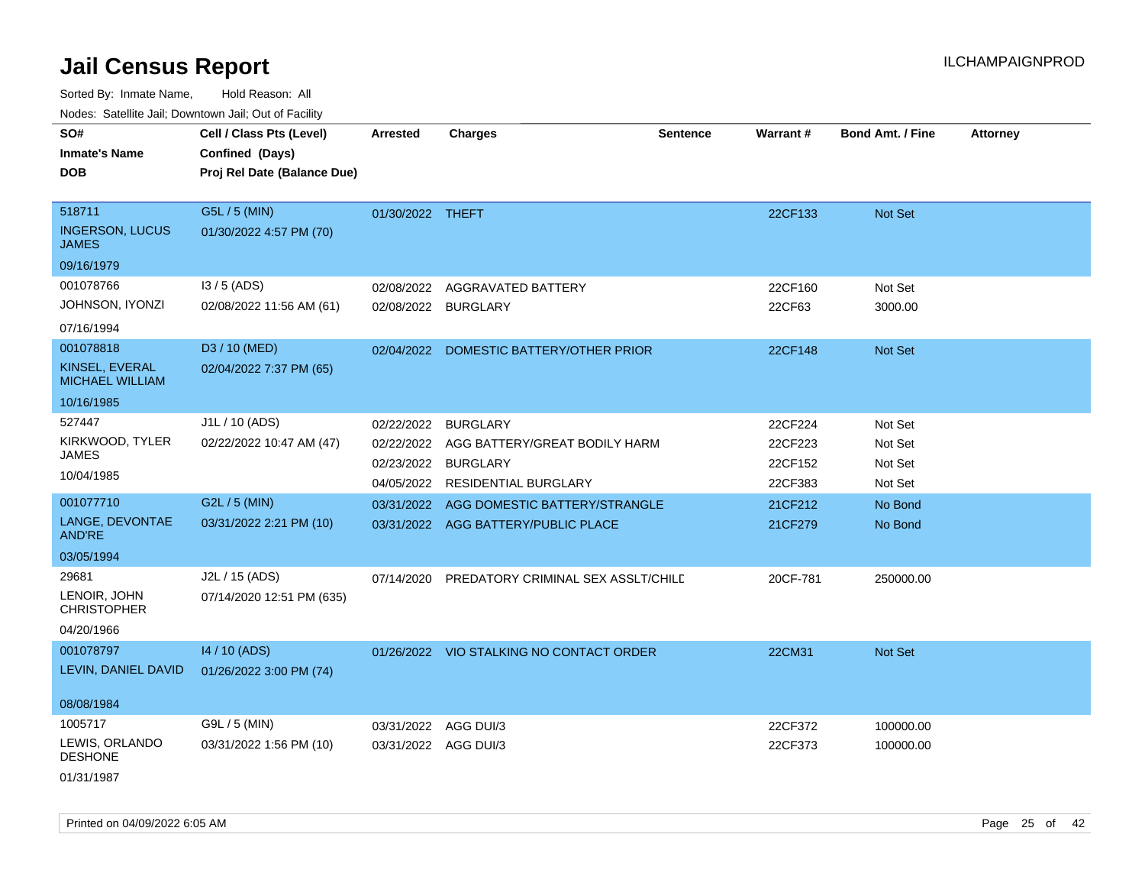Sorted By: Inmate Name, Hold Reason: All

|  |  |  | Nodes: Satellite Jail; Downtown Jail; Out of Facility |  |
|--|--|--|-------------------------------------------------------|--|
|--|--|--|-------------------------------------------------------|--|

| SO#<br><b>Inmate's Name</b><br><b>DOB</b> | Cell / Class Pts (Level)<br>Confined (Days)<br>Proj Rel Date (Balance Due) | <b>Arrested</b>  | <b>Charges</b>                           | <b>Sentence</b> | Warrant# | <b>Bond Amt. / Fine</b> | <b>Attorney</b> |
|-------------------------------------------|----------------------------------------------------------------------------|------------------|------------------------------------------|-----------------|----------|-------------------------|-----------------|
|                                           |                                                                            |                  |                                          |                 |          |                         |                 |
| 518711                                    | G5L / 5 (MIN)                                                              | 01/30/2022 THEFT |                                          |                 | 22CF133  | Not Set                 |                 |
| <b>INGERSON, LUCUS</b><br><b>JAMES</b>    | 01/30/2022 4:57 PM (70)                                                    |                  |                                          |                 |          |                         |                 |
| 09/16/1979                                |                                                                            |                  |                                          |                 |          |                         |                 |
| 001078766                                 | $13/5$ (ADS)                                                               | 02/08/2022       | AGGRAVATED BATTERY                       |                 | 22CF160  | Not Set                 |                 |
| JOHNSON, IYONZI                           | 02/08/2022 11:56 AM (61)                                                   |                  | 02/08/2022 BURGLARY                      |                 | 22CF63   | 3000.00                 |                 |
| 07/16/1994                                |                                                                            |                  |                                          |                 |          |                         |                 |
| 001078818                                 | D3 / 10 (MED)                                                              |                  | 02/04/2022 DOMESTIC BATTERY/OTHER PRIOR  |                 | 22CF148  | Not Set                 |                 |
| KINSEL, EVERAL<br><b>MICHAEL WILLIAM</b>  | 02/04/2022 7:37 PM (65)                                                    |                  |                                          |                 |          |                         |                 |
| 10/16/1985                                |                                                                            |                  |                                          |                 |          |                         |                 |
| 527447                                    | J1L / 10 (ADS)                                                             | 02/22/2022       | <b>BURGLARY</b>                          |                 | 22CF224  | Not Set                 |                 |
| KIRKWOOD, TYLER                           | 02/22/2022 10:47 AM (47)                                                   | 02/22/2022       | AGG BATTERY/GREAT BODILY HARM            |                 | 22CF223  | Not Set                 |                 |
| <b>JAMES</b>                              |                                                                            | 02/23/2022       | <b>BURGLARY</b>                          |                 | 22CF152  | Not Set                 |                 |
| 10/04/1985                                |                                                                            |                  | 04/05/2022 RESIDENTIAL BURGLARY          |                 | 22CF383  | Not Set                 |                 |
| 001077710                                 | G2L / 5 (MIN)                                                              | 03/31/2022       | AGG DOMESTIC BATTERY/STRANGLE            |                 | 21CF212  | No Bond                 |                 |
| LANGE, DEVONTAE<br><b>AND'RE</b>          | 03/31/2022 2:21 PM (10)                                                    |                  | 03/31/2022 AGG BATTERY/PUBLIC PLACE      |                 | 21CF279  | No Bond                 |                 |
| 03/05/1994                                |                                                                            |                  |                                          |                 |          |                         |                 |
| 29681                                     | J2L / 15 (ADS)                                                             | 07/14/2020       | PREDATORY CRIMINAL SEX ASSLT/CHILD       |                 | 20CF-781 | 250000.00               |                 |
| LENOIR, JOHN<br><b>CHRISTOPHER</b>        | 07/14/2020 12:51 PM (635)                                                  |                  |                                          |                 |          |                         |                 |
| 04/20/1966                                |                                                                            |                  |                                          |                 |          |                         |                 |
| 001078797                                 | 14 / 10 (ADS)                                                              |                  | 01/26/2022 VIO STALKING NO CONTACT ORDER |                 | 22CM31   | Not Set                 |                 |
| LEVIN, DANIEL DAVID                       | 01/26/2022 3:00 PM (74)                                                    |                  |                                          |                 |          |                         |                 |
| 08/08/1984                                |                                                                            |                  |                                          |                 |          |                         |                 |
| 1005717                                   | G9L / 5 (MIN)                                                              | 03/31/2022       | AGG DUI/3                                |                 | 22CF372  | 100000.00               |                 |
| LEWIS, ORLANDO<br><b>DESHONE</b>          | 03/31/2022 1:56 PM (10)                                                    |                  | 03/31/2022 AGG DUI/3                     |                 | 22CF373  | 100000.00               |                 |
| 01/31/1987                                |                                                                            |                  |                                          |                 |          |                         |                 |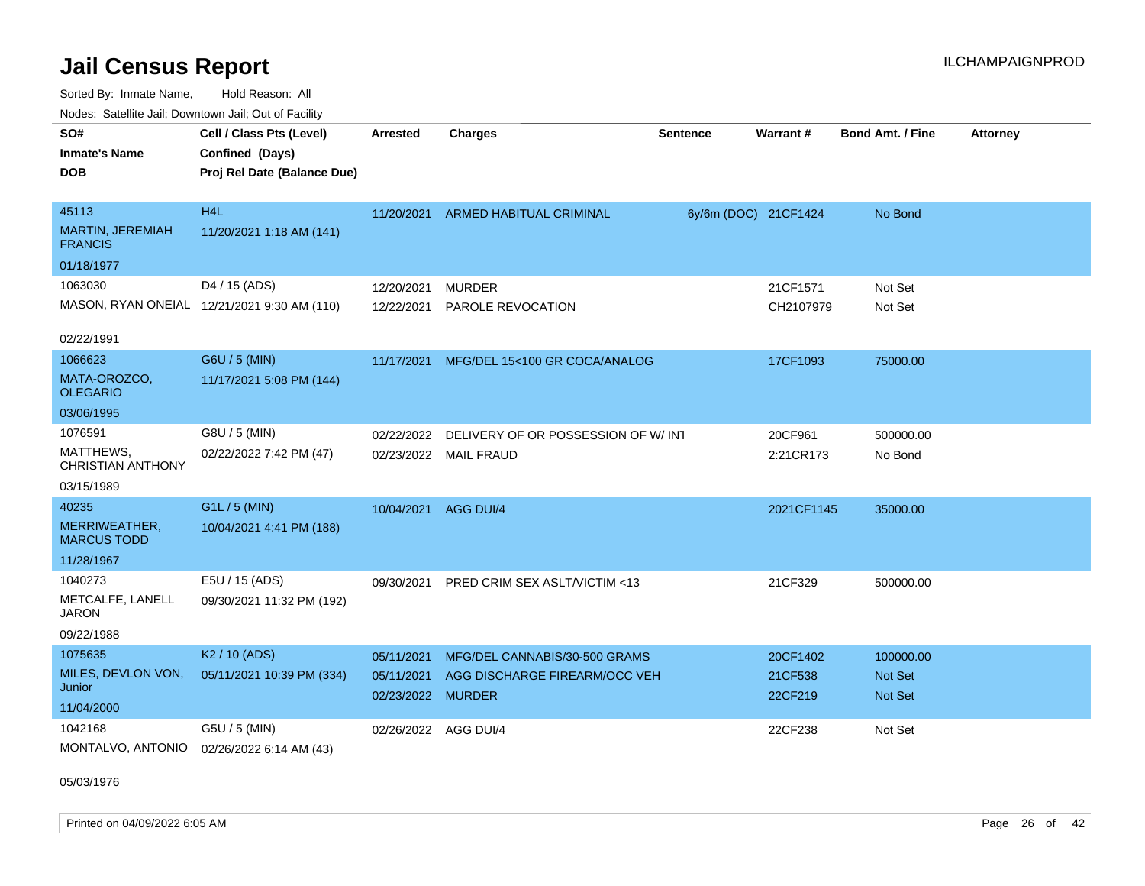Sorted By: Inmate Name, Hold Reason: All Nodes: Satellite Jail; Downtown Jail; Out of Facility

| SO#<br><b>Inmate's Name</b><br><b>DOB</b>          | Cell / Class Pts (Level)<br>Confined (Days)<br>Proj Rel Date (Balance Due) | <b>Arrested</b>                 | <b>Charges</b>                     | <b>Sentence</b>      | Warrant#           | <b>Bond Amt. / Fine</b> | <b>Attorney</b> |
|----------------------------------------------------|----------------------------------------------------------------------------|---------------------------------|------------------------------------|----------------------|--------------------|-------------------------|-----------------|
| 45113<br><b>MARTIN, JEREMIAH</b><br><b>FRANCIS</b> | H <sub>4</sub> L<br>11/20/2021 1:18 AM (141)                               | 11/20/2021                      | ARMED HABITUAL CRIMINAL            | 6y/6m (DOC) 21CF1424 |                    | No Bond                 |                 |
| 01/18/1977                                         |                                                                            |                                 |                                    |                      |                    |                         |                 |
| 1063030                                            | D4 / 15 (ADS)                                                              | 12/20/2021                      | <b>MURDER</b>                      |                      | 21CF1571           | Not Set                 |                 |
|                                                    | MASON, RYAN ONEIAL 12/21/2021 9:30 AM (110)                                | 12/22/2021                      | PAROLE REVOCATION                  |                      | CH2107979          | Not Set                 |                 |
| 02/22/1991                                         |                                                                            |                                 |                                    |                      |                    |                         |                 |
| 1066623                                            | G6U / 5 (MIN)                                                              | 11/17/2021                      | MFG/DEL 15<100 GR COCA/ANALOG      |                      | 17CF1093           | 75000.00                |                 |
| MATA-OROZCO,<br><b>OLEGARIO</b>                    | 11/17/2021 5:08 PM (144)                                                   |                                 |                                    |                      |                    |                         |                 |
| 03/06/1995                                         |                                                                            |                                 |                                    |                      |                    |                         |                 |
| 1076591                                            | G8U / 5 (MIN)                                                              | 02/22/2022                      | DELIVERY OF OR POSSESSION OF W/INT |                      | 20CF961            | 500000.00               |                 |
| MATTHEWS,<br><b>CHRISTIAN ANTHONY</b>              | 02/22/2022 7:42 PM (47)                                                    |                                 | 02/23/2022 MAIL FRAUD              |                      | 2:21CR173          | No Bond                 |                 |
| 03/15/1989                                         |                                                                            |                                 |                                    |                      |                    |                         |                 |
| 40235                                              | G1L / 5 (MIN)                                                              | 10/04/2021                      | AGG DUI/4                          |                      | 2021CF1145         | 35000.00                |                 |
| MERRIWEATHER,<br><b>MARCUS TODD</b>                | 10/04/2021 4:41 PM (188)                                                   |                                 |                                    |                      |                    |                         |                 |
| 11/28/1967                                         |                                                                            |                                 |                                    |                      |                    |                         |                 |
| 1040273                                            | E5U / 15 (ADS)                                                             | 09/30/2021                      | PRED CRIM SEX ASLT/VICTIM <13      |                      | 21CF329            | 500000.00               |                 |
| METCALFE, LANELL<br>JARON                          | 09/30/2021 11:32 PM (192)                                                  |                                 |                                    |                      |                    |                         |                 |
| 09/22/1988                                         |                                                                            |                                 |                                    |                      |                    |                         |                 |
| 1075635                                            | K <sub>2</sub> / 10 (ADS)                                                  | 05/11/2021                      | MFG/DEL CANNABIS/30-500 GRAMS      |                      | 20CF1402           | 100000.00               |                 |
| MILES, DEVLON VON,<br>Junior                       | 05/11/2021 10:39 PM (334)                                                  | 05/11/2021<br>02/23/2022 MURDER | AGG DISCHARGE FIREARM/OCC VEH      |                      | 21CF538<br>22CF219 | Not Set<br>Not Set      |                 |
| 11/04/2000                                         |                                                                            |                                 |                                    |                      |                    |                         |                 |
| 1042168<br>MONTALVO, ANTONIO                       | G5U / 5 (MIN)<br>02/26/2022 6:14 AM (43)                                   | 02/26/2022 AGG DUI/4            |                                    |                      | 22CF238            | Not Set                 |                 |

05/03/1976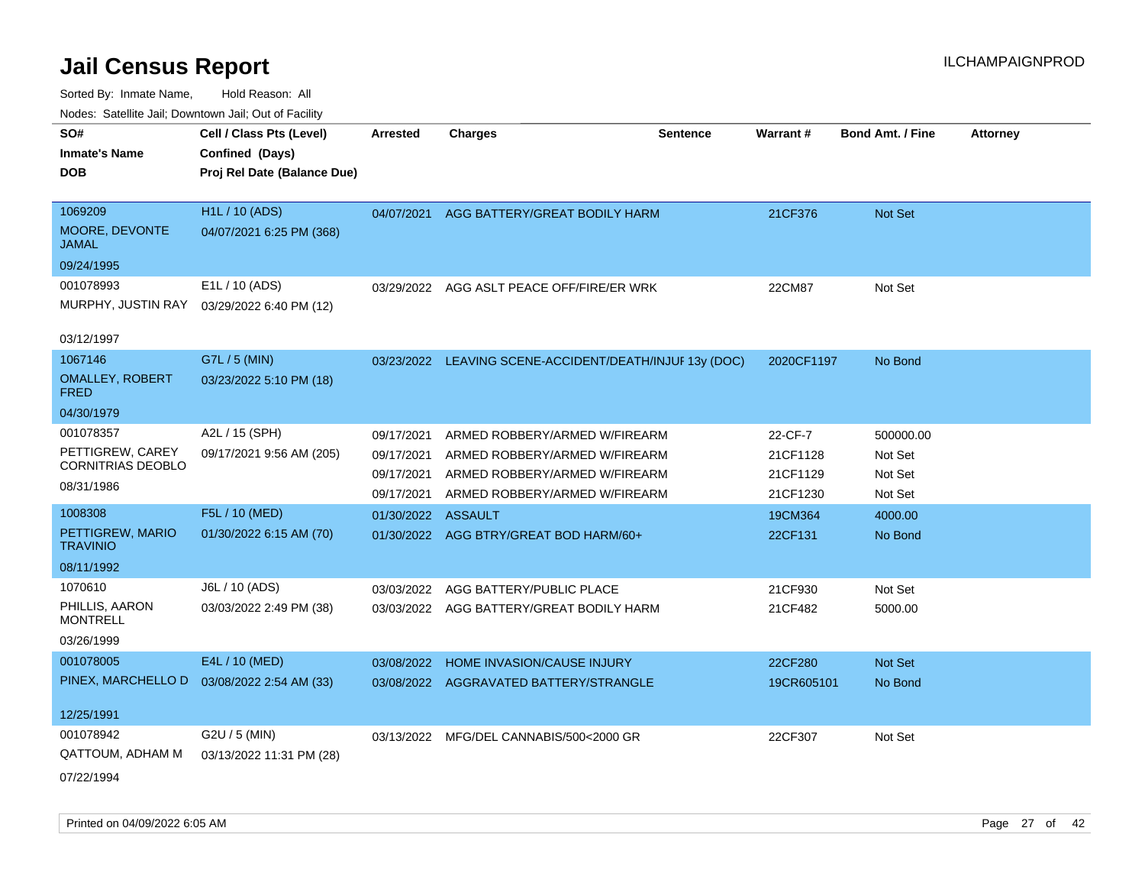| rouco. Calcinic Jan, Downtown Jan, Out of Facility |                                                                            |                          |                                                                |                 |                      |                         |                 |
|----------------------------------------------------|----------------------------------------------------------------------------|--------------------------|----------------------------------------------------------------|-----------------|----------------------|-------------------------|-----------------|
| SO#<br><b>Inmate's Name</b><br><b>DOB</b>          | Cell / Class Pts (Level)<br>Confined (Days)<br>Proj Rel Date (Balance Due) | <b>Arrested</b>          | <b>Charges</b>                                                 | <b>Sentence</b> | <b>Warrant#</b>      | <b>Bond Amt. / Fine</b> | <b>Attorney</b> |
| 1069209<br>MOORE, DEVONTE<br>JAMAL                 | <b>H1L / 10 (ADS)</b><br>04/07/2021 6:25 PM (368)                          | 04/07/2021               | AGG BATTERY/GREAT BODILY HARM                                  |                 | 21CF376              | Not Set                 |                 |
| 09/24/1995                                         |                                                                            |                          |                                                                |                 |                      |                         |                 |
| 001078993<br>MURPHY, JUSTIN RAY<br>03/12/1997      | E1L / 10 (ADS)<br>03/29/2022 6:40 PM (12)                                  |                          | 03/29/2022 AGG ASLT PEACE OFF/FIRE/ER WRK                      |                 | 22CM87               | Not Set                 |                 |
| 1067146                                            | G7L / 5 (MIN)                                                              |                          |                                                                |                 |                      |                         |                 |
| <b>OMALLEY, ROBERT</b><br>FRED                     | 03/23/2022 5:10 PM (18)                                                    | 03/23/2022               | LEAVING SCENE-ACCIDENT/DEATH/INJUF 13y (DOC)                   |                 | 2020CF1197           | No Bond                 |                 |
| 04/30/1979                                         |                                                                            |                          |                                                                |                 |                      |                         |                 |
| 001078357                                          | A2L / 15 (SPH)                                                             | 09/17/2021               | ARMED ROBBERY/ARMED W/FIREARM                                  |                 | 22-CF-7              | 500000.00               |                 |
| PETTIGREW, CAREY<br><b>CORNITRIAS DEOBLO</b>       | 09/17/2021 9:56 AM (205)                                                   | 09/17/2021<br>09/17/2021 | ARMED ROBBERY/ARMED W/FIREARM<br>ARMED ROBBERY/ARMED W/FIREARM |                 | 21CF1128<br>21CF1129 | Not Set<br>Not Set      |                 |
| 08/31/1986                                         |                                                                            | 09/17/2021               | ARMED ROBBERY/ARMED W/FIREARM                                  |                 | 21CF1230             | Not Set                 |                 |
| 1008308                                            | F5L / 10 (MED)                                                             | 01/30/2022               | <b>ASSAULT</b>                                                 |                 | 19CM364              | 4000.00                 |                 |
| PETTIGREW, MARIO<br><b>TRAVINIO</b>                | 01/30/2022 6:15 AM (70)                                                    | 01/30/2022               | AGG BTRY/GREAT BOD HARM/60+                                    |                 | 22CF131              | No Bond                 |                 |
| 08/11/1992                                         |                                                                            |                          |                                                                |                 |                      |                         |                 |
| 1070610                                            | J6L / 10 (ADS)                                                             | 03/03/2022               | AGG BATTERY/PUBLIC PLACE                                       |                 | 21CF930              | Not Set                 |                 |
| PHILLIS, AARON<br><b>MONTRELL</b>                  | 03/03/2022 2:49 PM (38)                                                    | 03/03/2022               | AGG BATTERY/GREAT BODILY HARM                                  |                 | 21CF482              | 5000.00                 |                 |
| 03/26/1999                                         |                                                                            |                          |                                                                |                 |                      |                         |                 |
| 001078005                                          | E4L / 10 (MED)                                                             | 03/08/2022               | <b>HOME INVASION/CAUSE INJURY</b>                              |                 | 22CF280              | <b>Not Set</b>          |                 |
| PINEX, MARCHELLO D                                 | 03/08/2022 2:54 AM (33)                                                    | 03/08/2022               | AGGRAVATED BATTERY/STRANGLE                                    |                 | 19CR605101           | No Bond                 |                 |
| 12/25/1991                                         |                                                                            |                          |                                                                |                 |                      |                         |                 |
| 001078942<br>QATTOUM, ADHAM M                      | G2U / 5 (MIN)<br>03/13/2022 11:31 PM (28)                                  |                          | 03/13/2022 MFG/DEL CANNABIS/500<2000 GR                        |                 | 22CF307              | Not Set                 |                 |
| 07/22/1994                                         |                                                                            |                          |                                                                |                 |                      |                         |                 |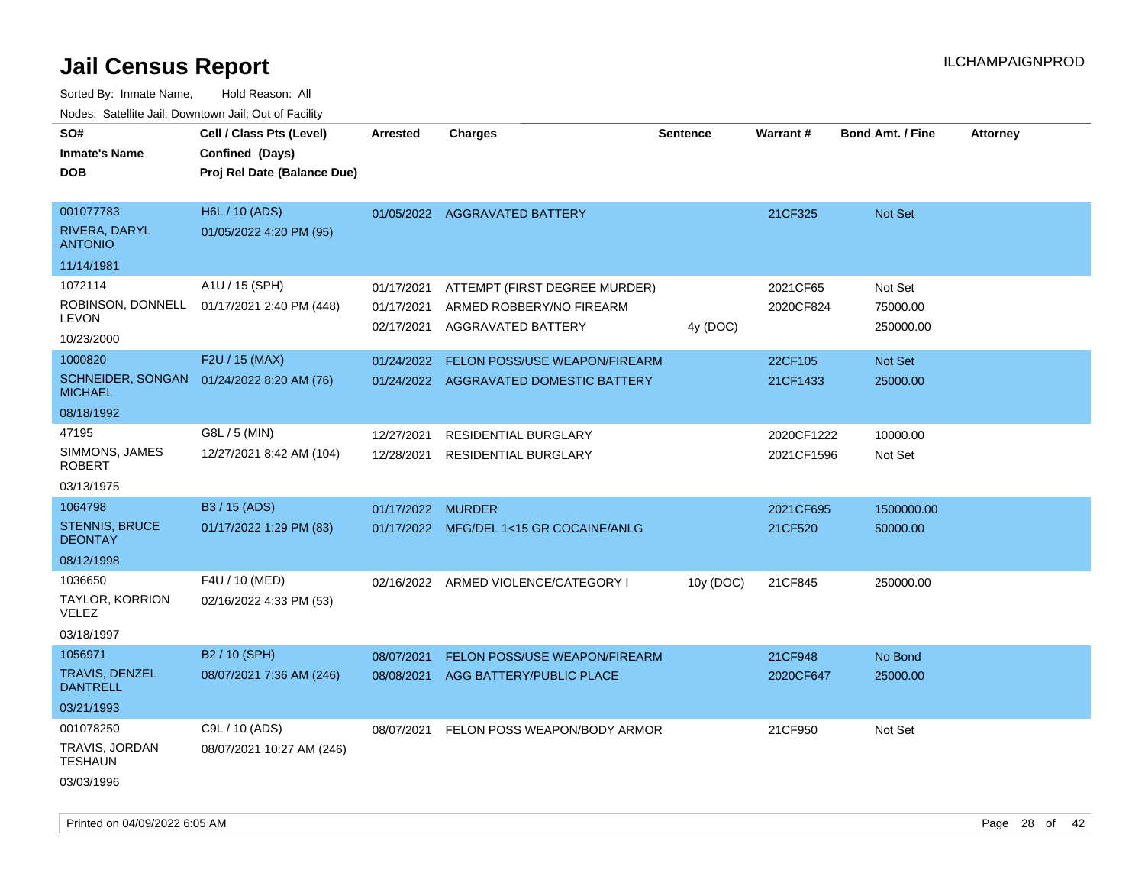| ivoues. Salellite Jali, Downtown Jali, Out of Facility |                                           |            |                                         |                 |                 |                         |                 |
|--------------------------------------------------------|-------------------------------------------|------------|-----------------------------------------|-----------------|-----------------|-------------------------|-----------------|
| SO#                                                    | Cell / Class Pts (Level)                  | Arrested   | <b>Charges</b>                          | <b>Sentence</b> | <b>Warrant#</b> | <b>Bond Amt. / Fine</b> | <b>Attorney</b> |
| <b>Inmate's Name</b>                                   | Confined (Days)                           |            |                                         |                 |                 |                         |                 |
| <b>DOB</b>                                             | Proj Rel Date (Balance Due)               |            |                                         |                 |                 |                         |                 |
|                                                        |                                           |            |                                         |                 |                 |                         |                 |
| 001077783                                              | H6L / 10 (ADS)                            |            | 01/05/2022 AGGRAVATED BATTERY           |                 | 21CF325         | Not Set                 |                 |
| RIVERA, DARYL<br><b>ANTONIO</b>                        | 01/05/2022 4:20 PM (95)                   |            |                                         |                 |                 |                         |                 |
| 11/14/1981                                             |                                           |            |                                         |                 |                 |                         |                 |
| 1072114                                                | A1U / 15 (SPH)                            | 01/17/2021 | ATTEMPT (FIRST DEGREE MURDER)           |                 | 2021CF65        | Not Set                 |                 |
| ROBINSON, DONNELL<br><b>LEVON</b>                      | 01/17/2021 2:40 PM (448)                  | 01/17/2021 | ARMED ROBBERY/NO FIREARM                |                 | 2020CF824       | 75000.00                |                 |
| 10/23/2000                                             |                                           |            | 02/17/2021 AGGRAVATED BATTERY           | 4y (DOC)        |                 | 250000.00               |                 |
| 1000820                                                | F2U / 15 (MAX)                            | 01/24/2022 | <b>FELON POSS/USE WEAPON/FIREARM</b>    |                 | 22CF105         | Not Set                 |                 |
| <b>MICHAEL</b>                                         | SCHNEIDER, SONGAN 01/24/2022 8:20 AM (76) |            | 01/24/2022 AGGRAVATED DOMESTIC BATTERY  |                 | 21CF1433        | 25000.00                |                 |
| 08/18/1992                                             |                                           |            |                                         |                 |                 |                         |                 |
| 47195                                                  | G8L / 5 (MIN)                             | 12/27/2021 | RESIDENTIAL BURGLARY                    |                 | 2020CF1222      | 10000.00                |                 |
| SIMMONS, JAMES<br><b>ROBERT</b>                        | 12/27/2021 8:42 AM (104)                  | 12/28/2021 | <b>RESIDENTIAL BURGLARY</b>             |                 | 2021CF1596      | Not Set                 |                 |
| 03/13/1975                                             |                                           |            |                                         |                 |                 |                         |                 |
| 1064798                                                | B3 / 15 (ADS)                             | 01/17/2022 | <b>MURDER</b>                           |                 | 2021CF695       | 1500000.00              |                 |
| <b>STENNIS, BRUCE</b><br><b>DEONTAY</b>                | 01/17/2022 1:29 PM (83)                   |            | 01/17/2022 MFG/DEL 1<15 GR COCAINE/ANLG |                 | 21CF520         | 50000.00                |                 |
| 08/12/1998                                             |                                           |            |                                         |                 |                 |                         |                 |
| 1036650                                                | F4U / 10 (MED)                            |            | 02/16/2022 ARMED VIOLENCE/CATEGORY I    | 10y (DOC)       | 21CF845         | 250000.00               |                 |
| TAYLOR, KORRION<br><b>VELEZ</b>                        | 02/16/2022 4:33 PM (53)                   |            |                                         |                 |                 |                         |                 |
| 03/18/1997                                             |                                           |            |                                         |                 |                 |                         |                 |
| 1056971                                                | B2 / 10 (SPH)                             | 08/07/2021 | <b>FELON POSS/USE WEAPON/FIREARM</b>    |                 | 21CF948         | No Bond                 |                 |
| <b>TRAVIS, DENZEL</b><br><b>DANTRELL</b>               | 08/07/2021 7:36 AM (246)                  | 08/08/2021 | AGG BATTERY/PUBLIC PLACE                |                 | 2020CF647       | 25000.00                |                 |
| 03/21/1993                                             |                                           |            |                                         |                 |                 |                         |                 |
| 001078250                                              | C9L / 10 (ADS)                            | 08/07/2021 | FELON POSS WEAPON/BODY ARMOR            |                 | 21CF950         | Not Set                 |                 |
| TRAVIS, JORDAN<br><b>TESHAUN</b>                       | 08/07/2021 10:27 AM (246)                 |            |                                         |                 |                 |                         |                 |
| 03/03/1996                                             |                                           |            |                                         |                 |                 |                         |                 |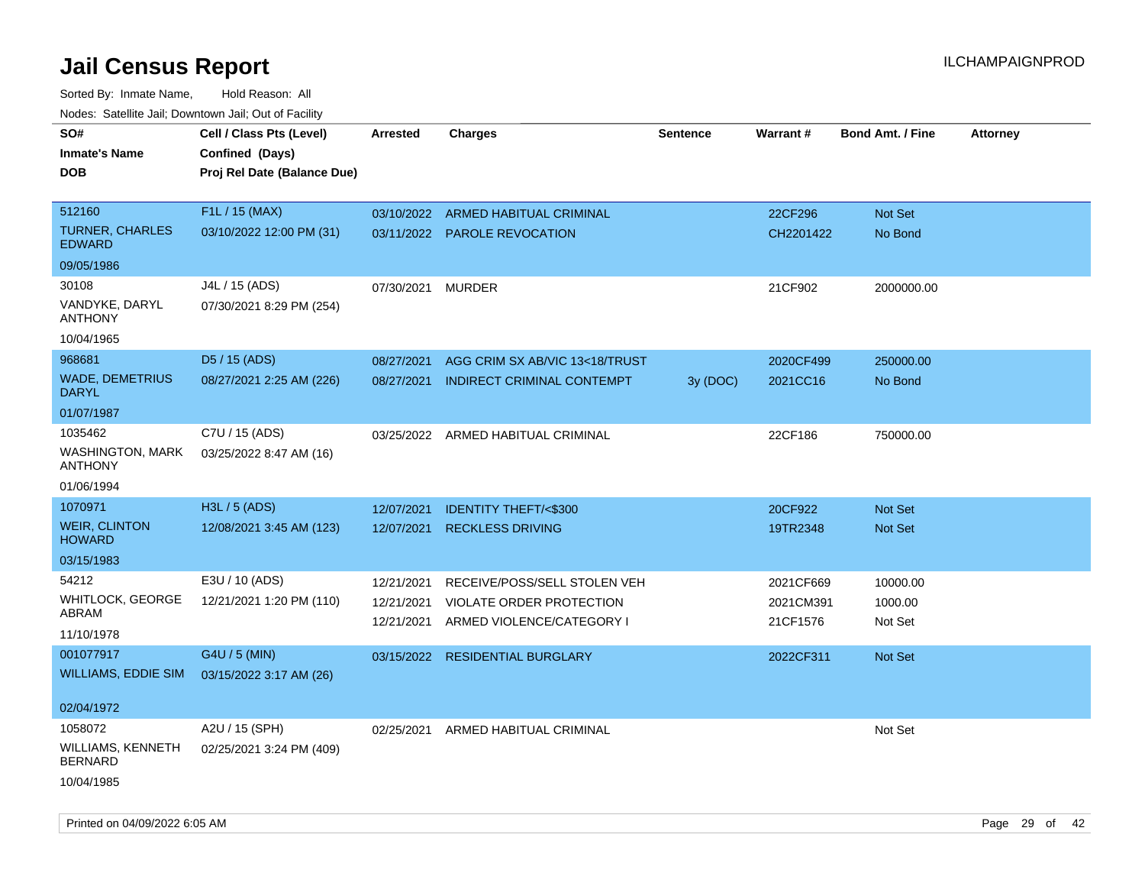| rougs. Calcing Jan, Downtown Jan, Out of Facility                                |                                                                            |                                        |                                                                                       |          |                                    |                                |                 |
|----------------------------------------------------------------------------------|----------------------------------------------------------------------------|----------------------------------------|---------------------------------------------------------------------------------------|----------|------------------------------------|--------------------------------|-----------------|
| SO#<br><b>Inmate's Name</b><br><b>DOB</b>                                        | Cell / Class Pts (Level)<br>Confined (Days)<br>Proj Rel Date (Balance Due) | Arrested                               | <b>Charges</b>                                                                        | Sentence | Warrant#                           | <b>Bond Amt. / Fine</b>        | <b>Attorney</b> |
| 512160<br><b>TURNER, CHARLES</b><br><b>EDWARD</b>                                | F1L / 15 (MAX)<br>03/10/2022 12:00 PM (31)                                 |                                        | 03/10/2022 ARMED HABITUAL CRIMINAL<br>03/11/2022 PAROLE REVOCATION                    |          | 22CF296<br>CH2201422               | Not Set<br>No Bond             |                 |
| 09/05/1986<br>30108<br>VANDYKE, DARYL<br><b>ANTHONY</b>                          | J4L / 15 (ADS)<br>07/30/2021 8:29 PM (254)                                 | 07/30/2021                             | <b>MURDER</b>                                                                         |          | 21CF902                            | 2000000.00                     |                 |
| 10/04/1965<br>968681<br><b>WADE, DEMETRIUS</b><br><b>DARYL</b>                   | D5 / 15 (ADS)<br>08/27/2021 2:25 AM (226)                                  | 08/27/2021<br>08/27/2021               | AGG CRIM SX AB/VIC 13<18/TRUST<br><b>INDIRECT CRIMINAL CONTEMPT</b>                   | 3y(DOC)  | 2020CF499<br>2021CC16              | 250000.00<br>No Bond           |                 |
| 01/07/1987<br>1035462<br><b>WASHINGTON, MARK</b><br><b>ANTHONY</b><br>01/06/1994 | C7U / 15 (ADS)<br>03/25/2022 8:47 AM (16)                                  |                                        | 03/25/2022 ARMED HABITUAL CRIMINAL                                                    |          | 22CF186                            | 750000.00                      |                 |
| 1070971<br><b>WEIR, CLINTON</b><br><b>HOWARD</b><br>03/15/1983                   | H3L / 5 (ADS)<br>12/08/2021 3:45 AM (123)                                  | 12/07/2021<br>12/07/2021               | <b>IDENTITY THEFT/&lt;\$300</b><br><b>RECKLESS DRIVING</b>                            |          | 20CF922<br>19TR2348                | <b>Not Set</b><br>Not Set      |                 |
| 54212<br>WHITLOCK, GEORGE<br>ABRAM<br>11/10/1978                                 | E3U / 10 (ADS)<br>12/21/2021 1:20 PM (110)                                 | 12/21/2021<br>12/21/2021<br>12/21/2021 | RECEIVE/POSS/SELL STOLEN VEH<br>VIOLATE ORDER PROTECTION<br>ARMED VIOLENCE/CATEGORY I |          | 2021CF669<br>2021CM391<br>21CF1576 | 10000.00<br>1000.00<br>Not Set |                 |
| 001077917<br>WILLIAMS, EDDIE SIM<br>02/04/1972                                   | G4U / 5 (MIN)<br>03/15/2022 3:17 AM (26)                                   | 03/15/2022                             | <b>RESIDENTIAL BURGLARY</b>                                                           |          | 2022CF311                          | <b>Not Set</b>                 |                 |
| 1058072<br>WILLIAMS, KENNETH<br><b>BERNARD</b><br>10/04/1985                     | A2U / 15 (SPH)<br>02/25/2021 3:24 PM (409)                                 | 02/25/2021                             | ARMED HABITUAL CRIMINAL                                                               |          |                                    | Not Set                        |                 |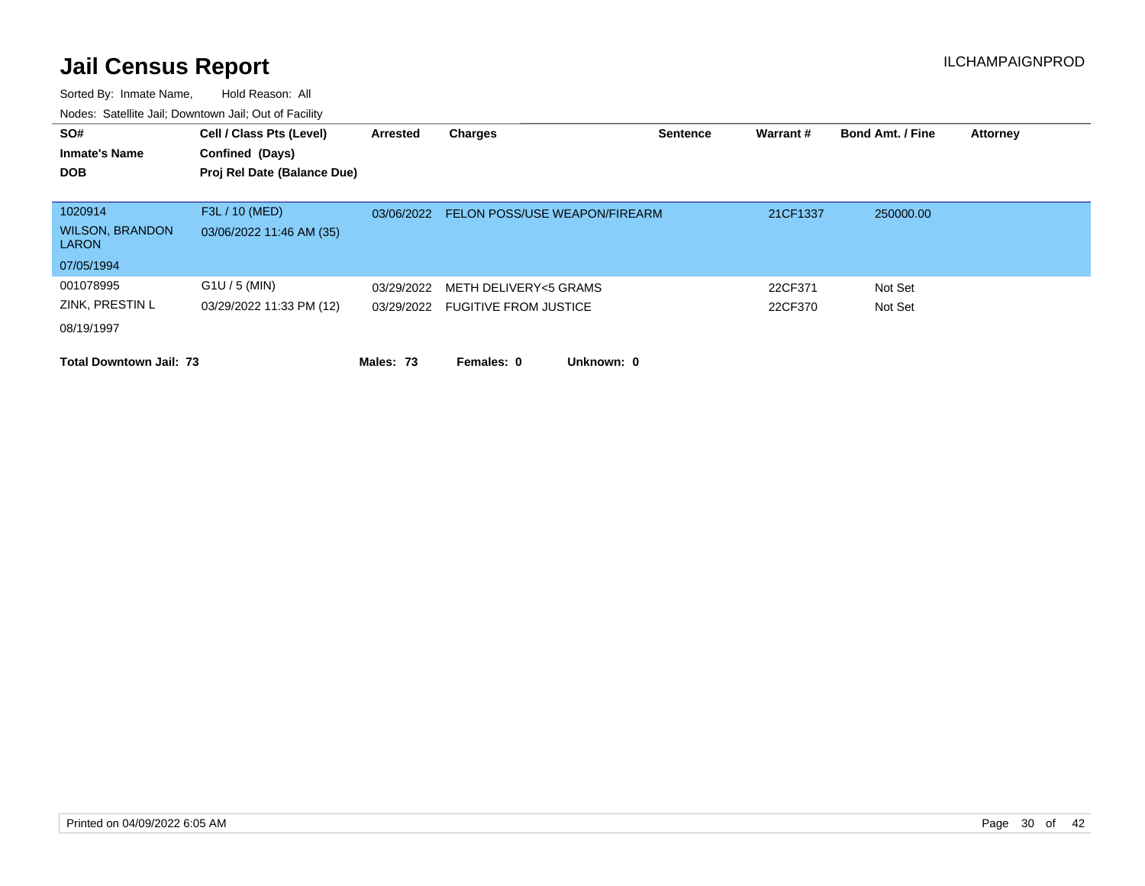| SO#<br><b>Inmate's Name</b><br><b>DOB</b>                       | Cell / Class Pts (Level)<br>Confined (Days)<br>Proj Rel Date (Balance Due) | Arrested   | Charges                                                   | <b>Sentence</b> | Warrant #          | <b>Bond Amt. / Fine</b> | <b>Attorney</b> |
|-----------------------------------------------------------------|----------------------------------------------------------------------------|------------|-----------------------------------------------------------|-----------------|--------------------|-------------------------|-----------------|
| 1020914<br><b>WILSON, BRANDON</b><br><b>LARON</b><br>07/05/1994 | F3L / 10 (MED)<br>03/06/2022 11:46 AM (35)                                 | 03/06/2022 | <b>FELON POSS/USE WEAPON/FIREARM</b>                      |                 | 21CF1337           | 250000.00               |                 |
| 001078995<br>ZINK, PRESTIN L<br>08/19/1997                      | $G1U / 5$ (MIN)<br>03/29/2022 11:33 PM (12)                                | 03/29/2022 | METH DELIVERY<5 GRAMS<br>03/29/2022 FUGITIVE FROM JUSTICE |                 | 22CF371<br>22CF370 | Not Set<br>Not Set      |                 |
| <b>Total Downtown Jail: 73</b>                                  |                                                                            | Males: 73  | Females: 0<br>Unknown: 0                                  |                 |                    |                         |                 |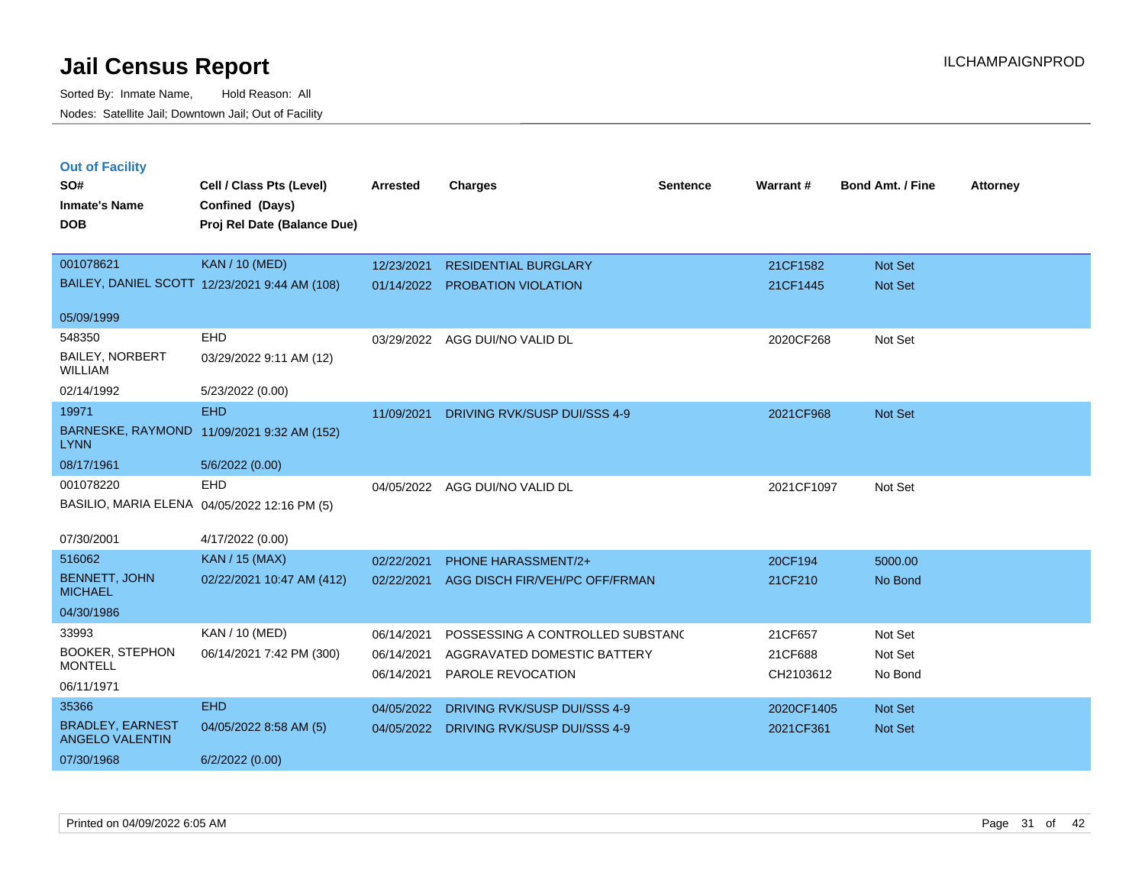**Out of Facility**

Sorted By: Inmate Name, Hold Reason: All Nodes: Satellite Jail; Downtown Jail; Out of Facility

| SO#<br><b>Inmate's Name</b><br><b>DOB</b>                               | Cell / Class Pts (Level)<br>Confined (Days)<br>Proj Rel Date (Balance Due) | Arrested   | <b>Charges</b>              | <b>Sentence</b> | Warrant# | Bond Amt. / F  |
|-------------------------------------------------------------------------|----------------------------------------------------------------------------|------------|-----------------------------|-----------------|----------|----------------|
| 001078621                                                               | <b>KAN</b> / 10 (MED)                                                      | 12/23/2021 | <b>RESIDENTIAL BURGLARY</b> |                 | 21CF1582 | <b>Not Set</b> |
|                                                                         | BAILEY, DANIEL SCOTT 12/23/2021 9:44 AM (108)                              | 01/14/2022 | <b>PROBATION VIOLATION</b>  |                 | 21CF1445 | <b>Not Set</b> |
| $\mathbf{A} = \mathbf{A} \mathbf{A} + \mathbf{A} \mathbf{A} \mathbf{A}$ |                                                                            |            |                             |                 |          |                |

|                                                   |                                               |            | <b>INLOIDLIVIIRE DOINOLAINI</b>         | <b>LIVI IJUL</b> | ו שטג שפג      |
|---------------------------------------------------|-----------------------------------------------|------------|-----------------------------------------|------------------|----------------|
|                                                   | BAILEY, DANIEL SCOTT 12/23/2021 9:44 AM (108) |            | 01/14/2022 PROBATION VIOLATION          | 21CF1445         | <b>Not Set</b> |
|                                                   |                                               |            |                                         |                  |                |
| 05/09/1999                                        |                                               |            |                                         |                  |                |
| 548350                                            | <b>EHD</b>                                    | 03/29/2022 | AGG DUI/NO VALID DL                     | 2020CF268        | Not Set        |
| <b>BAILEY, NORBERT</b><br><b>WILLIAM</b>          | 03/29/2022 9:11 AM (12)                       |            |                                         |                  |                |
| 02/14/1992                                        | 5/23/2022 (0.00)                              |            |                                         |                  |                |
| 19971                                             | EH <sub>D</sub>                               | 11/09/2021 | DRIVING RVK/SUSP DUI/SSS 4-9            | 2021CF968        | <b>Not Set</b> |
| <b>LYNN</b>                                       | BARNESKE, RAYMOND 11/09/2021 9:32 AM (152)    |            |                                         |                  |                |
| 08/17/1961                                        | 5/6/2022 (0.00)                               |            |                                         |                  |                |
| 001078220                                         | EHD                                           |            | 04/05/2022 AGG DUI/NO VALID DL          | 2021CF1097       | Not Set        |
| BASILIO, MARIA ELENA 04/05/2022 12:16 PM (5)      |                                               |            |                                         |                  |                |
| 07/30/2001                                        | 4/17/2022 (0.00)                              |            |                                         |                  |                |
| 516062                                            | <b>KAN / 15 (MAX)</b>                         | 02/22/2021 | <b>PHONE HARASSMENT/2+</b>              | 20CF194          | 5000.00        |
| <b>BENNETT, JOHN</b><br><b>MICHAEL</b>            | 02/22/2021 10:47 AM (412)                     | 02/22/2021 | AGG DISCH FIR/VEH/PC OFF/FRMAN          | 21CF210          | No Bond        |
| 04/30/1986                                        |                                               |            |                                         |                  |                |
| 33993                                             | KAN / 10 (MED)                                | 06/14/2021 | POSSESSING A CONTROLLED SUBSTANC        | 21CF657          | Not Set        |
| <b>BOOKER, STEPHON</b>                            | 06/14/2021 7:42 PM (300)                      | 06/14/2021 | AGGRAVATED DOMESTIC BATTERY             | 21CF688          | Not Set        |
| <b>MONTELL</b>                                    |                                               | 06/14/2021 | PAROLE REVOCATION                       | CH2103612        | No Bond        |
| 06/11/1971                                        |                                               |            |                                         |                  |                |
| 35366                                             | <b>EHD</b>                                    | 04/05/2022 | DRIVING RVK/SUSP DUI/SSS 4-9            | 2020CF1405       | <b>Not Set</b> |
| <b>BRADLEY, EARNEST</b><br><b>ANGELO VALENTIN</b> | 04/05/2022 8:58 AM (5)                        |            | 04/05/2022 DRIVING RVK/SUSP DUI/SSS 4-9 | 2021CF361        | <b>Not Set</b> |
| 07/30/1968                                        | 6/2/2022(0.00)                                |            |                                         |                  |                |

**Charges Charges Charges Charges Charges Charges Charges Charges CH**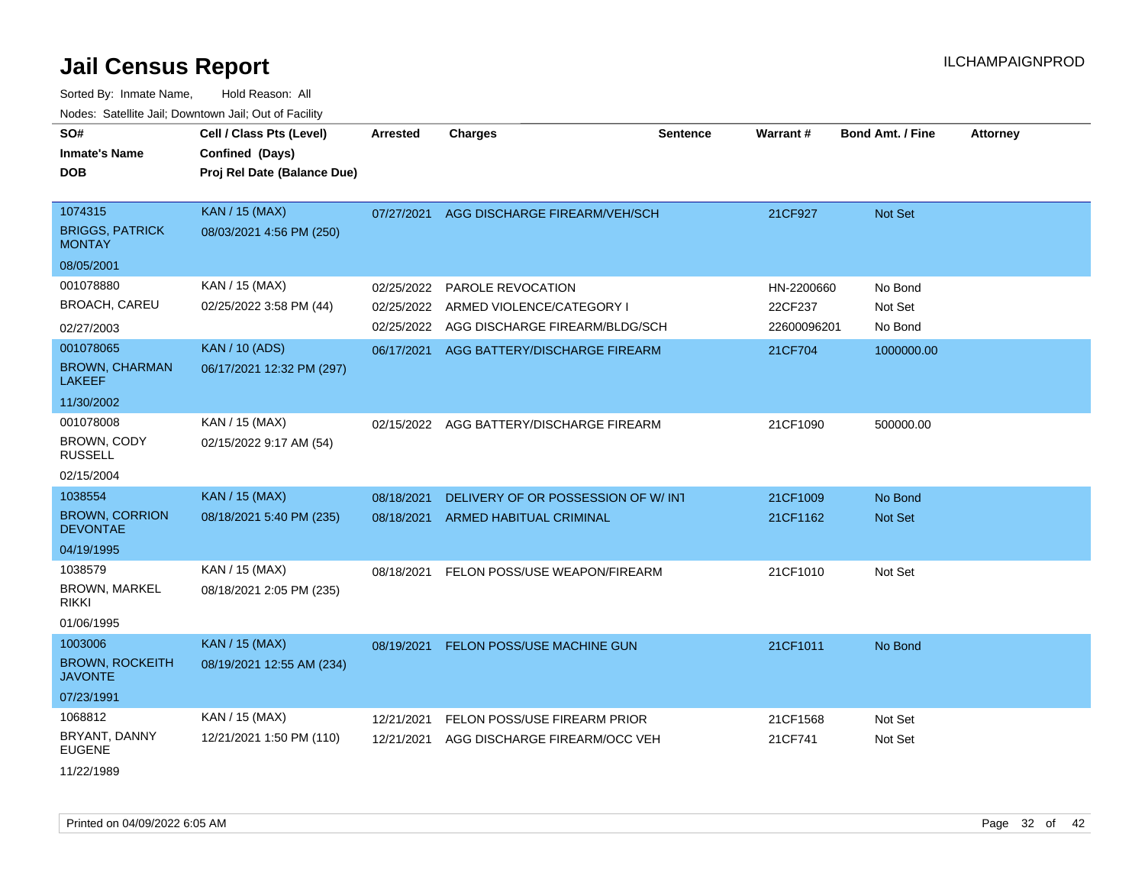| SO#<br><b>Inmate's Name</b><br>DOB                       | Cell / Class Pts (Level)<br>Confined (Days)<br>Proj Rel Date (Balance Due) | <b>Arrested</b> | <b>Charges</b>                     | <b>Sentence</b> | Warrant#    | <b>Bond Amt. / Fine</b> | <b>Attorney</b> |
|----------------------------------------------------------|----------------------------------------------------------------------------|-----------------|------------------------------------|-----------------|-------------|-------------------------|-----------------|
| 1074315<br><b>BRIGGS, PATRICK</b><br><b>MONTAY</b>       | <b>KAN / 15 (MAX)</b><br>08/03/2021 4:56 PM (250)                          | 07/27/2021      | AGG DISCHARGE FIREARM/VEH/SCH      |                 | 21CF927     | Not Set                 |                 |
| 08/05/2001                                               |                                                                            |                 |                                    |                 |             |                         |                 |
| 001078880                                                | KAN / 15 (MAX)                                                             | 02/25/2022      | PAROLE REVOCATION                  |                 | HN-2200660  | No Bond                 |                 |
| BROACH, CAREU                                            | 02/25/2022 3:58 PM (44)                                                    | 02/25/2022      | ARMED VIOLENCE/CATEGORY I          |                 | 22CF237     | Not Set                 |                 |
| 02/27/2003                                               |                                                                            | 02/25/2022      | AGG DISCHARGE FIREARM/BLDG/SCH     |                 | 22600096201 | No Bond                 |                 |
| 001078065<br><b>BROWN, CHARMAN</b><br><b>LAKEEF</b>      | <b>KAN / 10 (ADS)</b><br>06/17/2021 12:32 PM (297)                         | 06/17/2021      | AGG BATTERY/DISCHARGE FIREARM      |                 | 21CF704     | 1000000.00              |                 |
| 11/30/2002                                               |                                                                            |                 |                                    |                 |             |                         |                 |
| 001078008<br>BROWN, CODY<br><b>RUSSELL</b><br>02/15/2004 | KAN / 15 (MAX)<br>02/15/2022 9:17 AM (54)                                  | 02/15/2022      | AGG BATTERY/DISCHARGE FIREARM      |                 | 21CF1090    | 500000.00               |                 |
| 1038554                                                  | <b>KAN / 15 (MAX)</b>                                                      | 08/18/2021      | DELIVERY OF OR POSSESSION OF W/INT |                 | 21CF1009    | No Bond                 |                 |
| <b>BROWN, CORRION</b><br><b>DEVONTAE</b>                 | 08/18/2021 5:40 PM (235)                                                   | 08/18/2021      | <b>ARMED HABITUAL CRIMINAL</b>     |                 | 21CF1162    | Not Set                 |                 |
| 04/19/1995                                               |                                                                            |                 |                                    |                 |             |                         |                 |
| 1038579<br><b>BROWN, MARKEL</b><br>rikki<br>01/06/1995   | KAN / 15 (MAX)<br>08/18/2021 2:05 PM (235)                                 | 08/18/2021      | FELON POSS/USE WEAPON/FIREARM      |                 | 21CF1010    | Not Set                 |                 |
| 1003006                                                  | <b>KAN / 15 (MAX)</b>                                                      | 08/19/2021      | FELON POSS/USE MACHINE GUN         |                 | 21CF1011    | No Bond                 |                 |
| <b>BROWN, ROCKEITH</b><br><b>JAVONTE</b>                 | 08/19/2021 12:55 AM (234)                                                  |                 |                                    |                 |             |                         |                 |
| 07/23/1991                                               |                                                                            |                 |                                    |                 |             |                         |                 |
| 1068812                                                  | KAN / 15 (MAX)                                                             | 12/21/2021      | FELON POSS/USE FIREARM PRIOR       |                 | 21CF1568    | Not Set                 |                 |
| BRYANT, DANNY<br>EUGENE<br>11/22/1989                    | 12/21/2021 1:50 PM (110)                                                   | 12/21/2021      | AGG DISCHARGE FIREARM/OCC VEH      |                 | 21CF741     | Not Set                 |                 |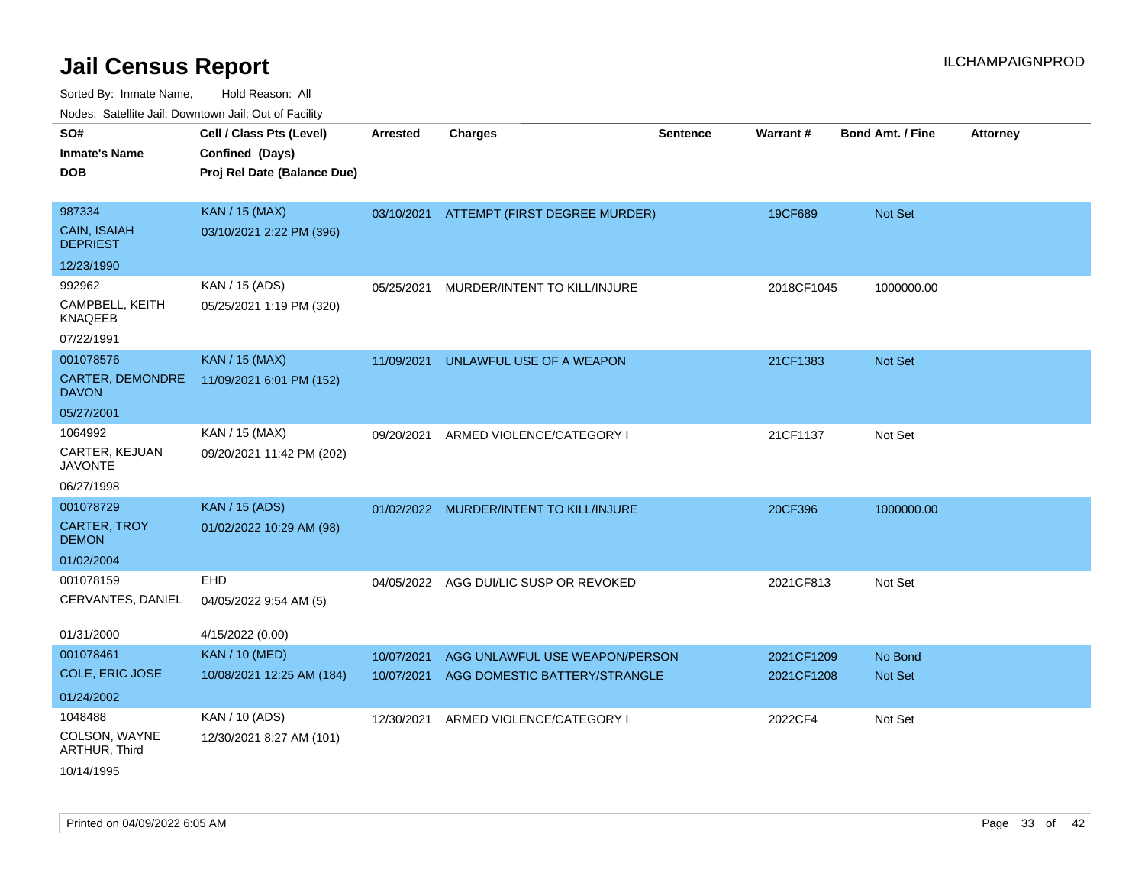| rouco. Calcillo Jali, Downtown Jali, Out of Facility           |                                                                            |                          |                                                                 |                 |                          |                           |                 |
|----------------------------------------------------------------|----------------------------------------------------------------------------|--------------------------|-----------------------------------------------------------------|-----------------|--------------------------|---------------------------|-----------------|
| SO#<br>Inmate's Name<br>DOB                                    | Cell / Class Pts (Level)<br>Confined (Days)<br>Proj Rel Date (Balance Due) | <b>Arrested</b>          | <b>Charges</b>                                                  | <b>Sentence</b> | Warrant#                 | <b>Bond Amt. / Fine</b>   | <b>Attorney</b> |
| 987334<br>CAIN, ISAIAH<br><b>DEPRIEST</b>                      | <b>KAN / 15 (MAX)</b><br>03/10/2021 2:22 PM (396)                          | 03/10/2021               | ATTEMPT (FIRST DEGREE MURDER)                                   |                 | 19CF689                  | Not Set                   |                 |
| 12/23/1990                                                     |                                                                            |                          |                                                                 |                 |                          |                           |                 |
| 992962<br>CAMPBELL, KEITH<br>KNAQEEB                           | KAN / 15 (ADS)<br>05/25/2021 1:19 PM (320)                                 | 05/25/2021               | MURDER/INTENT TO KILL/INJURE                                    |                 | 2018CF1045               | 1000000.00                |                 |
| 07/22/1991                                                     |                                                                            |                          |                                                                 |                 |                          |                           |                 |
| 001078576<br><b>CARTER, DEMONDRE</b><br><b>DAVON</b>           | <b>KAN / 15 (MAX)</b><br>11/09/2021 6:01 PM (152)                          | 11/09/2021               | UNLAWFUL USE OF A WEAPON                                        |                 | 21CF1383                 | <b>Not Set</b>            |                 |
| 05/27/2001                                                     |                                                                            |                          |                                                                 |                 |                          |                           |                 |
| 1064992<br>CARTER, KEJUAN<br>JAVONTE<br>06/27/1998             | KAN / 15 (MAX)<br>09/20/2021 11:42 PM (202)                                | 09/20/2021               | ARMED VIOLENCE/CATEGORY I                                       |                 | 21CF1137                 | Not Set                   |                 |
| 001078729                                                      | <b>KAN / 15 (ADS)</b>                                                      | 01/02/2022               | MURDER/INTENT TO KILL/INJURE                                    |                 | 20CF396                  | 1000000.00                |                 |
| CARTER, TROY<br><b>DEMON</b>                                   | 01/02/2022 10:29 AM (98)                                                   |                          |                                                                 |                 |                          |                           |                 |
| 01/02/2004                                                     |                                                                            |                          |                                                                 |                 |                          |                           |                 |
| 001078159<br>CERVANTES, DANIEL                                 | <b>EHD</b><br>04/05/2022 9:54 AM (5)                                       | 04/05/2022               | AGG DUI/LIC SUSP OR REVOKED                                     |                 | 2021CF813                | Not Set                   |                 |
| 01/31/2000                                                     | 4/15/2022 (0.00)                                                           |                          |                                                                 |                 |                          |                           |                 |
| 001078461<br>COLE, ERIC JOSE                                   | <b>KAN / 10 (MED)</b><br>10/08/2021 12:25 AM (184)                         | 10/07/2021<br>10/07/2021 | AGG UNLAWFUL USE WEAPON/PERSON<br>AGG DOMESTIC BATTERY/STRANGLE |                 | 2021CF1209<br>2021CF1208 | No Bond<br><b>Not Set</b> |                 |
| 01/24/2002                                                     |                                                                            |                          |                                                                 |                 |                          |                           |                 |
| 1048488<br>COLSON, WAYNE<br><b>ARTHUR, Third</b><br>10/14/1995 | KAN / 10 (ADS)<br>12/30/2021 8:27 AM (101)                                 | 12/30/2021               | ARMED VIOLENCE/CATEGORY I                                       |                 | 2022CF4                  | Not Set                   |                 |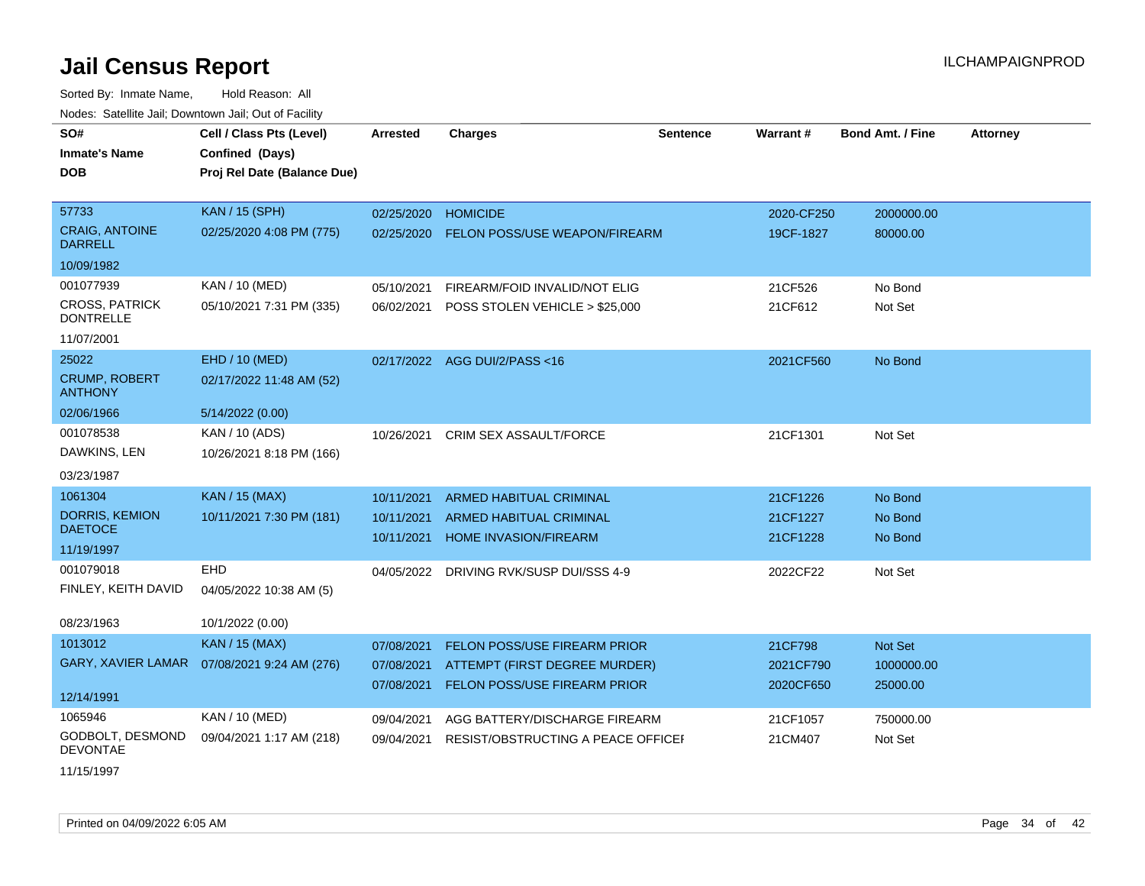| SO#                                       | Cell / Class Pts (Level)                     | <b>Arrested</b> | <b>Charges</b>                          | <b>Sentence</b> | <b>Warrant#</b> | <b>Bond Amt. / Fine</b> | <b>Attorney</b> |
|-------------------------------------------|----------------------------------------------|-----------------|-----------------------------------------|-----------------|-----------------|-------------------------|-----------------|
| <b>Inmate's Name</b>                      | Confined (Days)                              |                 |                                         |                 |                 |                         |                 |
| <b>DOB</b>                                | Proj Rel Date (Balance Due)                  |                 |                                         |                 |                 |                         |                 |
|                                           |                                              |                 |                                         |                 |                 |                         |                 |
| 57733                                     | <b>KAN / 15 (SPH)</b>                        | 02/25/2020      | <b>HOMICIDE</b>                         |                 | 2020-CF250      | 2000000.00              |                 |
| <b>CRAIG, ANTOINE</b><br><b>DARRELL</b>   | 02/25/2020 4:08 PM (775)                     | 02/25/2020      | FELON POSS/USE WEAPON/FIREARM           |                 | 19CF-1827       | 80000.00                |                 |
| 10/09/1982                                |                                              |                 |                                         |                 |                 |                         |                 |
| 001077939                                 | KAN / 10 (MED)                               | 05/10/2021      | FIREARM/FOID INVALID/NOT ELIG           |                 | 21CF526         | No Bond                 |                 |
| <b>CROSS, PATRICK</b><br><b>DONTRELLE</b> | 05/10/2021 7:31 PM (335)                     | 06/02/2021      | POSS STOLEN VEHICLE > \$25,000          |                 | 21CF612         | Not Set                 |                 |
| 11/07/2001                                |                                              |                 |                                         |                 |                 |                         |                 |
| 25022                                     | EHD / 10 (MED)                               |                 | 02/17/2022 AGG DUI/2/PASS<16            |                 | 2021CF560       | No Bond                 |                 |
| <b>CRUMP, ROBERT</b><br><b>ANTHONY</b>    | 02/17/2022 11:48 AM (52)                     |                 |                                         |                 |                 |                         |                 |
| 02/06/1966                                | 5/14/2022 (0.00)                             |                 |                                         |                 |                 |                         |                 |
| 001078538                                 | KAN / 10 (ADS)                               | 10/26/2021      | <b>CRIM SEX ASSAULT/FORCE</b>           |                 | 21CF1301        | Not Set                 |                 |
| DAWKINS, LEN                              | 10/26/2021 8:18 PM (166)                     |                 |                                         |                 |                 |                         |                 |
| 03/23/1987                                |                                              |                 |                                         |                 |                 |                         |                 |
| 1061304                                   | <b>KAN / 15 (MAX)</b>                        | 10/11/2021      | <b>ARMED HABITUAL CRIMINAL</b>          |                 | 21CF1226        | No Bond                 |                 |
| <b>DORRIS, KEMION</b>                     | 10/11/2021 7:30 PM (181)                     | 10/11/2021      | ARMED HABITUAL CRIMINAL                 |                 | 21CF1227        | No Bond                 |                 |
| <b>DAETOCE</b>                            |                                              | 10/11/2021      | <b>HOME INVASION/FIREARM</b>            |                 | 21CF1228        | No Bond                 |                 |
| 11/19/1997                                |                                              |                 |                                         |                 |                 |                         |                 |
| 001079018                                 | <b>EHD</b>                                   |                 | 04/05/2022 DRIVING RVK/SUSP DUI/SSS 4-9 |                 | 2022CF22        | Not Set                 |                 |
| FINLEY, KEITH DAVID                       | 04/05/2022 10:38 AM (5)                      |                 |                                         |                 |                 |                         |                 |
| 08/23/1963                                | 10/1/2022 (0.00)                             |                 |                                         |                 |                 |                         |                 |
| 1013012                                   | <b>KAN / 15 (MAX)</b>                        | 07/08/2021      | FELON POSS/USE FIREARM PRIOR            |                 | 21CF798         | Not Set                 |                 |
|                                           | GARY, XAVIER LAMAR  07/08/2021 9:24 AM (276) | 07/08/2021      | ATTEMPT (FIRST DEGREE MURDER)           |                 | 2021CF790       | 1000000.00              |                 |
|                                           |                                              | 07/08/2021      | FELON POSS/USE FIREARM PRIOR            |                 | 2020CF650       | 25000.00                |                 |
| 12/14/1991                                |                                              |                 |                                         |                 |                 |                         |                 |
| 1065946                                   | KAN / 10 (MED)                               | 09/04/2021      | AGG BATTERY/DISCHARGE FIREARM           |                 | 21CF1057        | 750000.00               |                 |
| GODBOLT, DESMOND<br><b>DEVONTAE</b>       | 09/04/2021 1:17 AM (218)                     | 09/04/2021      | RESIST/OBSTRUCTING A PEACE OFFICEL      |                 | 21CM407         | Not Set                 |                 |
| 11/15/1997                                |                                              |                 |                                         |                 |                 |                         |                 |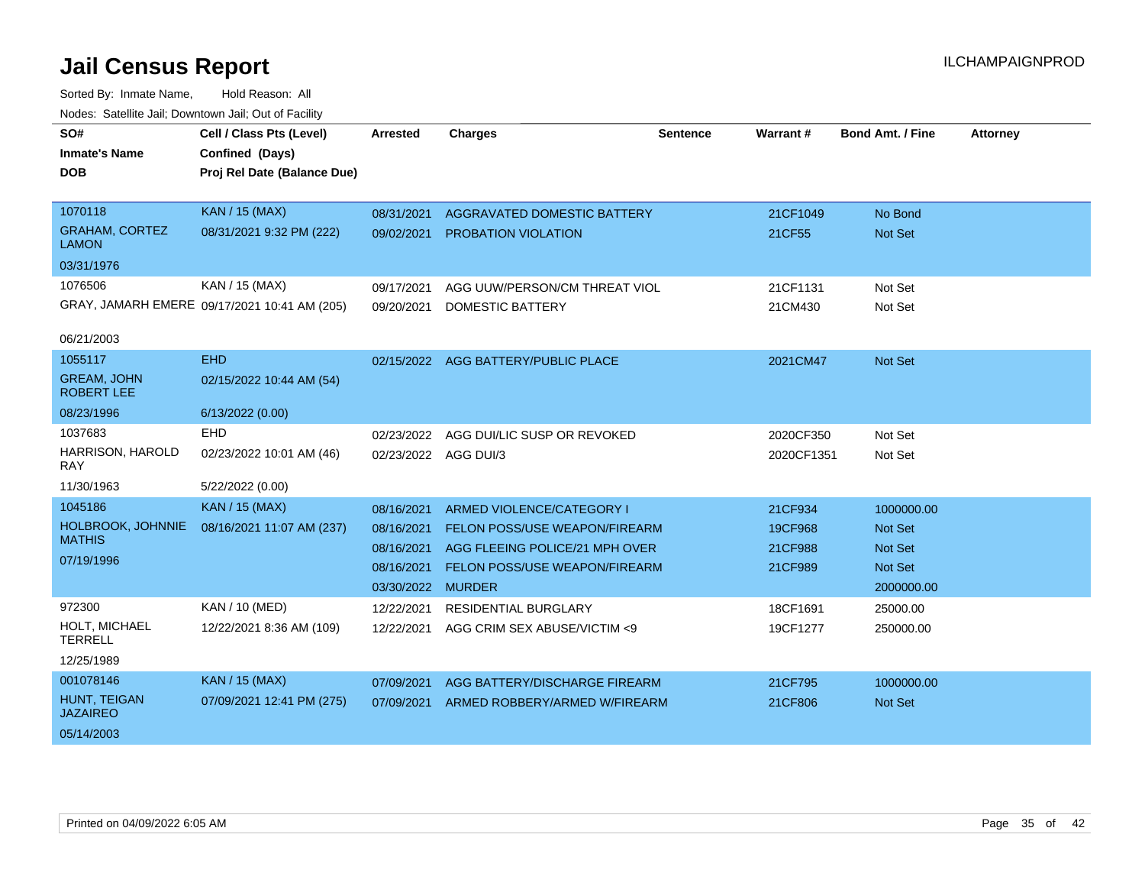| SO#<br><b>Inmate's Name</b><br><b>DOB</b> | Cell / Class Pts (Level)<br>Confined (Days)<br>Proj Rel Date (Balance Due) | <b>Arrested</b>      | <b>Charges</b>                      | <b>Sentence</b> | <b>Warrant#</b> | <b>Bond Amt. / Fine</b> | <b>Attorney</b> |
|-------------------------------------------|----------------------------------------------------------------------------|----------------------|-------------------------------------|-----------------|-----------------|-------------------------|-----------------|
| 1070118                                   | <b>KAN / 15 (MAX)</b>                                                      | 08/31/2021           | AGGRAVATED DOMESTIC BATTERY         |                 | 21CF1049        | No Bond                 |                 |
| <b>GRAHAM, CORTEZ</b><br><b>LAMON</b>     | 08/31/2021 9:32 PM (222)                                                   | 09/02/2021           | <b>PROBATION VIOLATION</b>          |                 | 21CF55          | Not Set                 |                 |
| 03/31/1976                                |                                                                            |                      |                                     |                 |                 |                         |                 |
| 1076506                                   | KAN / 15 (MAX)                                                             | 09/17/2021           | AGG UUW/PERSON/CM THREAT VIOL       |                 | 21CF1131        | Not Set                 |                 |
|                                           | GRAY, JAMARH EMERE 09/17/2021 10:41 AM (205)                               | 09/20/2021           | <b>DOMESTIC BATTERY</b>             |                 | 21CM430         | Not Set                 |                 |
| 06/21/2003                                |                                                                            |                      |                                     |                 |                 |                         |                 |
| 1055117                                   | <b>EHD</b>                                                                 |                      | 02/15/2022 AGG BATTERY/PUBLIC PLACE |                 | 2021CM47        | <b>Not Set</b>          |                 |
| <b>GREAM, JOHN</b><br><b>ROBERT LEE</b>   | 02/15/2022 10:44 AM (54)                                                   |                      |                                     |                 |                 |                         |                 |
| 08/23/1996                                | 6/13/2022 (0.00)                                                           |                      |                                     |                 |                 |                         |                 |
| 1037683                                   | <b>EHD</b>                                                                 | 02/23/2022           | AGG DUI/LIC SUSP OR REVOKED         |                 | 2020CF350       | Not Set                 |                 |
| HARRISON, HAROLD<br><b>RAY</b>            | 02/23/2022 10:01 AM (46)                                                   | 02/23/2022 AGG DUI/3 |                                     |                 | 2020CF1351      | Not Set                 |                 |
| 11/30/1963                                | 5/22/2022 (0.00)                                                           |                      |                                     |                 |                 |                         |                 |
| 1045186                                   | <b>KAN / 15 (MAX)</b>                                                      | 08/16/2021           | ARMED VIOLENCE/CATEGORY I           |                 | 21CF934         | 1000000.00              |                 |
| HOLBROOK, JOHNNIE                         | 08/16/2021 11:07 AM (237)                                                  | 08/16/2021           | FELON POSS/USE WEAPON/FIREARM       |                 | 19CF968         | <b>Not Set</b>          |                 |
| <b>MATHIS</b>                             |                                                                            | 08/16/2021           | AGG FLEEING POLICE/21 MPH OVER      |                 | 21CF988         | Not Set                 |                 |
| 07/19/1996                                |                                                                            | 08/16/2021           | FELON POSS/USE WEAPON/FIREARM       |                 | 21CF989         | Not Set                 |                 |
|                                           |                                                                            | 03/30/2022           | <b>MURDER</b>                       |                 |                 | 2000000.00              |                 |
| 972300                                    | KAN / 10 (MED)                                                             | 12/22/2021           | RESIDENTIAL BURGLARY                |                 | 18CF1691        | 25000.00                |                 |
| HOLT, MICHAEL<br><b>TERRELL</b>           | 12/22/2021 8:36 AM (109)                                                   | 12/22/2021           | AGG CRIM SEX ABUSE/VICTIM <9        |                 | 19CF1277        | 250000.00               |                 |
| 12/25/1989                                |                                                                            |                      |                                     |                 |                 |                         |                 |
| 001078146                                 | <b>KAN / 15 (MAX)</b>                                                      | 07/09/2021           | AGG BATTERY/DISCHARGE FIREARM       |                 | 21CF795         | 1000000.00              |                 |
| HUNT, TEIGAN<br><b>JAZAIREO</b>           | 07/09/2021 12:41 PM (275)                                                  | 07/09/2021           | ARMED ROBBERY/ARMED W/FIREARM       |                 | 21CF806         | <b>Not Set</b>          |                 |
| 05/14/2003                                |                                                                            |                      |                                     |                 |                 |                         |                 |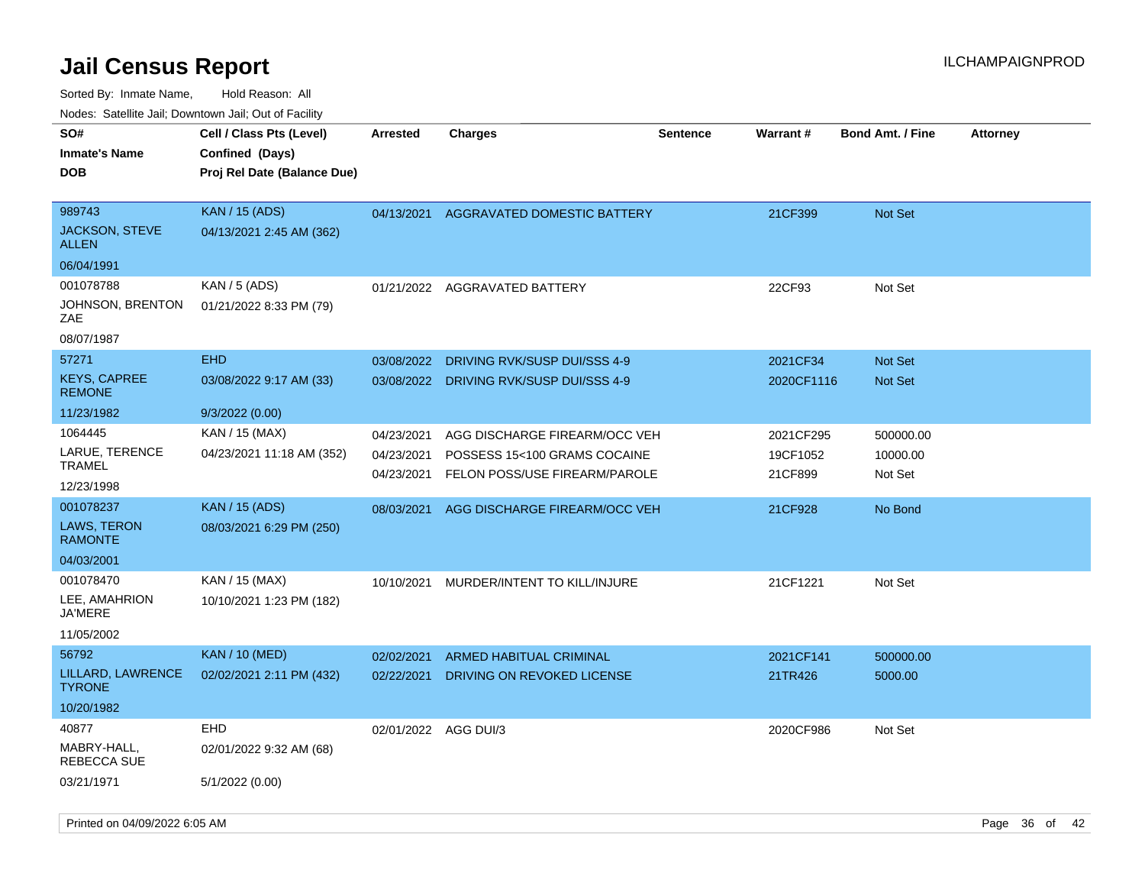| roaco. Calcinio dan, Downtown dan, Oal or Fability              |                                                                            |                                        |                                                                                                |                 |                                  |                                  |                 |
|-----------------------------------------------------------------|----------------------------------------------------------------------------|----------------------------------------|------------------------------------------------------------------------------------------------|-----------------|----------------------------------|----------------------------------|-----------------|
| SO#<br>Inmate's Name<br><b>DOB</b>                              | Cell / Class Pts (Level)<br>Confined (Days)<br>Proj Rel Date (Balance Due) | <b>Arrested</b>                        | Charges                                                                                        | <b>Sentence</b> | Warrant#                         | <b>Bond Amt. / Fine</b>          | <b>Attorney</b> |
| 989743<br>JACKSON, STEVE<br>ALLEN                               | <b>KAN / 15 (ADS)</b><br>04/13/2021 2:45 AM (362)                          | 04/13/2021                             | AGGRAVATED DOMESTIC BATTERY                                                                    |                 | 21CF399                          | <b>Not Set</b>                   |                 |
| 06/04/1991                                                      |                                                                            |                                        |                                                                                                |                 |                                  |                                  |                 |
| 001078788<br>JOHNSON, BRENTON<br>ZAE                            | KAN / 5 (ADS)<br>01/21/2022 8:33 PM (79)                                   |                                        | 01/21/2022 AGGRAVATED BATTERY                                                                  |                 | 22CF93                           | Not Set                          |                 |
| 08/07/1987                                                      | <b>EHD</b>                                                                 |                                        |                                                                                                |                 |                                  |                                  |                 |
| 57271<br><b>KEYS, CAPREE</b><br><b>REMONE</b>                   | 03/08/2022 9:17 AM (33)                                                    | 03/08/2022                             | DRIVING RVK/SUSP DUI/SSS 4-9<br>03/08/2022 DRIVING RVK/SUSP DUI/SSS 4-9                        |                 | 2021CF34<br>2020CF1116           | <b>Not Set</b><br><b>Not Set</b> |                 |
| 11/23/1982                                                      | 9/3/2022 (0.00)                                                            |                                        |                                                                                                |                 |                                  |                                  |                 |
| 1064445<br>LARUE, TERENCE<br>TRAMEL<br>12/23/1998               | KAN / 15 (MAX)<br>04/23/2021 11:18 AM (352)                                | 04/23/2021<br>04/23/2021<br>04/23/2021 | AGG DISCHARGE FIREARM/OCC VEH<br>POSSESS 15<100 GRAMS COCAINE<br>FELON POSS/USE FIREARM/PAROLE |                 | 2021CF295<br>19CF1052<br>21CF899 | 500000.00<br>10000.00<br>Not Set |                 |
| 001078237<br><b>LAWS, TERON</b><br><b>RAMONTE</b><br>04/03/2001 | <b>KAN / 15 (ADS)</b><br>08/03/2021 6:29 PM (250)                          | 08/03/2021                             | AGG DISCHARGE FIREARM/OCC VEH                                                                  |                 | 21CF928                          | No Bond                          |                 |
| 001078470<br>LEE, AMAHRION<br>JA'MERE<br>11/05/2002             | KAN / 15 (MAX)<br>10/10/2021 1:23 PM (182)                                 | 10/10/2021                             | MURDER/INTENT TO KILL/INJURE                                                                   |                 | 21CF1221                         | Not Set                          |                 |
| 56792                                                           | <b>KAN / 10 (MED)</b>                                                      | 02/02/2021                             | ARMED HABITUAL CRIMINAL                                                                        |                 | 2021CF141                        | 500000.00                        |                 |
| LILLARD, LAWRENCE<br>TYRONE.                                    | 02/02/2021 2:11 PM (432)                                                   | 02/22/2021                             | DRIVING ON REVOKED LICENSE                                                                     |                 | 21TR426                          | 5000.00                          |                 |
| 10/20/1982                                                      |                                                                            |                                        |                                                                                                |                 |                                  |                                  |                 |
| 40877<br>MABRY-HALL,<br>REBECCA SUE                             | <b>EHD</b><br>02/01/2022 9:32 AM (68)                                      | 02/01/2022 AGG DUI/3                   |                                                                                                |                 | 2020CF986                        | Not Set                          |                 |
| 03/21/1971                                                      | 5/1/2022 (0.00)                                                            |                                        |                                                                                                |                 |                                  |                                  |                 |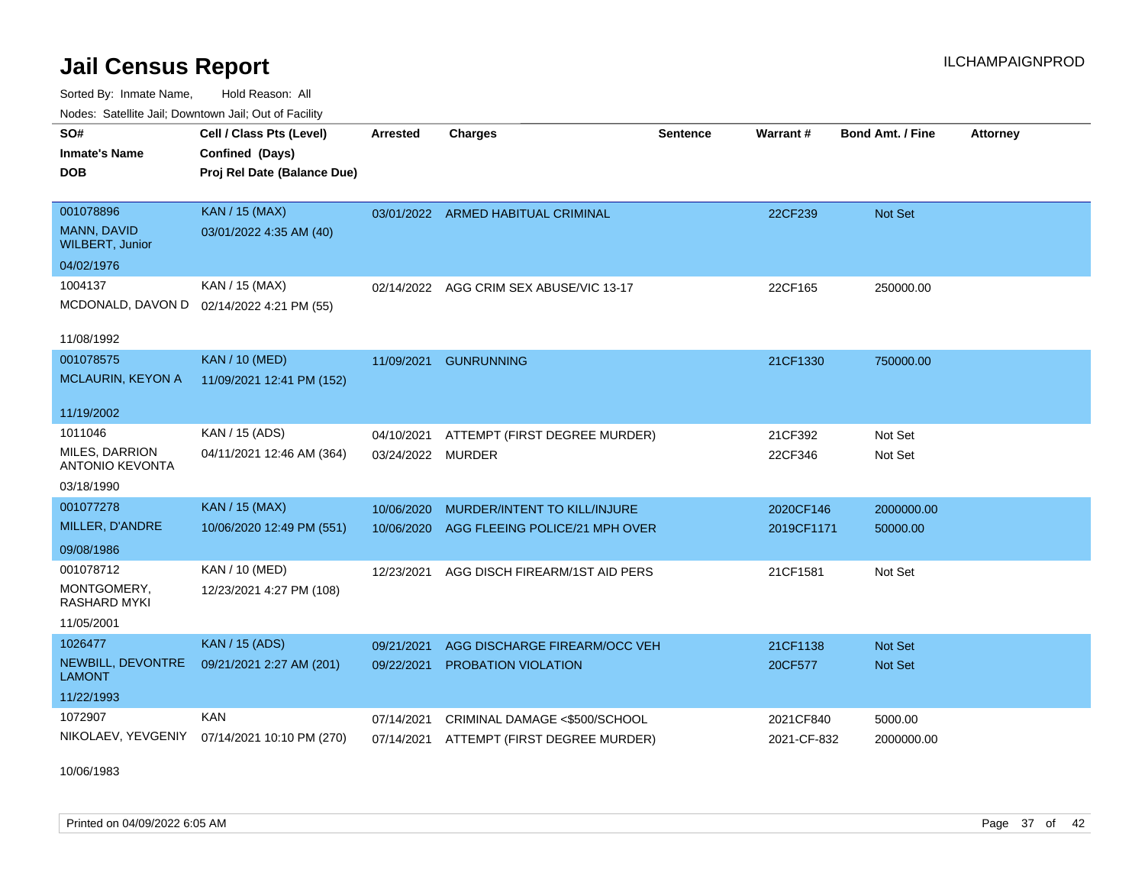Sorted By: Inmate Name, Hold Reason: All Nodes: Satellite Jail; Downtown Jail; Out of Facility

| <b>Neget Calculus Vall, Downlown Vall, Out of Fability</b> |                                              |                   |                                         |                 |                 |                         |                 |
|------------------------------------------------------------|----------------------------------------------|-------------------|-----------------------------------------|-----------------|-----------------|-------------------------|-----------------|
| SO#                                                        | Cell / Class Pts (Level)                     | <b>Arrested</b>   | <b>Charges</b>                          | <b>Sentence</b> | <b>Warrant#</b> | <b>Bond Amt. / Fine</b> | <b>Attorney</b> |
| <b>Inmate's Name</b>                                       | Confined (Days)                              |                   |                                         |                 |                 |                         |                 |
| <b>DOB</b>                                                 | Proj Rel Date (Balance Due)                  |                   |                                         |                 |                 |                         |                 |
|                                                            |                                              |                   |                                         |                 |                 |                         |                 |
| 001078896                                                  | <b>KAN / 15 (MAX)</b>                        |                   | 03/01/2022 ARMED HABITUAL CRIMINAL      |                 | 22CF239         | Not Set                 |                 |
| MANN, DAVID<br><b>WILBERT, Junior</b>                      | 03/01/2022 4:35 AM (40)                      |                   |                                         |                 |                 |                         |                 |
| 04/02/1976                                                 |                                              |                   |                                         |                 |                 |                         |                 |
| 1004137                                                    | KAN / 15 (MAX)                               |                   | 02/14/2022 AGG CRIM SEX ABUSE/VIC 13-17 |                 | 22CF165         | 250000.00               |                 |
|                                                            | MCDONALD, DAVON D 02/14/2022 4:21 PM (55)    |                   |                                         |                 |                 |                         |                 |
|                                                            |                                              |                   |                                         |                 |                 |                         |                 |
| 11/08/1992                                                 |                                              |                   |                                         |                 |                 |                         |                 |
| 001078575                                                  | <b>KAN / 10 (MED)</b>                        | 11/09/2021        | <b>GUNRUNNING</b>                       |                 | 21CF1330        | 750000.00               |                 |
| <b>MCLAURIN, KEYON A</b>                                   | 11/09/2021 12:41 PM (152)                    |                   |                                         |                 |                 |                         |                 |
| 11/19/2002                                                 |                                              |                   |                                         |                 |                 |                         |                 |
|                                                            |                                              |                   |                                         |                 |                 |                         |                 |
| 1011046                                                    | KAN / 15 (ADS)                               | 04/10/2021        | ATTEMPT (FIRST DEGREE MURDER)           |                 | 21CF392         | Not Set                 |                 |
| <b>MILES, DARRION</b><br><b>ANTONIO KEVONTA</b>            | 04/11/2021 12:46 AM (364)                    | 03/24/2022 MURDER |                                         |                 | 22CF346         | Not Set                 |                 |
| 03/18/1990                                                 |                                              |                   |                                         |                 |                 |                         |                 |
| 001077278                                                  | <b>KAN / 15 (MAX)</b>                        | 10/06/2020        | MURDER/INTENT TO KILL/INJURE            |                 | 2020CF146       | 2000000.00              |                 |
| MILLER, D'ANDRE                                            | 10/06/2020 12:49 PM (551)                    | 10/06/2020        | AGG FLEEING POLICE/21 MPH OVER          |                 | 2019CF1171      | 50000.00                |                 |
| 09/08/1986                                                 |                                              |                   |                                         |                 |                 |                         |                 |
| 001078712                                                  | KAN / 10 (MED)                               | 12/23/2021        | AGG DISCH FIREARM/1ST AID PERS          |                 | 21CF1581        | Not Set                 |                 |
| MONTGOMERY,<br><b>RASHARD MYKI</b>                         | 12/23/2021 4:27 PM (108)                     |                   |                                         |                 |                 |                         |                 |
| 11/05/2001                                                 |                                              |                   |                                         |                 |                 |                         |                 |
| 1026477                                                    | <b>KAN / 15 (ADS)</b>                        | 09/21/2021        | AGG DISCHARGE FIREARM/OCC VEH           |                 | 21CF1138        | <b>Not Set</b>          |                 |
| NEWBILL, DEVONTRE<br>LAMONT                                | 09/21/2021 2:27 AM (201)                     | 09/22/2021        | PROBATION VIOLATION                     |                 | 20CF577         | Not Set                 |                 |
| 11/22/1993                                                 |                                              |                   |                                         |                 |                 |                         |                 |
| 1072907                                                    | <b>KAN</b>                                   | 07/14/2021        | CRIMINAL DAMAGE <\$500/SCHOOL           |                 | 2021CF840       | 5000.00                 |                 |
|                                                            | NIKOLAEV, YEVGENIY 07/14/2021 10:10 PM (270) | 07/14/2021        | ATTEMPT (FIRST DEGREE MURDER)           |                 | 2021-CF-832     | 2000000.00              |                 |
|                                                            |                                              |                   |                                         |                 |                 |                         |                 |

10/06/1983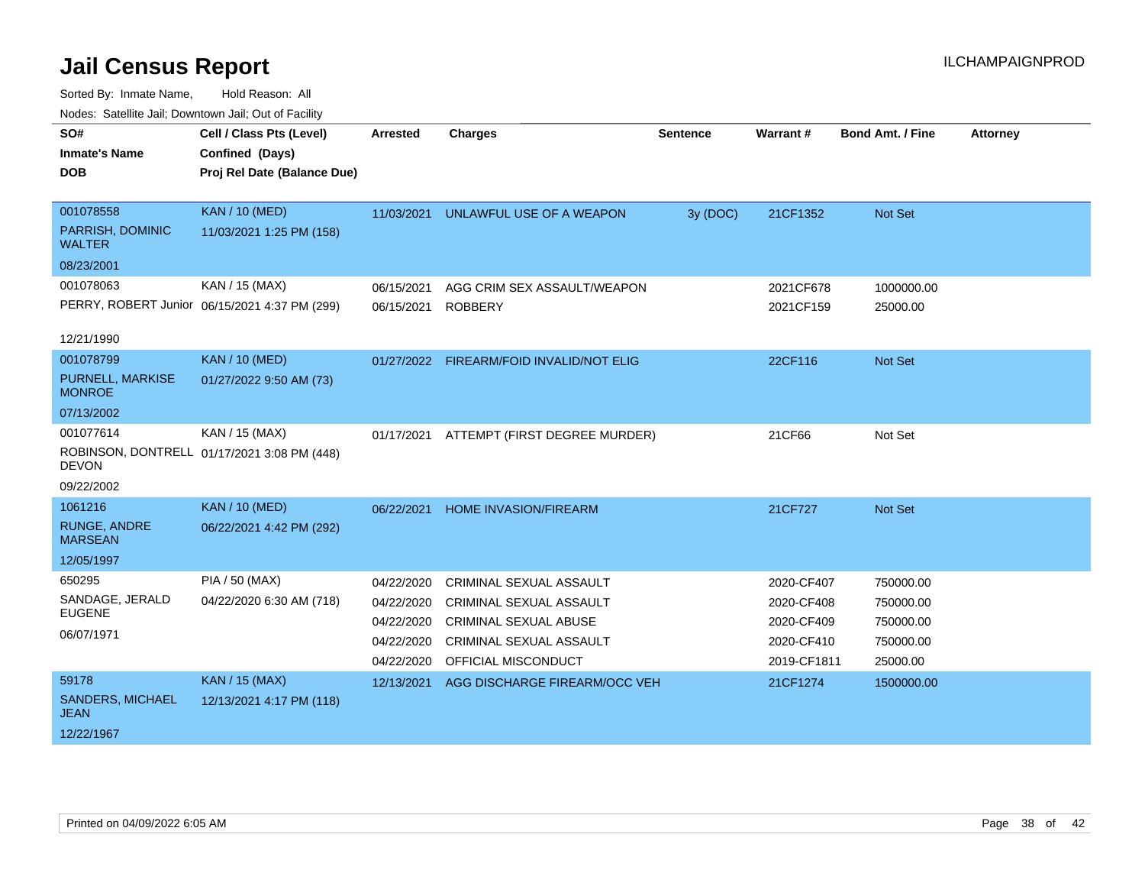| roucs. Oatchite sail, Downtown sail, Out of Facility |                                               |                 |                                          |                 |             |                         |                 |
|------------------------------------------------------|-----------------------------------------------|-----------------|------------------------------------------|-----------------|-------------|-------------------------|-----------------|
| SO#                                                  | Cell / Class Pts (Level)                      | <b>Arrested</b> | <b>Charges</b>                           | <b>Sentence</b> | Warrant#    | <b>Bond Amt. / Fine</b> | <b>Attorney</b> |
| <b>Inmate's Name</b>                                 | Confined (Days)                               |                 |                                          |                 |             |                         |                 |
| <b>DOB</b>                                           | Proj Rel Date (Balance Due)                   |                 |                                          |                 |             |                         |                 |
|                                                      |                                               |                 |                                          |                 |             |                         |                 |
| 001078558                                            | <b>KAN / 10 (MED)</b>                         | 11/03/2021      | UNLAWFUL USE OF A WEAPON                 | 3y (DOC)        | 21CF1352    | Not Set                 |                 |
| PARRISH, DOMINIC<br><b>WALTER</b>                    | 11/03/2021 1:25 PM (158)                      |                 |                                          |                 |             |                         |                 |
| 08/23/2001                                           |                                               |                 |                                          |                 |             |                         |                 |
| 001078063                                            | KAN / 15 (MAX)                                | 06/15/2021      | AGG CRIM SEX ASSAULT/WEAPON              |                 | 2021CF678   | 1000000.00              |                 |
|                                                      | PERRY, ROBERT Junior 06/15/2021 4:37 PM (299) | 06/15/2021      | <b>ROBBERY</b>                           |                 | 2021CF159   | 25000.00                |                 |
|                                                      |                                               |                 |                                          |                 |             |                         |                 |
| 12/21/1990                                           |                                               |                 |                                          |                 |             |                         |                 |
| 001078799                                            | <b>KAN / 10 (MED)</b>                         |                 | 01/27/2022 FIREARM/FOID INVALID/NOT ELIG |                 | 22CF116     | Not Set                 |                 |
| PURNELL, MARKISE<br><b>MONROE</b>                    | 01/27/2022 9:50 AM (73)                       |                 |                                          |                 |             |                         |                 |
| 07/13/2002                                           |                                               |                 |                                          |                 |             |                         |                 |
| 001077614                                            | KAN / 15 (MAX)                                | 01/17/2021      | ATTEMPT (FIRST DEGREE MURDER)            |                 | 21CF66      | Not Set                 |                 |
| <b>DEVON</b>                                         | ROBINSON, DONTRELL 01/17/2021 3:08 PM (448)   |                 |                                          |                 |             |                         |                 |
| 09/22/2002                                           |                                               |                 |                                          |                 |             |                         |                 |
| 1061216                                              | <b>KAN / 10 (MED)</b>                         | 06/22/2021      | <b>HOME INVASION/FIREARM</b>             |                 | 21CF727     | Not Set                 |                 |
| <b>RUNGE, ANDRE</b><br><b>MARSEAN</b>                | 06/22/2021 4:42 PM (292)                      |                 |                                          |                 |             |                         |                 |
| 12/05/1997                                           |                                               |                 |                                          |                 |             |                         |                 |
| 650295                                               | <b>PIA / 50 (MAX)</b>                         | 04/22/2020      | <b>CRIMINAL SEXUAL ASSAULT</b>           |                 | 2020-CF407  | 750000.00               |                 |
| SANDAGE, JERALD                                      | 04/22/2020 6:30 AM (718)                      | 04/22/2020      | <b>CRIMINAL SEXUAL ASSAULT</b>           |                 | 2020-CF408  | 750000.00               |                 |
| <b>EUGENE</b>                                        |                                               | 04/22/2020      | <b>CRIMINAL SEXUAL ABUSE</b>             |                 | 2020-CF409  | 750000.00               |                 |
| 06/07/1971                                           |                                               | 04/22/2020      | <b>CRIMINAL SEXUAL ASSAULT</b>           |                 | 2020-CF410  | 750000.00               |                 |
|                                                      |                                               | 04/22/2020      | OFFICIAL MISCONDUCT                      |                 | 2019-CF1811 | 25000.00                |                 |
| 59178                                                | <b>KAN / 15 (MAX)</b>                         | 12/13/2021      | AGG DISCHARGE FIREARM/OCC VEH            |                 | 21CF1274    | 1500000.00              |                 |
| <b>SANDERS, MICHAEL</b><br><b>JEAN</b>               | 12/13/2021 4:17 PM (118)                      |                 |                                          |                 |             |                         |                 |
| 12/22/1967                                           |                                               |                 |                                          |                 |             |                         |                 |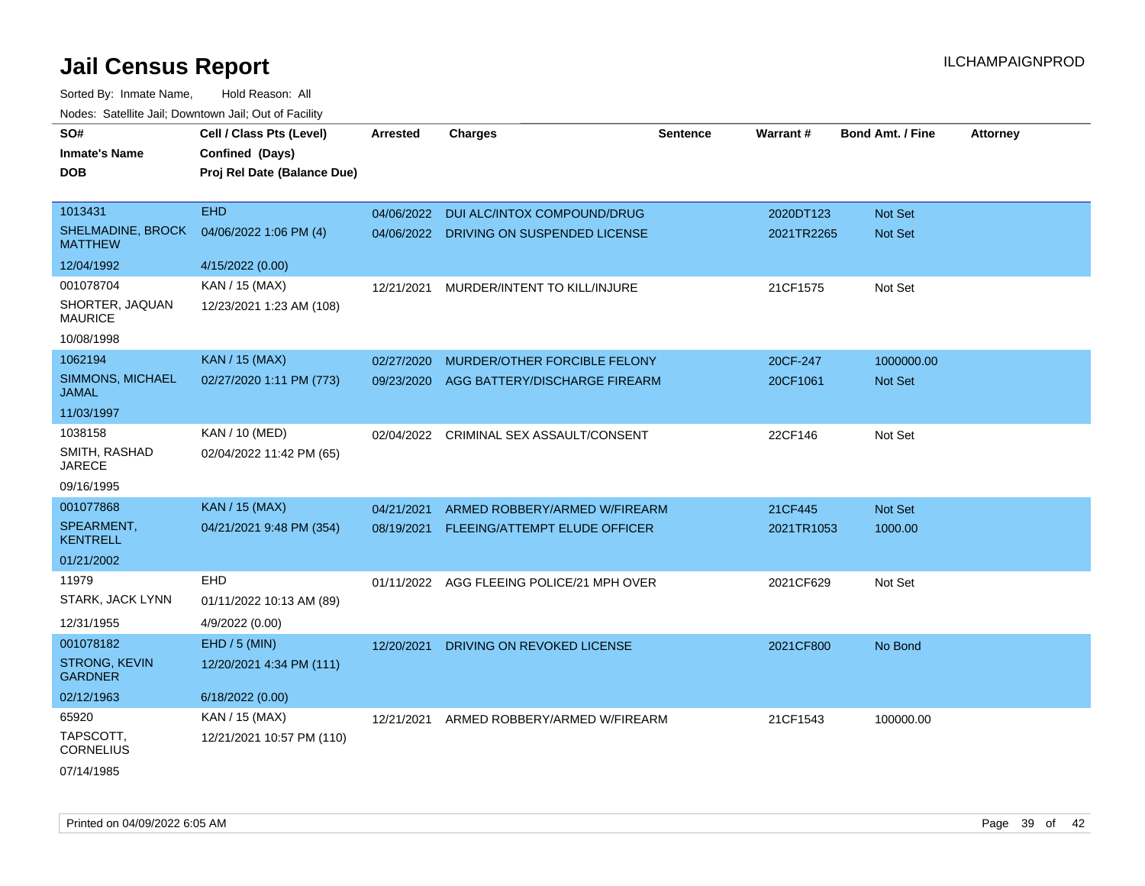| Hougo. Catolino can, Bowmown can, Cat or Fagint |                                                                            |                 |                                           |                 |                 |                         |                 |
|-------------------------------------------------|----------------------------------------------------------------------------|-----------------|-------------------------------------------|-----------------|-----------------|-------------------------|-----------------|
| SO#<br><b>Inmate's Name</b><br><b>DOB</b>       | Cell / Class Pts (Level)<br>Confined (Days)<br>Proj Rel Date (Balance Due) | <b>Arrested</b> | <b>Charges</b>                            | <b>Sentence</b> | <b>Warrant#</b> | <b>Bond Amt. / Fine</b> | <b>Attorney</b> |
| 1013431                                         | <b>EHD</b>                                                                 | 04/06/2022      | DUI ALC/INTOX COMPOUND/DRUG               |                 | 2020DT123       | <b>Not Set</b>          |                 |
| <b>SHELMADINE, BROCK</b><br><b>MATTHEW</b>      | 04/06/2022 1:06 PM (4)                                                     |                 | 04/06/2022 DRIVING ON SUSPENDED LICENSE   |                 | 2021TR2265      | Not Set                 |                 |
| 12/04/1992                                      | 4/15/2022 (0.00)                                                           |                 |                                           |                 |                 |                         |                 |
| 001078704                                       | KAN / 15 (MAX)                                                             | 12/21/2021      | MURDER/INTENT TO KILL/INJURE              |                 | 21CF1575        | Not Set                 |                 |
| SHORTER, JAQUAN<br><b>MAURICE</b>               | 12/23/2021 1:23 AM (108)                                                   |                 |                                           |                 |                 |                         |                 |
| 10/08/1998                                      |                                                                            |                 |                                           |                 |                 |                         |                 |
| 1062194                                         | <b>KAN / 15 (MAX)</b>                                                      | 02/27/2020      | MURDER/OTHER FORCIBLE FELONY              |                 | 20CF-247        | 1000000.00              |                 |
| <b>SIMMONS, MICHAEL</b><br>JAMAL                | 02/27/2020 1:11 PM (773)                                                   | 09/23/2020      | AGG BATTERY/DISCHARGE FIREARM             |                 | 20CF1061        | Not Set                 |                 |
| 11/03/1997                                      |                                                                            |                 |                                           |                 |                 |                         |                 |
| 1038158                                         | KAN / 10 (MED)                                                             | 02/04/2022      | CRIMINAL SEX ASSAULT/CONSENT              |                 | 22CF146         | Not Set                 |                 |
| SMITH, RASHAD<br><b>JARECE</b>                  | 02/04/2022 11:42 PM (65)                                                   |                 |                                           |                 |                 |                         |                 |
| 09/16/1995                                      |                                                                            |                 |                                           |                 |                 |                         |                 |
| 001077868                                       | <b>KAN / 15 (MAX)</b>                                                      | 04/21/2021      | ARMED ROBBERY/ARMED W/FIREARM             |                 | 21CF445         | <b>Not Set</b>          |                 |
| SPEARMENT,<br>KENTRELL                          | 04/21/2021 9:48 PM (354)                                                   | 08/19/2021      | FLEEING/ATTEMPT ELUDE OFFICER             |                 | 2021TR1053      | 1000.00                 |                 |
| 01/21/2002                                      |                                                                            |                 |                                           |                 |                 |                         |                 |
| 11979                                           | <b>EHD</b>                                                                 |                 | 01/11/2022 AGG FLEEING POLICE/21 MPH OVER |                 | 2021CF629       | Not Set                 |                 |
| STARK, JACK LYNN                                | 01/11/2022 10:13 AM (89)                                                   |                 |                                           |                 |                 |                         |                 |
| 12/31/1955                                      | 4/9/2022 (0.00)                                                            |                 |                                           |                 |                 |                         |                 |
| 001078182                                       | $EHD / 5$ (MIN)                                                            | 12/20/2021      | DRIVING ON REVOKED LICENSE                |                 | 2021CF800       | No Bond                 |                 |
| <b>STRONG, KEVIN</b><br><b>GARDNER</b>          | 12/20/2021 4:34 PM (111)                                                   |                 |                                           |                 |                 |                         |                 |
| 02/12/1963                                      | 6/18/2022 (0.00)                                                           |                 |                                           |                 |                 |                         |                 |
| 65920                                           | KAN / 15 (MAX)                                                             | 12/21/2021      | ARMED ROBBERY/ARMED W/FIREARM             |                 | 21CF1543        | 100000.00               |                 |
| TAPSCOTT,<br><b>CORNELIUS</b>                   | 12/21/2021 10:57 PM (110)                                                  |                 |                                           |                 |                 |                         |                 |
| 07/14/1985                                      |                                                                            |                 |                                           |                 |                 |                         |                 |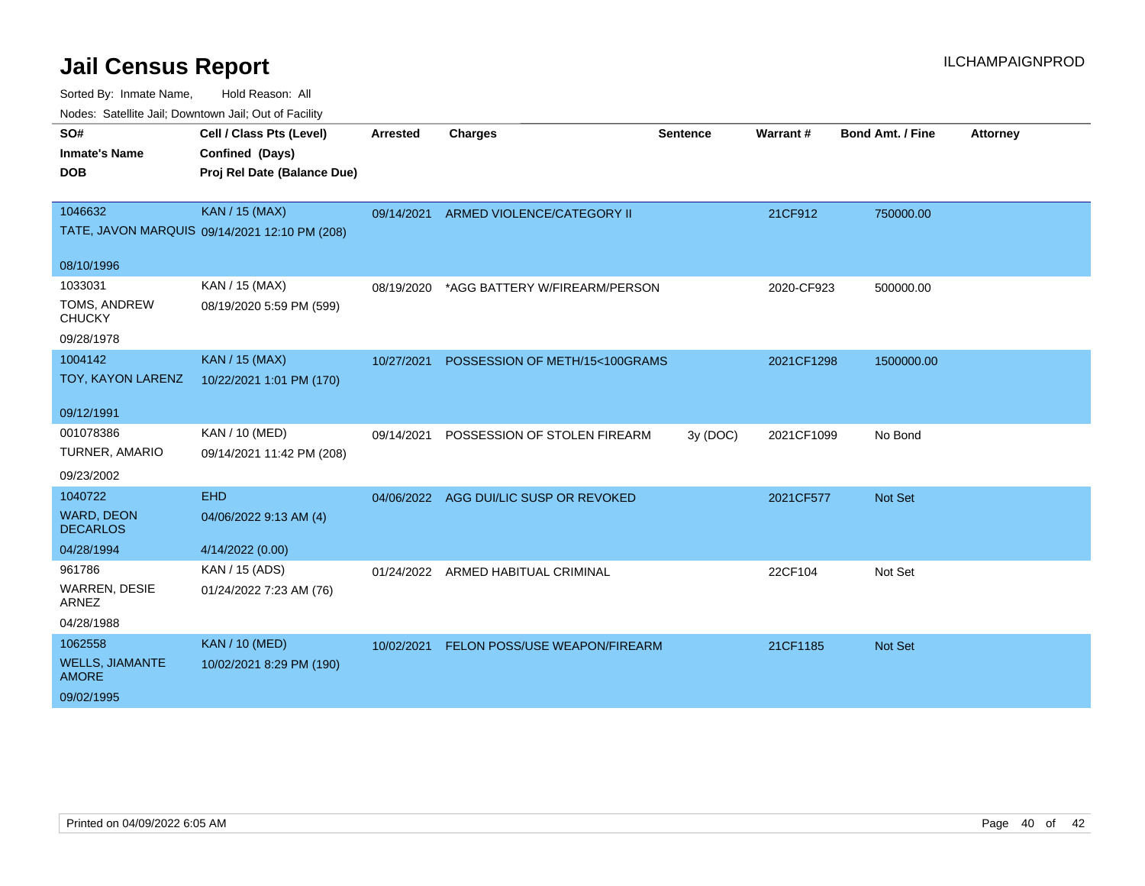| SO#                                    | Cell / Class Pts (Level)                      | <b>Arrested</b> | <b>Charges</b>                         | <b>Sentence</b> | Warrant#   | <b>Bond Amt. / Fine</b> | <b>Attorney</b> |
|----------------------------------------|-----------------------------------------------|-----------------|----------------------------------------|-----------------|------------|-------------------------|-----------------|
| <b>Inmate's Name</b>                   |                                               |                 |                                        |                 |            |                         |                 |
|                                        | Confined (Days)                               |                 |                                        |                 |            |                         |                 |
| <b>DOB</b>                             | Proj Rel Date (Balance Due)                   |                 |                                        |                 |            |                         |                 |
| 1046632                                | <b>KAN / 15 (MAX)</b>                         | 09/14/2021      | ARMED VIOLENCE/CATEGORY II             |                 | 21CF912    | 750000.00               |                 |
|                                        | TATE, JAVON MARQUIS 09/14/2021 12:10 PM (208) |                 |                                        |                 |            |                         |                 |
| 08/10/1996                             |                                               |                 |                                        |                 |            |                         |                 |
| 1033031                                | KAN / 15 (MAX)                                | 08/19/2020      | *AGG BATTERY W/FIREARM/PERSON          |                 | 2020-CF923 | 500000.00               |                 |
| TOMS, ANDREW                           | 08/19/2020 5:59 PM (599)                      |                 |                                        |                 |            |                         |                 |
| <b>CHUCKY</b>                          |                                               |                 |                                        |                 |            |                         |                 |
| 09/28/1978                             |                                               |                 |                                        |                 |            |                         |                 |
| 1004142                                | <b>KAN / 15 (MAX)</b>                         | 10/27/2021      | POSSESSION OF METH/15<100GRAMS         |                 | 2021CF1298 | 1500000.00              |                 |
| TOY, KAYON LARENZ                      | 10/22/2021 1:01 PM (170)                      |                 |                                        |                 |            |                         |                 |
| 09/12/1991                             |                                               |                 |                                        |                 |            |                         |                 |
| 001078386                              | KAN / 10 (MED)                                | 09/14/2021      | POSSESSION OF STOLEN FIREARM           | 3y (DOC)        | 2021CF1099 | No Bond                 |                 |
| TURNER, AMARIO                         | 09/14/2021 11:42 PM (208)                     |                 |                                        |                 |            |                         |                 |
| 09/23/2002                             |                                               |                 |                                        |                 |            |                         |                 |
| 1040722                                | <b>EHD</b>                                    |                 | 04/06/2022 AGG DUI/LIC SUSP OR REVOKED |                 | 2021CF577  | Not Set                 |                 |
| <b>WARD, DEON</b><br><b>DECARLOS</b>   | 04/06/2022 9:13 AM (4)                        |                 |                                        |                 |            |                         |                 |
| 04/28/1994                             | 4/14/2022 (0.00)                              |                 |                                        |                 |            |                         |                 |
| 961786                                 | KAN / 15 (ADS)                                | 01/24/2022      | ARMED HABITUAL CRIMINAL                |                 | 22CF104    | Not Set                 |                 |
| <b>WARREN, DESIE</b><br>ARNEZ          | 01/24/2022 7:23 AM (76)                       |                 |                                        |                 |            |                         |                 |
| 04/28/1988                             |                                               |                 |                                        |                 |            |                         |                 |
| 1062558                                | <b>KAN / 10 (MED)</b>                         | 10/02/2021      | FELON POSS/USE WEAPON/FIREARM          |                 | 21CF1185   | <b>Not Set</b>          |                 |
| <b>WELLS, JIAMANTE</b><br><b>AMORE</b> | 10/02/2021 8:29 PM (190)                      |                 |                                        |                 |            |                         |                 |
| 09/02/1995                             |                                               |                 |                                        |                 |            |                         |                 |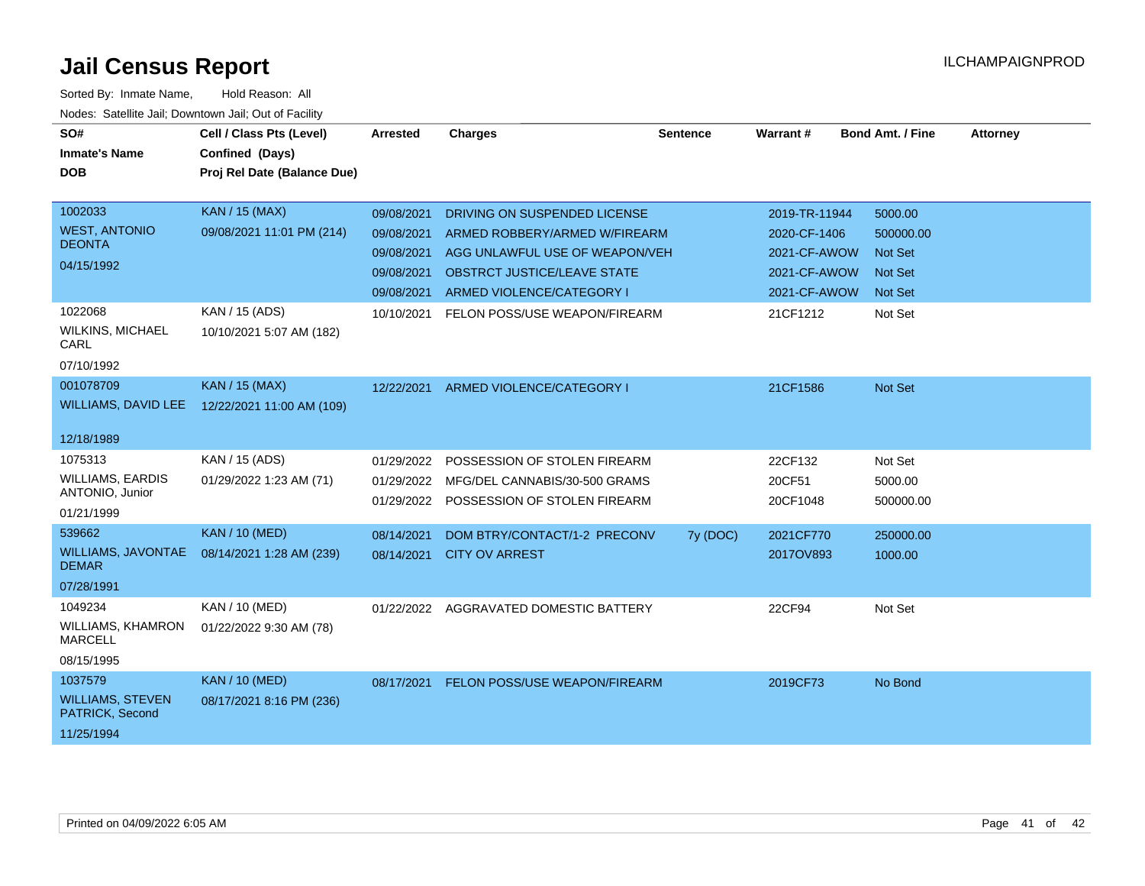| SO#                                        | Cell / Class Pts (Level)    | Arrested   | <b>Charges</b>                       | Sentence | <b>Warrant#</b> | <b>Bond Amt. / Fine</b> | <b>Attorney</b> |
|--------------------------------------------|-----------------------------|------------|--------------------------------------|----------|-----------------|-------------------------|-----------------|
| <b>Inmate's Name</b>                       | Confined (Days)             |            |                                      |          |                 |                         |                 |
|                                            |                             |            |                                      |          |                 |                         |                 |
| <b>DOB</b>                                 | Proj Rel Date (Balance Due) |            |                                      |          |                 |                         |                 |
| 1002033                                    | <b>KAN</b> / 15 (MAX)       |            |                                      |          |                 |                         |                 |
| <b>WEST, ANTONIO</b>                       |                             | 09/08/2021 | DRIVING ON SUSPENDED LICENSE         |          | 2019-TR-11944   | 5000.00                 |                 |
| <b>DEONTA</b>                              | 09/08/2021 11:01 PM (214)   | 09/08/2021 | ARMED ROBBERY/ARMED W/FIREARM        |          | 2020-CF-1406    | 500000.00               |                 |
| 04/15/1992                                 |                             | 09/08/2021 | AGG UNLAWFUL USE OF WEAPON/VEH       |          | 2021-CF-AWOW    | <b>Not Set</b>          |                 |
|                                            |                             | 09/08/2021 | <b>OBSTRCT JUSTICE/LEAVE STATE</b>   |          | 2021-CF-AWOW    | <b>Not Set</b>          |                 |
|                                            |                             | 09/08/2021 | ARMED VIOLENCE/CATEGORY I            |          | 2021-CF-AWOW    | <b>Not Set</b>          |                 |
| 1022068                                    | KAN / 15 (ADS)              | 10/10/2021 | FELON POSS/USE WEAPON/FIREARM        |          | 21CF1212        | Not Set                 |                 |
| <b>WILKINS, MICHAEL</b><br>CARL            | 10/10/2021 5:07 AM (182)    |            |                                      |          |                 |                         |                 |
| 07/10/1992                                 |                             |            |                                      |          |                 |                         |                 |
| 001078709                                  | KAN / 15 (MAX)              | 12/22/2021 | ARMED VIOLENCE/CATEGORY I            |          | 21CF1586        | Not Set                 |                 |
| <b>WILLIAMS, DAVID LEE</b>                 | 12/22/2021 11:00 AM (109)   |            |                                      |          |                 |                         |                 |
|                                            |                             |            |                                      |          |                 |                         |                 |
| 12/18/1989                                 |                             |            |                                      |          |                 |                         |                 |
| 1075313                                    | KAN / 15 (ADS)              | 01/29/2022 | POSSESSION OF STOLEN FIREARM         |          | 22CF132         | Not Set                 |                 |
| <b>WILLIAMS, EARDIS</b>                    | 01/29/2022 1:23 AM (71)     | 01/29/2022 | MFG/DEL CANNABIS/30-500 GRAMS        |          | 20CF51          | 5000.00                 |                 |
| ANTONIO, Junior                            |                             | 01/29/2022 | POSSESSION OF STOLEN FIREARM         |          | 20CF1048        | 500000.00               |                 |
| 01/21/1999                                 |                             |            |                                      |          |                 |                         |                 |
| 539662                                     | <b>KAN / 10 (MED)</b>       | 08/14/2021 | DOM BTRY/CONTACT/1-2 PRECONV         | 7y (DOC) | 2021CF770       | 250000.00               |                 |
| <b>WILLIAMS, JAVONTAE</b><br><b>DEMAR</b>  | 08/14/2021 1:28 AM (239)    | 08/14/2021 | <b>CITY OV ARREST</b>                |          | 2017OV893       | 1000.00                 |                 |
| 07/28/1991                                 |                             |            |                                      |          |                 |                         |                 |
| 1049234                                    | KAN / 10 (MED)              | 01/22/2022 | AGGRAVATED DOMESTIC BATTERY          |          | 22CF94          | Not Set                 |                 |
| <b>WILLIAMS, KHAMRON</b><br><b>MARCELL</b> | 01/22/2022 9:30 AM (78)     |            |                                      |          |                 |                         |                 |
| 08/15/1995                                 |                             |            |                                      |          |                 |                         |                 |
| 1037579                                    | <b>KAN / 10 (MED)</b>       | 08/17/2021 | <b>FELON POSS/USE WEAPON/FIREARM</b> |          | 2019CF73        | No Bond                 |                 |
| <b>WILLIAMS, STEVEN</b><br>PATRICK, Second | 08/17/2021 8:16 PM (236)    |            |                                      |          |                 |                         |                 |
| 11/25/1994                                 |                             |            |                                      |          |                 |                         |                 |